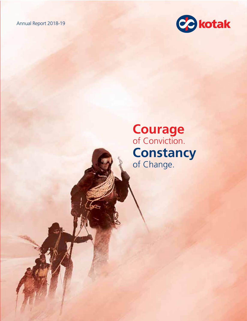Annual Report 2018-19 Annual Report 2018-19



## **Courage**  of Conviction. **Constancy** of Change. **Propertion** Conviction. **Constancy** Change.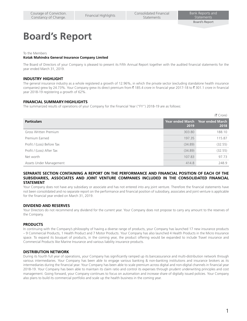## **Board's Report**

#### To the Members

#### **Kotak Mahindra General Insurance Company Limited**

The Board of Directors of your Company is pleased to present its Fifth Annual Report together with the audited financial statements for the year ended March 31, 2019.

#### **INDUSTRY HIGHLIGHT**

The general insurance industry as a whole registered a growth of 12.96%, in which the private sector (excluding standalone health insurance companies) grew by 24.73%. Your Company grew its direct premium from  $\bar{\tau}$  185.4 crore in financial year 2017-18 to  $\bar{\tau}$  301.1 crore in financial year 2018-19 registering a growth of 62%.

#### **FINANCIAL SUMMARY/HIGHLIGHTS**

The summarized results of operations of your Company for the Financial Year ("FY") 2018-19 are as follows:

|                            |         | (そ Crore)                                 |
|----------------------------|---------|-------------------------------------------|
| <b>Particulars</b>         | 2019    | Year ended March Year ended March<br>2018 |
| Gross Written Premium      | 303.80  | 188.10                                    |
| Premium Earned             | 197.35  | 115.87                                    |
| Profit / (Loss) Before Tax | (34.89) | (32.55)                                   |
| Profit / (Loss) After Tax  | (34.89) | (32.55)                                   |
| Net worth                  | 107.83  | 97.73                                     |
| Assets Under Management    | 414.8   | 248.9                                     |

#### **SEPARATE SECTION CONTAINING A REPORT ON THE PERFORMANCE AND FINANCIAL POSITION OF EACH OF THE SUBSIDIARIES, ASSOCIATES AND JOINT VENTURE COMPANIES INCLUDED IN THE CONSOLIDATED FINANCIAL STATEMENT**

Your Company does not have any subsidiary or associate and has not entered into any joint venture. Therefore the financial statements have not been consolidated and no separate report on the performance and financial position of subsidiary, associates and joint venture is applicable for the financial year ended on March 31, 2019.

#### **DIVIDEND AND RESERVES**

Your Directors do not recommend any dividend for the current year. Your Company does not propose to carry any amount to the reserves of the Company.

#### **PRODUCTS**

In continuing with the Company's philosophy of having a diverse range of products, your Company has launched 17 new insurance products – 9 Commercial Products, 1 Health Product and 7 Motor Products. Your Company has also launched 4 Health Products in the Micro Insurance space. To expand its bouquet of products, in the coming year, the product offering would be expanded to include Travel insurance and Commercial Products like Marine Insurance and various liability insurance products.

#### **DISTRIBUTION NETWORK**

During its fourth full year of operations, your Company has significantly ramped up its bancassurance and multi-distribution network through various intermediaries. Your Company has been able to engage various banking & non-banking institutions and insurance brokers as its intermediaries during the financial year. Your Company has been able to scale premium across digital and non-digital channels in financial year 2018-19. Your Company has been able to maintain its claim ratio and control its expenses through prudent underwriting principles and cost management. Going forward, your Company continues to focus on automation and increase share of digitally issued policies. Your Company also plans to build its commercial portfolio and scale up the health business in the coming year.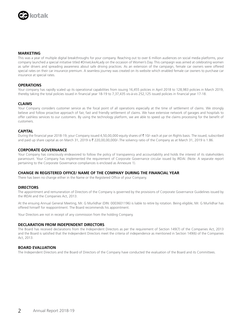

#### **MARKETING**

This was a year of multiple digital breakthroughs for your company. Reaching out to over 6 million audiences on social media platforms, your company launched a special initiative titled #DriveLikeALady on the occasion of Women's Day. This campaign was aimed at celebrating women as safer drivers and spreading awareness about safe driving practices. As an extension of the campaign, female car owners were offered special rates on their car insurance premium. A seamless journey was created on its website which enabled female car owners to purchase car insurance at special rates.

### **OPERATIONS**

Your company has rapidly scaled up its operational capabilities from issuing 16,455 policies in April 2018 to 128,983 policies in March 2019, thereby taking the total policies issued in financial year 18-19 to 7,37,435 vis-à-vis 252,125 issued policies in financial year 17-18.

#### **CLAIMS**

Your Company considers customer service as the focal point of all operations especially at the time of settlement of claims. We strongly believe and follow proactive approach of fair, fast and friendly settlement of claims. We have extensive network of garages and hospitals to offer cashless services to our customers. By using the technology platform, we are able to speed up the claims processing for the benefit of customers.

#### **CAPITAL**

During the financial year 2018-19, your Company issued 4,50,00,000 equity shares of ₹10/- each at par on Rights basis. The issued, subscribed and paid up share capital as on March 31, 2019 is  $\bar{\tau}$  220,00,00,000/-. The solvency ratio of the Company as at March 31, 2019 is 1.86.

#### **CORPORATE GOVERNANCE**

Your Company has consciously endeavored to follow the policy of transparency and accountability and holds the interest of its stakeholders paramount. Your Company has implemented the requirement of Corporate Governance circular issued by IRDAI. (Note: A separate report pertaining to the Corporate Governance compliances is enclosed as Annexure 1).

#### **CHANGE IN REGISTERED OFFICE/ NAME OF THE COMPANY DURING THE FINANCIAL YEAR**

There has been no change either in the Name or the Registered Office of your Company.

#### **DIRECTORS**

The appointment and remuneration of Directors of the Company is governed by the provisions of Corporate Governance Guidelines issued by the IRDAI and the Companies Act, 2013.

At the ensuing Annual General Meeting, Mr. G Murlidhar (DIN: 0003601196) is liable to retire by rotation. Being eligible, Mr. G Murlidhar has offered himself for reappointment. The Board recommends his appointment.

Your Directors are not in receipt of any commission from the holding Company.

#### **DECLARATION FROM INDEPENDENT DIRECTORS**

The Board has received declarations from the Independent Directors as per the requirement of Section 149(7) of the Companies Act, 2013 and the Board is satisfied that the Independent Directors meet the criteria of independence as mentioned in Section 149(6) of the Companies Act, 2013.

#### **BOARD EVALUATION**

The Independent Directors and the Board of Directors of the Company have conducted the evaluation of the Board and its Committees.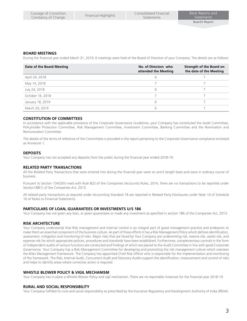#### **BOARD MEETINGS**

During the financial year ended March 31, 2019, 6 meetings were held of the Board of Directors of your Company. The details are as follows:

| Date of the Board Meeting | No. of Directors who<br>attended the Meeting | Strength of the Board on<br>the date of the Meeting |
|---------------------------|----------------------------------------------|-----------------------------------------------------|
| April 24, 2018            | b                                            |                                                     |
| May 14, 2018              |                                              |                                                     |
| July 24, 2018             | 6                                            |                                                     |
| October 16, 2018          |                                              |                                                     |
| January 18, 2019          | 6                                            |                                                     |
| March 29, 2019            | 6                                            |                                                     |

#### **CONSTITUTION OF COMMITTEES**

In accordance with the applicable provisions of the Corporate Governance Guidelines, your Company has constituted the Audit Committee, Policyholder Protection Committee, Risk Management Committee, Investment Committee, Banking Committee and the Nomination and Remuneration Committee.

The details of the terms of reference of the Committees is provided in the report pertaining to the Corporate Governance compliance enclosed as Annexure 1.

#### **DEPOSITS**

Your Company has not accepted any deposits from the public during the financial year ended 2018-19.

#### **RELATED PARTY TRANSACTIONS**

All the Related Party Transactions that were entered into during the financial year were on arm's length basis and were in ordinary course of business.

Pursuant to Section 134(3)(h) read with Rule 8(2) of the Companies (Accounts) Rules, 2014, there are no transactions to be reported under Section188(1) of the Companies Act, 2013.

All related party transactions as required under Accounting Standard 18 are reported in Related Party Disclosures under Note 14 of Schedule 16 of Notes to Financial Statements.

#### **PARTICULARS OF LOAN, GUARANTEES OR INVESTMENTS U/S 186**

Your Company has not given any loan, or given guarantees or made any investment as specified in section 186 of the Companies Act, 2013.

#### **RISK ARCHITECTURE**

Your Company understands that Risk management and internal control is an integral part of good management practice and endeavors to make them an essential component of the business culture. As part of these efforts it has a Risk Management Policy which defines identification, assessment, mitigation and monitoring of risks. Major risks that are faced by Your Company are underwriting risk, reserve risk, assets risk, and expense risk for which appropriate policies, procedures and standards have been established. Furthermore, complementary controls in the form of independent audits of various functions are conducted and findings of which are placed to the Audit Committee in line with good Corporate Governance. Your Company has a Risk Management Committee for developing and promoting the risk management culture which oversees the Risks Management Framework. The Company has appointed Chief Risk Officer who is responsible for the implementation and monitoring of the framework. The Risk, Internal Audit, Concurrent Audit and Statutory Audits support the identification, measurement and control of risks and helps to identify areas where corrective action is required.

#### **WHISTLE BLOWER POLICY & VIGIL MECHANISM**

Your Company has in place a Whistle Blower Policy and vigil mechanism. There are no reportable instances for the financial year 2018-19.

#### **RURAL AND SOCIAL RESPONSIBILITY**

Your Company fulfilled its rural and social responsibility as prescribed by the Insurance Regulatory and Development Authority of India (IRDAI).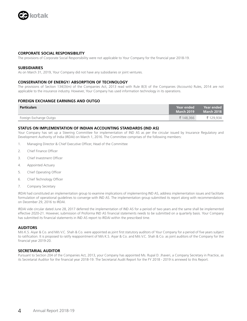

#### **CORPORATE SOCIAL RESPONSIBILITY**

The provisions of Corporate Social Responsibility were not applicable to Your Company for the financial year 2018-19.

#### **SUBSIDIARIES**

As on March 31, 2019, Your Company did not have any subsidiaries or joint ventures.

#### **CONSERVATION OF ENERGY/ ABSORPTION OF TECHNOLOGY**

The provisions of Section 134(3)(m) of the Companies Act, 2013 read with Rule 8(3) of the Companies (Accounts) Rules, 2014 are not applicable to the insurance industry. However, Your Company has used information technology in its operations.

#### **FOREIGN EXCHANGE EARNINGS AND OUTGO**

| <b>Particulars</b>     | Year ended<br><b>March 2019</b> | Year ended<br><b>March 2018</b> |
|------------------------|---------------------------------|---------------------------------|
| Foreign Exchange Outgo | ₹ 148.366                       | ₹ 129.934                       |

#### **STATUS ON IMPLEMENTATION OF INDIAN ACCOUNTING STANDARDS (IND AS)**

Your Company has set up a Steering Committee for implementation of IND AS as per the circular issued by Insurance Regulatory and Development Authority of India (IRDAI) on March 1, 2016. The Committee comprises of the following members:

- 1. Managing Director & Chief Executive Officer, Head of the Committee
- 2. Chief Finance Officer
- 3. Chief Investment Officer
- 4. Appointed Actuary
- 5. Chief Operating Officer
- 6. Chief Technology Officer
- 7. Company Secretary

IRDAI had constituted an implementation group to examine implications of implementing IND AS, address implementation issues and facilitate formulation of operational guidelines to converge with IND AS. The implementation group submitted its report along with recommendations on December 29, 2016 to IRDAI.

IRDAI vide circular dated June 28, 2017 deferred the implementation of IND AS for a period of two years and the same shall be implemented effective 2020-21. However, submission of Proforma IND AS financial statements needs to be submitted on a quarterly basis. Your Company has submitted its financial statements in IND AS report to IRDAI within the prescribed time.

#### **AUDITORS**

M/s K.S. Aiyar & Co. and M/s V.C. Shah & Co. were appointed as joint first statutory auditors of Your Company for a period of five years subject to ratification. It is proposed to ratify reappointment of M/s K.S. Aiyar & Co. and M/s V.C. Shah & Co. as joint auditors of the Company for the financial year 2019-20.

#### **SECRETARIAL AUDITOR**

Pursuant to Section 204 of the Companies Act, 2013, your Company has appointed Ms. Rupal D. Jhaveri, a Company Secretary in Practice, as its Secretarial Auditor for the financial year 2018-19. The Secretarial Audit Report for the FY 2018 - 2019 is annexed to this Report.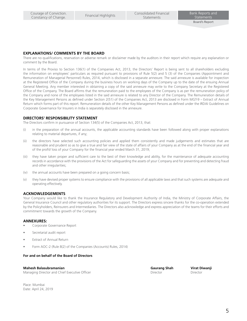#### **EXPLANATIONS/ COMMENTS BY THE BOARD**

There are no qualifications, reservation or adverse remark or disclaimer made by the auditors in their report which require any explanation or comment by the Board.

In terms of the Proviso to Section 136(1) of the Companies Act, 2013, the Directors' Report is being sent to all shareholders excluding the information on employees' particulars as required pursuant to provisions of Rule 5(2) and 5 (3) of the Companies (Appointment and Remuneration of Managerial Personnel) Rules, 2014, which is disclosed in a separate annexure. The said annexure is available for inspection at the Registered Office of the Company during the business hours on working days of the Company up to the date of the ensuing Annual General Meeting. Any member interested in obtaining a copy of the said annexure may write to the Company Secretary at the Registered Office of the Company. The Board affirms that the remuneration paid to the employees of the Company is as per the remuneration policy of the Company and none of the employees listed in the said annexure is related to any Director of the Company. The Remuneration details of the Key Management Persons as defined under Section 2(51) of the Companies Act, 2013 are disclosed in Form MGT-9 – Extract of Annual Return which forms part of this report. Remuneration details of the other Key Management Persons as defined under the IRDAI Guidelines on Corporate Governance for Insurers in India is separately disclosed in the annexure.

#### **DIRECTORS' RESPONSIBILITY STATEMENT**

The Directors confirm in pursuance of Section 134(5) of the Companies Act, 2013, that:

- (i) in the preparation of the annual accounts, the applicable accounting standards have been followed along with proper explanations relating to material departures, if any;
- (ii) the directors have selected such accounting policies and applied them consistently and made judgements and estimates that are reasonable and prudent so as to give a true and fair view of the state of affairs of your Company as at the end of the financial year and of the profit/ loss of your Company for the financial year ended March 31, 2019;
- (iii) they have taken proper and sufficient care to the best of their knowledge and ability, for the maintenance of adequate accounting records in accordance with the provisions of the Act for safeguarding the assets of your Company and for preventing and detecting fraud and other irregularities;
- (iv) the annual accounts have been prepared on a going concern basis;
- (v) they have devised proper systems to ensure compliance with the provisions of all applicable laws and that such systems are adequate and operating effectively.

#### **ACKNOWLEDGEMENTS**

Your Company would like to thank the Insurance Regulatory and Development Authority of India, the Ministry of Corporate Affairs, the General Insurance Council and other regulatory authorities for its support. The Directors express sincere thanks for the co-operation extended by the Policyholders, Reinsurers and Intermediaries. The Directors also acknowledge and express appreciation of the teams for their efforts and commitment towards the growth of the Company.

#### **ANNEXURES:**

- Corporate Governance Report
- Secretarial audit report
- **Extract of Annual Return**
- Form AOC-2 (Rule 8(2) of the Companies (Accounts) Rules, 2014)

#### **For and on behalf of the Board of Directors**

#### **Mahesh Balasubramanian**

Managing Director and Chief Executive Officer

**Gaurang Shah** Director

**Virat Diwanji** Director

Place: Mumbai Date: April 24, 2019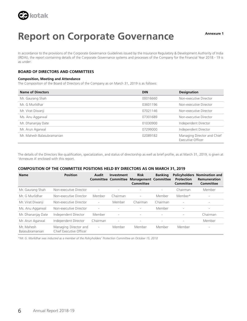

## **Report on Corporate Governance**

**Annexure 1**

In accordance to the provisions of the Corporate Governance Guidelines issued by the Insurance Regulatory & Development Authority of India (IRDAI), the report containing details of the Corporate Governance systems and processes of the Company for the Financial Year 2018 - 19 is as under:

## **BOARD OF DIRECTORS AND COMMITTEES**

#### **Composition, Meeting and Attendance**

The Composition of the Board of Directors of the Company as on March 31, 2019 is as follows:

| <b>Name of Directors</b>   | <b>DIN</b> | <b>Designation</b>                               |
|----------------------------|------------|--------------------------------------------------|
| Mr. Gaurang Shah           | 00016660   | Non-executive Director                           |
| Mr. G Murlidhar            | 03601196   | Non-executive Director                           |
| Mr. Virat Diwanji          | 07021146   | Non-executive Director                           |
| Ms. Anu Aggarwal           | 07301689   | Non-executive Director                           |
| Mr. Dhananjay Date         | 01030900   | Independent Director                             |
| Mr. Arun Agarwal           | 07299000   | Independent Director                             |
| Mr. Mahesh Balasubramanian | 02089182   | Managing Director and Chief<br>Executive Officer |

The details of the Directors like qualification, specialization, and status of directorship as well as brief profile, as at March 31, 2019, is given at 'Annexure A' enclosed with this report.

#### **Composition of the Committee positions held by Directors as on March 31, 2019**

| <b>Name</b>                   | <b>Position</b>                                  | Audit                    | Investment<br><b>Committee Committee</b> | <b>Risk</b><br><b>Management Committee</b><br>Committee | <b>Banking</b>           | Protection<br>Committee  | Policyholders Nomination and<br>Remuneration<br>Committee |
|-------------------------------|--------------------------------------------------|--------------------------|------------------------------------------|---------------------------------------------------------|--------------------------|--------------------------|-----------------------------------------------------------|
| Mr. Gaurang Shah              | Non-executive Director                           | $\overline{\phantom{a}}$ |                                          | $\overline{\phantom{a}}$                                | $\overline{\phantom{a}}$ | Chairman                 | Member                                                    |
| Mr. G Murlidhar               | Non-executive Director                           | Member                   | Chairman                                 | $\overline{\phantom{a}}$                                | Member                   | Member*                  | $\overline{\phantom{0}}$                                  |
| Mr. Virat Diwanji             | Non-executive Director                           | $\overline{\phantom{a}}$ | Member                                   | Chairman                                                | Chairman                 | ٠                        | -                                                         |
| Ms. Anu Aggarwal              | Non-executive Director                           | $\overline{\phantom{a}}$ |                                          | $\overline{\phantom{a}}$                                | Member                   | $\overline{\phantom{a}}$ | $\overline{\phantom{0}}$                                  |
| Mr. Dhananjay Date            | Independent Director                             | Member                   | $\overline{\phantom{a}}$                 | $\overline{\phantom{a}}$                                | $\overline{\phantom{a}}$ | ٠                        | Chairman                                                  |
| Mr. Arun Agarwal              | Independent Director                             | Chairman                 | $\overline{\phantom{a}}$                 | $\overline{\phantom{a}}$                                | $\overline{\phantom{a}}$ | ٠                        | Member                                                    |
| Mr. Mahesh<br>Balasubramanian | Managing Director and<br>Chief Executive Officer | $\sim$                   | Member                                   | Member                                                  | Member                   | Member                   | $\overline{\phantom{0}}$                                  |

*\*Mr. G. Murlidhar was inducted as a member of the Policyholders' Protection Committee on October 15, 2018*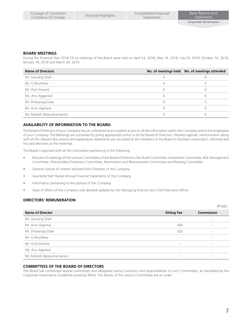#### **Board Meetings**

During the Financial Year 2018-19 six meetings of the Board were held on April 24, 2018, May 14, 2018, July 24, 2018, October 16, 2018, January 18, 2019 and March 29, 2019.

| <b>Name of Directors</b>   |   | No. of meetings held No. of meetings attended |
|----------------------------|---|-----------------------------------------------|
| Mr. Gaurang Shah           | ь |                                               |
| Mr. G Murlidhar            | 6 |                                               |
| Mr. Virat Diwanji          | b | 4                                             |
| Ms. Anu Aggarwal           | b |                                               |
| Mr. Dhananjay Date         | 6 |                                               |
| Mr. Arun Agarwal           | h |                                               |
| Mr. Mahesh Balasubramanian | h |                                               |

## **Availability of information to the Board:**

The Board of Directors of your Company has an unfettered and complete access to all the information within the Company and to the employees of your Company. The Meetings are convened by giving appropriate notice to all the Board of Directors. Detailed agenda, memorandum along with all the relevant documents and explanatory statements are circulated to the members of the Board to facilitate meaningful, informed and focused decisions at the meetings.

The Board is apprised with all the information pertaining to the following:

- • Minutes of meetings of the various Committees of the Board of Directors like Audit Committee, Investment Committee, Risk Management Committee, Policyholders Protection Committee, Nomination and Remuneration Committee and Banking Committee
- General notices of interest received from Directors of the Company
- • Quarterly/ Half Yearly/ Annual Financial Statements of the Company
- Information pertaining to the policies of the Company
- State of affairs of the Company vide detailed updates by the Managing Director and Chief Executive Officer

## **DIRECTORS' REMUNERATION**

|                            |                          | (5000)                   |
|----------------------------|--------------------------|--------------------------|
| <b>Name of Director</b>    | <b>Sitting Fee</b>       | Commission               |
| Mr. Gaurang Shah           | $\overline{\phantom{a}}$ |                          |
| Mr. Arun Agarwal           | 380                      | $\overline{\phantom{a}}$ |
| Mr. Dhananjay Date         | 320                      | ٠                        |
| Mr. G Murlidhar            | $\overline{\phantom{a}}$ | $\overline{\phantom{a}}$ |
| Mr. Virat Diwanji          | $\overline{\phantom{a}}$ | $\overline{\phantom{a}}$ |
| Ms. Anu Agarwal            | $\sim$                   | ٠                        |
| Mr. Mahesh Balasubramanian | $\overline{\phantom{a}}$ | $\overline{\phantom{a}}$ |

#### **COMMITTEES OF THE BOARD OF DIRECTORS**

The Board has constituted several committees and delegated various functions and responsibilities to such Committees, as mandated by the Corporate Governance Guidelines issued by IRDAI. The details of the various Committees are as under: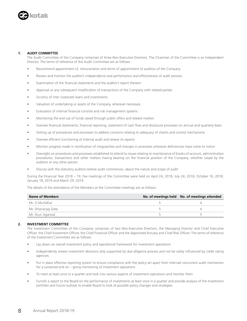

#### **1. AUDIT COMMITTEE**

The Audit Committee of the Company comprises of three Non-Executive Directors. The Chairman of the Committee is an Independent Director. The terms of reference of the Audit Committee are as follows:

- Recommend appointment of, remuneration and terms of appointment of auditors of the Company
- Review and monitor the auditor's independence and performance and effectiveness of audit process
- Examination of the financial statements and the auditor's report thereon
- Approval or any subsequent modification of transactions of the Company with related parties
- • Scrutiny of inter corporate loans and investments
- Valuation of undertaking or assets of the Company, wherever necessary
- Evaluation of internal financial controls and risk management systems
- Monitoring the end use of funds raised through public offers and related matters
- Oversee financial statements, financial reporting, statement of cash flow and disclosure processes on annual and quarterly basis
- Setting up of procedures and processes to address concerns relating to adequacy of checks and control mechanisms
- Oversee efficient functioning of internal audit and review its reports
- Monitor progress made in rectification of irregularities and changes in processes wherever deficiencies have come to notice
- Oversight on procedures and processes established to attend to issues relating to maintenance of books of account, administration procedures, transactions and other matters having bearing on the financial position of the Company, whether raised by the auditors or any other person
- Discuss with the statutory auditors before audit commences, about the nature and scope of audit

During the Financial Year 2018 – 19, five meetings of the Committee were held on April 24, 2018, July 24, 2018, October 16, 2018, January 18, 2019 and March 29, 2019.

The details of the attendance of the Members at the Committee meetings are as follows:

| Name of Members    | No. of meetings held No. of meetings attended |
|--------------------|-----------------------------------------------|
| Mr. G Murlidhar    |                                               |
| Mr. Dhananjay Date |                                               |
| Mr. Arun Agarwal   |                                               |

#### **2. INVESTMENT COMMITTEE**

The Investment Committee of the Company comprises of two Non-Executive Directors, the Managing Director and Chief Executive Officer, the Chief Investment Officer, the Chief Financial Officer and the Appointed Actuary and Chief Risk Officer. The terms of reference of the Investment Committee are as follows:

- Lay down an overall investment policy and operational framework for investment operations
- Independently review investment decisions duly supported by due diligence process and not be solely influenced by credit rating agencies
- Put in place effective reporting system to ensure compliance with the policy set apart from internal/ concurrent audit mechanism for a sustained and on – going monitoring of investment operations
- To meet at least once in a quarter and look into various aspects of investment operations and monitor them
- Furnish a report to the Board on the performance of investments at least once in a quarter and provide analysis of the Investment portfolio and future outlook to enable Board to look at possible policy changes and strategies.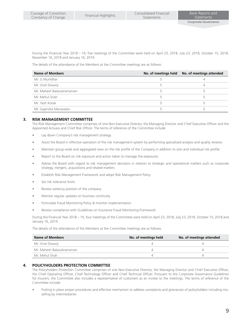During the Financial Year 2018 – 19, five meetings of the Committee were held on April 23, 2018, July 23, 2018, October 15, 2018, November 16, 2018 and January 16, 2019.

The details of the attendance of the Members at the Committee meetings are as follows:

| <b>Name of Members</b>     | No. of meetings held | No. of meetings attended |
|----------------------------|----------------------|--------------------------|
| Mr. G Murlidhar            |                      |                          |
| Mr. Virat Diwanji          |                      |                          |
| Mr. Mahesh Balasubramanian |                      |                          |
| Mr. Mehul Shah             |                      |                          |
| Mr. Yash Kotak             |                      |                          |
| Mr. Gajendra Manavalan     |                      |                          |

#### **3. RISK MANAGEMENT COMMITTEE**

The Risk Management Committee comprises of one Non-Executive Director, the Managing Director and Chief Executive Officer and the Appointed Actuary and Chief Risk Officer. The terms of reference of the Committee include:

- Lay down Company's risk management strategy
- Assist the Board in effective operation of the risk management system by performing specialized analysis and quality reviews
- Maintain group-wide and aggregated view on the risk profile of the Company in addition to solo and individual risk profile
- Report to the Board on risk exposure and action taken to manage the exposures
- Advise the Board with regard to risk management decisions in relation to strategic and operational matters such as corporate strategy, mergers, acquisitions and related matters
- Establish Risk Management Framework and adopt Risk Management Policy
- Set risk tolerance limits
- Review solvency position of the company
- Monitor regular updates on business continuity
- Formulate Fraud Monitoring Policy & monitor implementation
- Review compliance with Guidelines on Insurance Fraud Monitoring Framework

During the Financial Year 2018 – 19, four meetings of the Committee were held on April 23, 2018, July 23, 2018, October 15, 2018 and January 16, 2019.

The details of the attendance of the Members at the Committee meetings are as follows:

| Name of Members            | No. of meetings held | No. of meetings attended |
|----------------------------|----------------------|--------------------------|
| Mr. Virat Diwanji          |                      |                          |
| Mr. Mahesh Balasubramanian |                      |                          |
| Mr. Mehul Shah             |                      |                          |

#### **4. POLICYHOLDERS PROTECTION COMMITTEE**

The Policyholders Protection Committee comprises of one Non-Executive Director, the Managing Director and Chief Executive Officer, the Chief Operating Officer, Chief Technology Officer and Chief Technical Officer. Pursuant to the Corporate Governance Guidelines for Insurers, the Committee also includes a representative of customers as an invitee to the meetings. The terms of reference of the Committee include:

Putting in place proper procedures and effective mechanism to address complaints and grievances of policyholders including misselling by intermediaries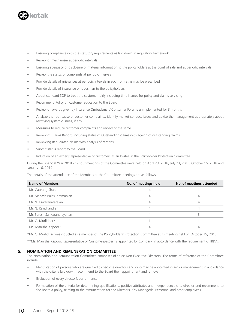

- Ensuring compliance with the statutory requirements as laid down in regulatory framework
- Review of mechanism at periodic intervals
- Ensuring adequacy of disclosure of material information to the policyholders at the point of sale and at periodic intervals
- Review the status of complaints at periodic intervals
- Provide details of grievances at periodic intervals in such format as may be prescribed
- Provide details of insurance ombudsman to the policyholders
- Adopt standard SOP to treat the customer fairly including time frames for policy and claims servicing
- Recommend Policy on customer education to the Board
- Review of awards given by Insurance Ombudsman/ Consumer Forums unimplemented for 3 months
- Analyze the root cause of customer complaints, identify market conduct issues and advise the management appropriately about rectifying systemic issues, if any
- Measures to reduce customer complaints and review of the same
- Review of Claims Report, including status of Outstanding claims with ageing of outstanding claims
- Reviewing Repudiated claims with analysis of reasons
- Submit status report to the Board
- Induction of an expert/ representative of customers as an Invitee in the Policyholder Protection Committee

During the Financial Year 2018 - 19 four meetings of the Committee were held on April 23, 2018, July 23, 2018, October 15, 2018 and January 16, 2019.

The details of the attendance of the Members at the Committee meetings are as follows:

| Name of Members             | No. of meetings held | No. of meetings attended |
|-----------------------------|----------------------|--------------------------|
| Mr. Gaurang Shah            | 4                    |                          |
| Mr. Mahesh Balasubramanian  | 4                    |                          |
| Mr. N. Eswaranatarajan      | 4                    | 4                        |
| Mr. N. Ravichandran         | 4                    |                          |
| Mr. Suresh Sankaranarayanan | 4                    |                          |
| Mr. G. Murlidhar*           |                      |                          |
| Ms. Manisha Kapoor**        |                      |                          |

\*Mr. G. Murlidhar was inducted as a member of the Policyholders' Protection Committee at its meeting held on October 15, 2018.

\*\*Ms. Manisha Kapoor, Representative of Customers/expert is appointed by Company in accordance with the requirement of IRDAI.

#### **5. NOMINATION AND REMUNERATION COMMITTEE**

The Nomination and Remuneration Committee comprises of three Non-Executive Directors. The terms of reference of the Committee include:

- Identification of persons who are qualified to become directors and who may be appointed in senior management in accordance with the criteria laid down, recommend to the Board their appointment and removal
- Evaluation of every director's performance
- Formulation of the criteria for determining qualifications, positive attributes and independence of a director and recommend to the Board a policy, relating to the remuneration for the Directors, Key Managerial Personnel and other employees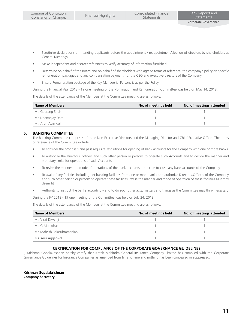- Scrutinize declarations of intending applicants before the appointment / reappointment/election of directors by shareholders at General Meetings
- Make independent and discreet references to verify accuracy of information furnished
- Determine on behalf of the Board and on behalf of shareholders with agreed terms of reference, the company's policy on specific remuneration packages and any compensation payment, for the CEO and executive directors of the Company
- Ensure Remuneration package of the Key Managerial Persons is as per the Policy

During the Financial Year 2018 - 19 one meeting of the Nomination and Remuneration Committee was held on May 14, 2018.

The details of the attendance of the Members at the Committee meeting are as follows:

| <b>Name of Members</b> | No. of meetings held | No. of meetings attended |
|------------------------|----------------------|--------------------------|
| Mr. Gaurang Shah       |                      |                          |
| Mr. Dhananjay Date     |                      |                          |
| Mr. Arun Agarwal       |                      |                          |

### **6. BANKING COMMITTEE**

The Banking Committee comprises of three Non-Executive Directors and the Managing Director and Chief Executive Officer. The terms of reference of the Committee include:

- To consider the proposals and pass requisite resolutions for opening of bank accounts for the Company with one or more banks
- To authorize the Directors, officers and such other person or persons to operate such Accounts and to decide the manner and monetary limits for operations of such Accounts
- To revise the manner and mode of operations of the bank accounts, to decide to close any bank accounts of the Company
- To avail of any facilities including net banking facilities from one or more banks and authorize Directors, Officers of the Company and such other person or persons to operate these facilities, revise the manner and mode of operation of these facilities as it may deem fit
- Authority to instruct the banks accordingly and to do such other acts, matters and things as the Committee may think necessary

During the FY 2018 - 19 one meeting of the Committee was held on July 24, 2018

The details of the attendance of the Members at the Committee meeting are as follows:

| Name of Members            | No. of meetings held | No. of meetings attended |
|----------------------------|----------------------|--------------------------|
| Mr. Virat Diwanji          |                      |                          |
| Mr. G Murlidhar            |                      |                          |
| Mr. Mahesh Balasubramanian |                      |                          |
| Ms. Anu Aggarwal           |                      |                          |

#### **Certification for compliance of the Corporate Governance Guidelines**

I, Krishnan Gopalakrishnan hereby certify that Kotak Mahindra General Insurance Company Limited has complied with the Corporate Governance Guidelines for Insurance Companies as amended from time to time and nothing has been concealed or suppressed.

**Krishnan Gopalakrishnan Company Secretary**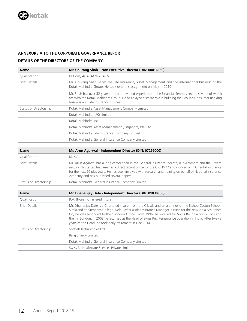

## **Annexure A to the Corporate Governance Report**

## **Details of the Directors of the Company:**

| <b>Name</b>            | Mr. Gaurang Shah - Non Executive Director (DIN: 00016660)                                                                                                                                                                                                                                                                                                                                                                                                                                               |
|------------------------|---------------------------------------------------------------------------------------------------------------------------------------------------------------------------------------------------------------------------------------------------------------------------------------------------------------------------------------------------------------------------------------------------------------------------------------------------------------------------------------------------------|
| Oualification          | M.Com, ACA, ACWA, ACS                                                                                                                                                                                                                                                                                                                                                                                                                                                                                   |
| <b>Brief Details</b>   | Mr. Gaurang Shah heads the Life Insurance, Asset Management and the International business of the<br>Kotak Mahindra Group. He took over this assignment on May 1, 2010.                                                                                                                                                                                                                                                                                                                                 |
|                        | Mr. Shah has over 32 years of rich and varied experience in the Financial Services sector, several of which<br>are with the Kotak Mahindra Group. He has played a stellar role in building the Group's Consumer Banking<br>business and Life insurance business.                                                                                                                                                                                                                                        |
| Status of Directorship | Kotak Mahindra Asset Management Company Limited                                                                                                                                                                                                                                                                                                                                                                                                                                                         |
|                        | Kotak Mahindra (UK) Limited                                                                                                                                                                                                                                                                                                                                                                                                                                                                             |
|                        | Kotak Mahindra Inc                                                                                                                                                                                                                                                                                                                                                                                                                                                                                      |
|                        | Kotak Mahindra Asset Management (Singapore) Pte. Ltd.                                                                                                                                                                                                                                                                                                                                                                                                                                                   |
|                        | Kotak Mahindra Life Insurance Company Limited                                                                                                                                                                                                                                                                                                                                                                                                                                                           |
|                        | Kotak Mahindra General Insurance Company Limited                                                                                                                                                                                                                                                                                                                                                                                                                                                        |
|                        |                                                                                                                                                                                                                                                                                                                                                                                                                                                                                                         |
| <b>Name</b>            | Mr. Arun Agarwal - Independent Director (DIN: 07299000)                                                                                                                                                                                                                                                                                                                                                                                                                                                 |
| Oualification          | M. SC.                                                                                                                                                                                                                                                                                                                                                                                                                                                                                                  |
| <b>Brief Details</b>   | Mr. Arun Agarwal has a long career span in the General Insurance Industry (Government and the Private<br>sector). He started his career as a direct recruit officer of the GIC 1977 and worked with Oriental Insurance<br>for the next 20 plus years. He has been involved with research and training on behalf of National Insurance<br>Academy and has published several papers.                                                                                                                      |
| Status of Directorship | Kotak Mahindra General Insurance Company Limited                                                                                                                                                                                                                                                                                                                                                                                                                                                        |
|                        |                                                                                                                                                                                                                                                                                                                                                                                                                                                                                                         |
| <b>Name</b>            | Mr. Dhananjay Date - Independent Director (DIN: 01030900)                                                                                                                                                                                                                                                                                                                                                                                                                                               |
| Qualification          | B.A. (Hons), Chartered Insurer                                                                                                                                                                                                                                                                                                                                                                                                                                                                          |
| <b>Brief Details</b>   | Mr. Dhananjay Date is a Chartered Insurer from the CII, UK and an alumnus of the Bishop Cotton School,<br>Simla and St. Stephens College, Delhi. After a stint as Branch Manager in Pune for the New India Assurance<br>Co, he was seconded to their London Office. From 1996, he worked for Swiss Re initially in Zurich and<br>then in London. In 2003 he returned as the Head of Swiss Re's Reinsurance operation in India. After twelve<br>years as the Head, he took early retirement in Dec 2014. |
| Status of Directorship | Softcell Technologies Ltd.                                                                                                                                                                                                                                                                                                                                                                                                                                                                              |
|                        | Bajaj Energy Limited                                                                                                                                                                                                                                                                                                                                                                                                                                                                                    |
|                        | Kotak Mahindra General Insurance Company Limited                                                                                                                                                                                                                                                                                                                                                                                                                                                        |
|                        | Swiss Re Healthcare Services Private Limited                                                                                                                                                                                                                                                                                                                                                                                                                                                            |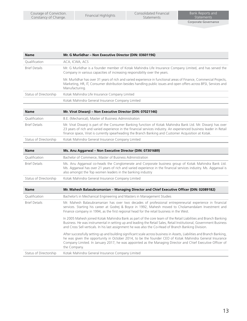| <b>Name</b>            | Mr. G Murlidhar - Non Executive Director (DIN: 03601196)                                                                                                                                                                                                                                                                                                         |
|------------------------|------------------------------------------------------------------------------------------------------------------------------------------------------------------------------------------------------------------------------------------------------------------------------------------------------------------------------------------------------------------|
| Oualification          | ACA, ICWA, ACS                                                                                                                                                                                                                                                                                                                                                   |
| <b>Brief Details</b>   | Mr. G Murlidhar is a founder member of Kotak Mahindra Life Insurance Company Limited, and has served the<br>Company in various capacities of increasing responsibility over the years.                                                                                                                                                                           |
|                        | Mr. Murlidhar has over 31 years of rich and varied experience in functional areas of Finance, Commercial Projects,<br>Marketing, HR, IT, Consumer distribution besides handling public issues and open offers across BFSI, Services and<br>Manufacturing.                                                                                                        |
| Status of Directorship | Kotak Mahindra Life Insurance Company Limited                                                                                                                                                                                                                                                                                                                    |
|                        | Kotak Mahindra General Insurance Company Limited                                                                                                                                                                                                                                                                                                                 |
| <b>Name</b>            | Mr. Virat Diwanji - Non Executive Director (DIN: 07021146)                                                                                                                                                                                                                                                                                                       |
| Qualification          | B.E. (Mechanical), Master of Business Administration                                                                                                                                                                                                                                                                                                             |
| <b>Brief Details</b>   | Mr. Virat Diwanji is part of the Consumer Banking function of Kotak Mahindra Bank Ltd. Mr. Diwanji has over<br>23 years of rich and varied experience in the financial services industry. An experienced business leader in Retail<br>finance space, Virat is currently spearheading the Branch Banking and Customer Acquisition at Kotak.                       |
| Status of Directorship | Kotak Mahindra General Insurance Company Limited                                                                                                                                                                                                                                                                                                                 |
| Name                   | Ms. Anu Aggarwal - Non Executive Director (DIN: 07301689)                                                                                                                                                                                                                                                                                                        |
| Oualification          | Bachelor of Commerce, Master of Business Administration                                                                                                                                                                                                                                                                                                          |
| <b>Brief Details</b>   | Ms. Anu Aggarwal co-heads the Conglomerate and Corporate business group of Kotak Mahindra Bank Ltd.<br>Ms. Aggarwal has over 21 years of rich and varied experience in the financial services industry. Ms. Aggarwal is<br>also amongst the Top women leaders in the banking industry                                                                            |
| Status of Directorship | Kotak Mahindra General Insurance Company Limited                                                                                                                                                                                                                                                                                                                 |
| Name                   | Mr. Mahesh Balasubramanian - Managing Director and Chief Executive Officer (DIN: 02089182)                                                                                                                                                                                                                                                                       |
| Oualification          | Bachelor's in Mechanical Engineering and Masters in Management Studies                                                                                                                                                                                                                                                                                           |
| <b>Brief Details</b>   | Mr. Mahesh Balasubramanian has over two decades of professional entrepreneurial experience in financial<br>services. Starting his career at Godrej & Boyce in 1992, Mahesh moved to Cholamandalam Investment and<br>Finance company in 1994, as the first regional head for the retail business in the West.                                                     |
|                        | In 2005 Mahesh joined Kotak Mahindra Bank as part of the core team of the Retail Liabilities and Branch Banking<br>Business. He was instrumental in setting up and leading the Retail Sales, Retail Institutional, Government Business<br>and Cross Sell verticals. In his last assignment he was also the Co-Head of Branch Banking Division.                   |
|                        | After successfully setting up and building significant scale across business in Assets, Liabilities and Branch Banking,<br>he was given the opportunity in October 2014, to be the founder CEO of Kotak Mahindra General Insurance<br>Company Limited. In January 2017, he was appointed as the Managing Director and Chief Executive Officer of<br>the Company. |
| Status of Directorship | Kotak Mahindra General Insurance Company Limited                                                                                                                                                                                                                                                                                                                 |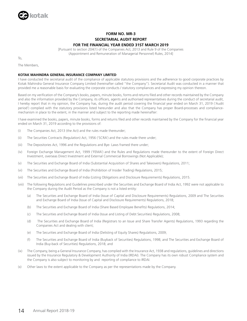

## **Form No. MR-3 SECRETARIAL AUDIT REPORT**

#### **FOR THE FINANCIAL YEAR ENDED 31ST MARCH 2019**

[Pursuant to section 204(1) of the Companies Act, 2013 and Rule 9 of the Companies (Appointment and Remuneration of Managerial Personnel) Rules, 2014]

To,

The Members,

#### **KOTAK MAHINDRA GENERAL INSURANCE COMPANY LIMITED**

I have conducted the secretarial audit of the compliance of applicable statutory provisions and the adherence to good corporate practices by Kotak Mahindra General Insurance Company Limited (hereinafter called "the Company"). Secretarial Audit was conducted in a manner that provided me a reasonable basis for evaluating the corporate conducts / statutory compliances and expressing my opinion thereon.

Based on my verification of the Company's books, papers, minute books, forms and returns filed and other records maintained by the Company and also the information provided by the Company, its officers, agents and authorised representatives during the conduct of secretarial audit, I hereby report that in my opinion, the Company has, during the audit period covering the financial year ended on March 31, 2019 ('Audit period') complied with the statutory provisions listed hereunder and also that the Company has proper Board-processes and compliancemechanism in place to the extent, in the manner and subject to the reporting made hereinafter:

I have examined the books, papers, minute books, forms and returns filed and other records maintained by the Company for the financial year ended on March 31, 2019 according to the provisions of:

- (i) The Companies Act, 2013 (the Act) and the rules made thereunder;
- (ii) The Securities Contracts (Regulation) Act, 1956 ('SCRA') and the rules made there under;
- (iii) The Depositories Act, 1996 and the Regulations and Bye- Laws framed there under;
- (iv) Foreign Exchange Management Act, 1999 ('FEMA') and the Rules and Regulations made thereunder to the extent of Foreign Direct Investment, overseas Direct Investment and External Commercial Borrowings (Not Applicable);
- (v) The Securities and Exchange Board of India (Substantial Acquisition of Shares and Takeovers) Regulations, 2011;
- (vi) The Securities and Exchange Board of India (Prohibition of Insider Trading) Regulations, 2015;
- (vii) The Securities and Exchange Board of India (Listing Obligations and Disclosure Requirements) Regulations, 2015.
- (viii) The following Regulations and Guidelines prescribed under the Securities and Exchange Board of India Act, 1992 were not applicable to the Company during the Audit Period as the Company is not a listed entity:
	- (a) The Securities and Exchange Board of India (Issue of Capital and Disclosure Requirements) Regulations, 2009 and The Securities and Exchange Board of India (Issue of Capital and Disclosure Requirements) Regulations, 2018;
	- (b) The Securities and Exchange Board of India (Share Based Employee Benefits) Regulations, 2014;
	- (c) The Securities and Exchange Board of India (Issue and Listing of Debt Securities) Regulations, 2008;
	- (d) The Securities and Exchange Board of India (Registrars to an Issue and Share Transfer Agents) Regulations, 1993 regarding the Companies Act and dealing with client;
	- (e) The Securities and Exchange Board of India (Delisting of Equity Shares) Regulations, 2009;
	- (f) The Securities and Exchange Board of India (Buyback of Securities) Regulations, 1998; and The Securities and Exchange Board of India (Buy-back of Securities) Regulations, 2018; and
- (ix) The Company, being a General Insurance Company, has complied with the Insurance Act, 1938 and regulations, guidelines and directions issued by the Insurance Regulatory & Development Authority of India (IRDAI). The Company has its own robust Compliance system and the Company is also subject to monitoring by and reporting of compliance to IRDAI.
- (x) Other laws to the extent applicable to the Company as per the representations made by the Company.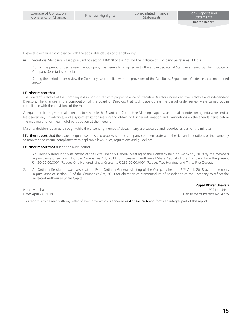I have also examined compliance with the applicable clauses of the following:

(i) Secretarial Standards issued pursuant to section 118(10) of the Act, by The Institute of Company Secretaries of India.

During the period under review the Company has generally complied with the above Secretarial Standards issued by The Institute of Company Secretaries of India.

During the period under review the Company has complied with the provisions of the Act, Rules, Regulations, Guidelines, etc. mentioned above.

#### **I further report that**

The Board of Directors of the Company is duly constituted with proper balance of Executive Directors, non-Executive Directors and Independent Directors. The changes in the composition of the Board of Directors that took place during the period under review were carried out in compliance with the provisions of the Act.

Adequate notice is given to all directors to schedule the Board and Committee Meetings, agenda and detailed notes on agenda were sent at least seven days in advance, and a system exists for seeking and obtaining further information and clarifications on the agenda items before the meeting and for meaningful participation at the meeting.

Majority decision is carried through while the dissenting members' views, if any, are captured and recorded as part of the minutes.

**I further report that** there are adequate systems and processes in the company commensurate with the size and operations of the company to monitor and ensure compliance with applicable laws, rules, regulations and guidelines.

#### **I further report that** during the audit period

- 1. An Ordinary Resolution was passed at the Extra Ordinary General Meeting of the Company held on 24thApril, 2018 by the members in pursuance of section 61 of the Companies Act, 2013 for increase in Authorized Share Capital of the Company from the present ` 1,90,00,00,000/- (Rupees One Hundred Ninety Crores) to ` 235,00,00,000/- (Rupees Two Hundred and Thirty Five Crores).
- 2. An Ordinary Resolution was passed at the Extra Ordinary General Meeting of the Company held on 24<sup>th</sup> April, 2018 by the members in pursuance of section 13 of the Companies Act, 2013 for alteration of Memorandum of Association of the Company to reflect the increased Authorized Share Capital.

**Rupal Dhiren Jhaveri** Place: Mumbai FCS No: 5441 Date: April 24, 2019 Certificate of Practice No. 4225

This report is to be read with my letter of even date which is annexed as **Annexure A** and forms an integral part of this report.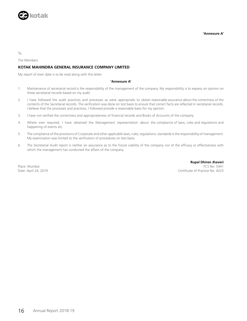

**'Annexure A'**

To,

The Members

## **KOTAK MAHINDRA GENERAL INSURANCE COMPANY LIMITED**

My report of even date is to be read along with this letter.

#### **'Annexure A'**

- 1. Maintenance of secretarial record is the responsibility of the management of the company. My responsibility is to express an opinion on these secretarial records based on my audit.
- 2. I have followed the audit practices and processes as were appropriate to obtain reasonable assurance about the correctness of the contents of the Secretarial records. The verification was done on test basis to ensure that correct facts are reflected in secretarial records. I believe that the processes and practices, I followed provide a reasonable basis for my opinion.
- 3. I have not verified the correctness and appropriateness of financial records and Books of Accounts of the company.
- 4. Where ever required, I have obtained the Management representation about the compliance of laws, rules and regulations and happening of events etc.
- 5. The compliance of the provisions of Corporate and other applicable laws, rules, regulations, standards is the responsibility of management. My examination was limited to the verification of procedures on test basis.
- 6. The Secretarial Audit report is neither an assurance as to the future viability of the company nor of the efficacy or effectiveness with which the management has conducted the affairs of the company.

Place: Mumbai FCS No: 5441

**Rupal Dhiren Jhaveri**

Date: April 24, 2019 Certificate of Practice No. 4225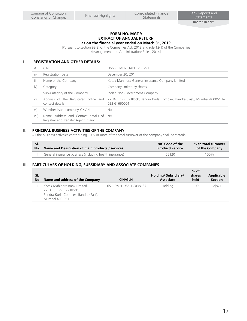### **Form No. MGT-9 EXTRACT OF ANNUAL RETURN as on the financial year ended on March 31, 2019**

[Pursuant to section 92(3) of the Companies Act, 2013 and rule 12(1) of the Companies (Management and Administration) Rules, 2014]

## **I REGISTRATION AND OTHER DETAILS:**

|        | CIN                                                                             | U66000MH2014PLC260291                                                                        |
|--------|---------------------------------------------------------------------------------|----------------------------------------------------------------------------------------------|
| ii)    | <b>Registration Date</b>                                                        | December 20, 2014                                                                            |
| iii)   | Name of the Company                                                             | Kotak Mahindra General Insurance Company Limited                                             |
| iv)    | Category                                                                        | Company limited by shares                                                                    |
|        | Sub-Category of the Company                                                     | Indian Non-Government Company                                                                |
| V)     | Address of the Registered office and<br>contact details                         | 27BKC, C27, G Block, Bandra Kurla Complex, Bandra (East), Mumbai 400051 Tel:<br>022 61660001 |
| $Vi$ ) | Whether listed company Yes / No                                                 | No.                                                                                          |
| vii)   | Name, Address and Contact details of NA<br>Registrar and Transfer Agent, if any |                                                                                              |

### **II. PRINCIPAL BUSINESS ACTIVITIES OF THE COMPANY**

All the business activities contributing 10% or more of the total turnover of the company shall be stated:-

| - SI. | No. Name and Description of main products / services    | NIC Code of the<br><b>Product/ service</b> | % to total turnover<br>of the Company |
|-------|---------------------------------------------------------|--------------------------------------------|---------------------------------------|
|       | General insurance business (including health insurance) | 65120                                      | 100%                                  |

#### **III. PARTICULARS OF HOLDING, SUBSIDIARY AND ASSOCIATE COMPANIES –**

| SI.<br>No | Name and address of the Company                                                                                  | <b>CIN/GLN</b>        | Holding/ Subsidiary/<br>Associate | $%$ of<br>shares<br>held | <b>Applicable</b><br><b>Section</b> |
|-----------|------------------------------------------------------------------------------------------------------------------|-----------------------|-----------------------------------|--------------------------|-------------------------------------|
|           | Kotak Mahindra Bank Limited<br>27BKC, C 27, G - Block,<br>Bandra Kurla Complex, Bandra (East),<br>Mumbai 400 051 | L65110MH1985PLC038137 | Holding                           | 100                      | 2(87)                               |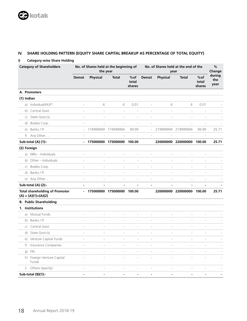

## **IV. SHARE HOLDING PATTERN (Equity Share Capital Breakup as percentage of Total Equity)**

## **i) Category-wise Share Holding**

|              | <b>Category of Shareholders</b>                                |                          | No. of Shares held at the beginning of<br>the year |                          |                           | No. of Shares held at the end of the<br>vear |                          |                            |                           | %<br>Change           |
|--------------|----------------------------------------------------------------|--------------------------|----------------------------------------------------|--------------------------|---------------------------|----------------------------------------------|--------------------------|----------------------------|---------------------------|-----------------------|
|              |                                                                | <b>Demat</b>             | Physical                                           | <b>Total</b>             | $%$ of<br>total<br>shares | <b>Demat</b>                                 | Physical                 | <b>Total</b>               | $%$ of<br>total<br>shares | during<br>the<br>year |
|              | A. Promoters                                                   |                          |                                                    |                          |                           |                                              |                          |                            |                           |                       |
|              | (1) Indian                                                     |                          |                                                    |                          |                           |                                              |                          |                            |                           |                       |
|              | a) Individual/HUF*                                             | $\overline{\phantom{a}}$ | 6                                                  | 6                        | 0.01                      | $\overline{\phantom{a}}$                     | 6                        | 6                          | 0.01                      |                       |
| b)           | Central Govt.                                                  | $\overline{a}$           | $\overline{a}$                                     | $\overline{a}$           | $\overline{a}$            | $\overline{a}$                               |                          | $\overline{\phantom{a}}$   |                           |                       |
| C)           | State Govt.(s)                                                 | $\frac{1}{2}$            |                                                    | ÷                        | i,                        | $\qquad \qquad -$                            |                          |                            |                           |                       |
|              | d) Bodies Corp.                                                | ÷,                       | ÷,                                                 | $\overline{a}$           | $\overline{a}$            | $\overline{\phantom{a}}$                     |                          | J.                         |                           |                       |
| e)           | Banks / Fl                                                     |                          | 174999949                                          | 174999994                | 99.99                     | $\overline{\phantom{a}}$                     |                          | 219999994 219999994        | 99.99                     | 25.71                 |
| f)           | Any Other                                                      | $\overline{\phantom{a}}$ |                                                    | ł,                       | ÷,                        | $\overline{\phantom{a}}$                     |                          | ÷,                         | ÷,                        |                       |
|              | Sub-total (A) (1):-                                            | $\overline{\phantom{a}}$ |                                                    | 175000000 175000000      | 100.00                    |                                              |                          | 220000000 220000000 100.00 |                           | 25.71                 |
|              | (2) Foreign                                                    |                          |                                                    |                          |                           |                                              |                          |                            |                           |                       |
|              | a) NRIs - Individuals                                          | ÷,                       | $\frac{1}{2}$                                      | ÷                        | ÷                         | ÷,                                           | $\sim$                   | ÷,                         | $\overline{\phantom{a}}$  |                       |
|              | b) Other - Individuals                                         | $\overline{a}$           | $\overline{a}$                                     | L,                       | L,                        | L,                                           | L,                       | L,                         |                           |                       |
| C)           | Bodies Corp.                                                   | ÷,                       | $\overline{\phantom{a}}$                           | ÷,                       | ÷,                        | ÷,                                           |                          | ÷,                         |                           |                       |
|              | Banks / Fl<br>d)                                               | $\overline{\phantom{a}}$ | i,                                                 | $\overline{\phantom{a}}$ | i,                        | $\overline{\phantom{a}}$                     | $\overline{\phantom{a}}$ | $\overline{\phantom{a}}$   | $\overline{\phantom{m}}$  |                       |
| e)           | Any Other                                                      | $\bar{ }$                | $\overline{a}$                                     | ÷,                       | ÷,                        | $\sim$                                       | $\overline{a}$           | $\sim$                     | $\sim$                    |                       |
|              | Sub-total (A) (2):-                                            | ä,                       | ä,                                                 | ä,                       | ä,                        | $\blacksquare$                               |                          |                            | ä,                        |                       |
|              | <b>Total shareholding of Promoter</b><br>$(A) = (A)(1)+(A)(2)$ | $\overline{\phantom{a}}$ |                                                    | 175000000 175000000      | 100.00                    |                                              |                          | 220000000 220000000        | 100.00                    | 25.71                 |
|              | <b>B. Public Shareholding</b>                                  |                          |                                                    |                          |                           |                                              |                          |                            |                           |                       |
|              | 1. Institutions                                                |                          |                                                    |                          |                           |                                              |                          |                            |                           |                       |
| a)           | Mutual Funds                                                   | $\frac{1}{2}$            | $\frac{1}{2}$                                      |                          | -                         | i.                                           | ÷                        |                            |                           |                       |
| b)           | Banks / Fl                                                     | $\overline{a}$           | $\overline{a}$                                     |                          | L,                        | $\overline{a}$                               | L.                       | L.                         |                           |                       |
| C)           | Central Govt.                                                  | $\overline{a}$           | $\overline{\phantom{a}}$                           | ä,                       | L,                        | ÷                                            | L.                       | ÷,                         |                           |                       |
| d)           | State Govt.(s)                                                 | $\overline{\phantom{a}}$ | ÷,                                                 | ÷,                       | ÷,                        | -                                            | $\sim$                   | $\overline{\phantom{a}}$   | $\sim$                    |                       |
| e)           | Venture Capital Funds                                          | $\overline{a}$           | $\overline{\phantom{a}}$                           | ÷,                       | ÷,                        | L.                                           | $\overline{a}$           | ÷,                         | ÷                         |                       |
| f)           | Insurance Companies                                            | $\overline{a}$           | $\overline{a}$                                     | ÷,                       | L.                        | ÷,                                           | ٠                        |                            | $\overline{a}$            |                       |
| g)           | FIIs                                                           | $\overline{a}$           | ÷,                                                 | ÷,                       | $\overline{a}$            | $\overline{\phantom{a}}$                     | $\sim$                   | $\sim$                     | $\sim$                    |                       |
|              | h) Foreign Venture Capital<br>Funds                            |                          |                                                    |                          |                           |                                              |                          |                            |                           |                       |
| $\mathsf{i}$ | Others (specify)                                               | $\sim$                   | $\overline{\phantom{a}}$                           | i,                       | ÷                         | ÷                                            | $\overline{\phantom{a}}$ | i,                         |                           |                       |
|              | Sub-total (B)(1):-                                             | $\blacksquare$           | $\blacksquare$                                     | ٠                        | ٠                         | ٠                                            | ٠                        | ٠                          | ٠                         | $\blacksquare$        |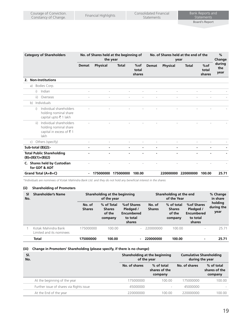| <b>Category of Shareholders</b>                                                             |                          | No. of Shares held at the beginning of<br>the year |                          |                           | No. of Shares held at the end of the<br>year |                          |                          |                           | %<br>Change           |
|---------------------------------------------------------------------------------------------|--------------------------|----------------------------------------------------|--------------------------|---------------------------|----------------------------------------------|--------------------------|--------------------------|---------------------------|-----------------------|
|                                                                                             | Demat                    | Physical                                           | <b>Total</b>             | $%$ of<br>total<br>shares | <b>Demat</b>                                 | Physical                 | <b>Total</b>             | $%$ of<br>total<br>shares | during<br>the<br>year |
| 2. Non-Institutions                                                                         |                          |                                                    |                          |                           |                                              |                          |                          |                           |                       |
| Bodies Corp.<br>a)                                                                          |                          |                                                    |                          |                           |                                              |                          |                          |                           |                       |
| Indian<br>$\mathsf{i}$                                                                      |                          |                                                    |                          |                           |                                              |                          |                          |                           |                       |
| Overseas<br>$\mathsf{ii}$                                                                   |                          |                                                    |                          |                           |                                              |                          |                          |                           |                       |
| Individuals<br>b)                                                                           |                          |                                                    |                          |                           |                                              |                          |                          |                           |                       |
| Individual shareholders<br>i)<br>holding nominal share<br>capital upto ₹ 1 lakh             |                          |                                                    |                          |                           |                                              |                          |                          |                           |                       |
| Individual shareholders<br>ii)<br>holding nominal share<br>capital in excess of ₹ 1<br>lakh |                          |                                                    |                          |                           |                                              |                          |                          |                           |                       |
| Others (specify)<br>$\mathsf{C}$                                                            | $\overline{\phantom{a}}$ | $\overline{\phantom{a}}$                           | $\overline{\phantom{a}}$ | ٠                         | ٠                                            | $\overline{\phantom{a}}$ | $\overline{\phantom{a}}$ |                           |                       |
| Sub-total $(B)(2)$ :-                                                                       | $\blacksquare$           | $\blacksquare$                                     |                          |                           | ٠                                            | $\blacksquare$           |                          |                           |                       |
| <b>Total Public Shareholding</b><br>$(B)=(B)(1)+(B)(2)$                                     |                          | ٠                                                  |                          |                           |                                              |                          |                          |                           |                       |
| C. Shares held by Custodian<br>for GD₹ & AD₹                                                |                          |                                                    |                          |                           |                                              |                          |                          |                           |                       |
| Grand Total $(A+B+C)$                                                                       | ۰                        | 175000000                                          | 175000000                | 100.00                    |                                              | 220000000                | 220000000                | 100.00                    | 25.71                 |

*\*Individuals are nominees of Kotak Mahindra Bank Ltd. and they do not hold any beneficial interest in the shares*

#### **(ii) Shareholding of Promoters**

| sı<br>No. | <b>Shareholder's Name</b>                       |                         | Shareholding at the beginning<br>of the year     |                                                                     |                         | Shareholding at the end<br>of the Year           |                                                                     |                               |  |
|-----------|-------------------------------------------------|-------------------------|--------------------------------------------------|---------------------------------------------------------------------|-------------------------|--------------------------------------------------|---------------------------------------------------------------------|-------------------------------|--|
|           |                                                 | No. of<br><b>Shares</b> | % of Total<br><b>Shares</b><br>of the<br>company | % of Shares<br>Pledged /<br><b>Encumbered</b><br>to total<br>shares | No. of<br><b>Shares</b> | % of total<br><b>Shares</b><br>of the<br>company | % of Shares<br>Pledged /<br><b>Encumbered</b><br>to total<br>shares | holding<br>during the<br>year |  |
|           | Kotak Mahindra Bank<br>Limited and its nominees | 175000000               | 100.00                                           | $-$                                                                 | 220000000               | 100.00                                           | $\overline{\phantom{a}}$                                            | 25 71                         |  |
|           | <b>Total</b>                                    | 175000000               | 100.00                                           |                                                                     | 220000000               | 100.00                                           | ٠                                                                   | 25.71                         |  |

## **(iii) Change in Promoters' Shareholding (please specify, if there is no change)**

| SI.<br>No.                               | Shareholding at the beginning<br>of the year |                                        | <b>Cumulative Shareholding</b><br>during the year |                                        |  |
|------------------------------------------|----------------------------------------------|----------------------------------------|---------------------------------------------------|----------------------------------------|--|
|                                          | No. of shares                                | % of total<br>shares of the<br>company | No. of shares                                     | % of total<br>shares of the<br>company |  |
| At the beginning of the year             | 175000000                                    | 100.00                                 | 175000000                                         | 100.00                                 |  |
| Further issue of shares via Rights issue | 45000000                                     |                                        | 45000000                                          |                                        |  |
| At the End of the year                   | 220000000                                    | 100.00                                 | 220000000                                         | 100.00                                 |  |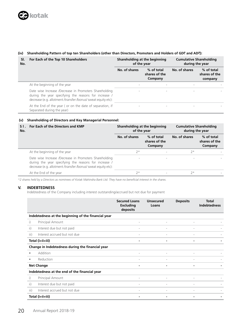

## **(iv) Shareholding Pattern of top ten Shareholders (other than Directors, Promoters and Holders of GD**` **and AD**`**):**

| SI.<br>No. | For Each of the Top 10 Shareholders                                                                                                                                              | Shareholding at the beginning<br>of the year |                                        | <b>Cumulative Shareholding</b><br>during the year |                                        |  |
|------------|----------------------------------------------------------------------------------------------------------------------------------------------------------------------------------|----------------------------------------------|----------------------------------------|---------------------------------------------------|----------------------------------------|--|
|            |                                                                                                                                                                                  | No. of shares                                | % of total<br>shares of the<br>Company | No. of shares                                     | % of total<br>shares of the<br>company |  |
|            | At the beginning of the year                                                                                                                                                     |                                              |                                        |                                                   |                                        |  |
|            | Date wise Increase /Decrease in Promoters Shareholding<br>during the year specifying the reasons for increase /<br>decrease (e.g. allotment /transfer /bonus/ sweat equity etc): | $\overline{\phantom{0}}$                     | $\overline{\phantom{0}}$               | $\overline{\phantom{0}}$                          |                                        |  |
|            | At the End of the year (or on the date of separation, if<br>Separated during the year)                                                                                           |                                              |                                        |                                                   |                                        |  |

## **(v) Shareholding of Directors and Key Managerial Personnel:**

| SI.<br>No. | For Each of the Directors and KMP                                                                                                                                                | Shareholding at the beginning<br>of the year |                                        | <b>Cumulative Shareholding</b><br>during the year |                                        |
|------------|----------------------------------------------------------------------------------------------------------------------------------------------------------------------------------|----------------------------------------------|----------------------------------------|---------------------------------------------------|----------------------------------------|
|            |                                                                                                                                                                                  | No. of shares                                | % of total<br>shares of the<br>Company | No. of shares                                     | % of total<br>shares of the<br>Company |
|            | At the beginning of the year                                                                                                                                                     | $7*$                                         |                                        | $7*$                                              |                                        |
|            | Date wise Increase /Decrease in Promoters Shareholding<br>during the year specifying the reasons for increase /<br>decrease (e.g. allotment /transfer /bonus/ sweat equity etc): |                                              | $\overline{\phantom{0}}$               |                                                   |                                        |
|            | At the End of the year                                                                                                                                                           | $7*$                                         |                                        | $7*$                                              |                                        |

*\*2 shares held by a Directors as nominees of Kotak Mahindra Bank Ltd. They have no beneficial interest in the shares.*

### **V. INDEBTEDNESS**

Indebtedness of the Company including interest outstanding/accrued but not due for payment

|                 |                                                     | <b>Secured Loans</b><br><b>Excluding</b><br>deposits | Unsecured<br>Loans       | <b>Deposits</b>              | Total<br><b>Indebtedness</b> |
|-----------------|-----------------------------------------------------|------------------------------------------------------|--------------------------|------------------------------|------------------------------|
|                 | Indebtedness at the beginning of the financial year |                                                      |                          |                              |                              |
| i)              | Principal Amount                                    | $\overline{\phantom{a}}$                             | $\overline{\phantom{a}}$ | $\overline{\phantom{a}}$     |                              |
| $\overline{ii}$ | Interest due but not paid                           | $\overline{\phantom{a}}$                             | $\overline{\phantom{a}}$ | $\overline{\phantom{a}}$     |                              |
| iii)            | Interest accrued but not due                        |                                                      | ٠                        |                              |                              |
|                 | Total (i+ii+iii)                                    | $\blacksquare$                                       | $\blacksquare$           | ٠                            |                              |
|                 | Change in Indebtedness during the financial year    |                                                      |                          |                              |                              |
| ٠               | Addition                                            | $\overline{\phantom{0}}$                             | $\overline{\phantom{a}}$ | ٠                            |                              |
| ٠               | Reduction                                           | $\overline{\phantom{0}}$                             | ٠                        |                              |                              |
|                 | <b>Net Change</b>                                   | $\blacksquare$                                       | ٠                        | ٠                            |                              |
|                 | Indebtedness at the end of the financial year       |                                                      |                          |                              |                              |
| $\vert$ )       | Principal Amount                                    | $\overline{\phantom{a}}$                             | ٠                        |                              |                              |
| ii)             | Interest due but not paid                           | $\overline{\phantom{a}}$                             | $\overline{\phantom{m}}$ | $\qquad \qquad \blacksquare$ |                              |
| iii)            | Interest accrued but not due                        | $\overline{\phantom{a}}$                             | $\overline{\phantom{a}}$ | $\overline{\phantom{a}}$     |                              |
|                 | Total (i+ii+iii)                                    |                                                      | ٠                        | ٠                            |                              |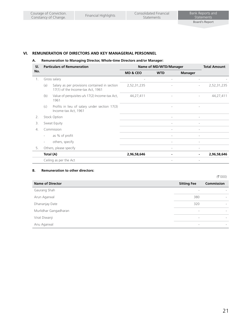## **VI. REMUNERATION OF DIRECTORS AND KEY MANAGERIAL PERSONNEL**

#### **A. Remuneration to Managing Director, Whole-time Directors and/or Manager:**

| SI.                   |                          | <b>Particulars of Remuneration</b>                                                 |                     | Name of MD/WTD/Manager   |                          | <b>Total Amount</b> |
|-----------------------|--------------------------|------------------------------------------------------------------------------------|---------------------|--------------------------|--------------------------|---------------------|
| No.                   |                          |                                                                                    | <b>MD &amp; CEO</b> | <b>WTD</b>               | <b>Manager</b>           |                     |
| 1.                    |                          | Gross salary                                                                       |                     |                          |                          |                     |
|                       | (a)                      | Salary as per provisions contained in section<br>17(1) of the Income-tax Act, 1961 | 2,52,31,235         | $\overline{\phantom{a}}$ | $\overline{\phantom{a}}$ | 2,52,31,235         |
|                       | (b)                      | Value of perquisites u/s 17(2) Income-tax Act,<br>1961                             | 44,27,411           | $\overline{a}$           | $\overline{\phantom{a}}$ | 44,27,411           |
|                       | (c)                      | Profits in lieu of salary under section 17(3)<br>Income-tax Act, 1961              |                     | $\overline{a}$           |                          |                     |
| 2.                    |                          | Stock Option                                                                       |                     | $\overline{\phantom{a}}$ | $\overline{\phantom{a}}$ |                     |
| 3.                    |                          | Sweat Equity                                                                       |                     | $\overline{\phantom{0}}$ | $\overline{\phantom{a}}$ |                     |
| $\mathcal{A}_{\cdot}$ |                          | Commission                                                                         |                     |                          |                          |                     |
|                       | $\overline{\phantom{a}}$ | as % of profit                                                                     |                     |                          |                          |                     |
|                       | $\overline{\phantom{a}}$ | others, specify                                                                    |                     | $\overline{\phantom{0}}$ | $\overline{\phantom{a}}$ |                     |
| 5.                    |                          | Others, please specify                                                             |                     |                          |                          |                     |
|                       |                          | Total (A)                                                                          | 2,96,58,646         |                          | ۰                        | 2,96,58,646         |
|                       |                          | Ceiling as per the Act                                                             |                     |                          |                          |                     |

#### **B. Remuneration to other directors:**

 $(8°000)$ **Name of Director Sitting Fee Commission** Gaurang Shah - - Arun Agarwal 380 - Dhananjay Date 320 - 1999 - 1999 - 1999 - 1999 - 1999 - 1999 - 1999 - 1999 - 1999 - 1999 - 1999 - 1999 - 1999 - 1999 - 1999 - 1999 - 1999 - 1999 - 1999 - 1999 - 1999 - 1999 - 1999 - 1999 - 1999 - 1999 - 1999 - 1999 - 1999 Murlidhar Gangadharan - - Virat Diwanji - - Anu Agarwal - -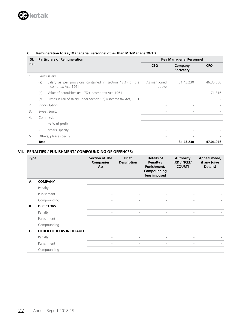

| SI.                   |       | <b>Particulars of Remuneration</b>                                                 |                          | <b>Key Managerial Personnel</b> |            |
|-----------------------|-------|------------------------------------------------------------------------------------|--------------------------|---------------------------------|------------|
| no.                   |       |                                                                                    | <b>CEO</b>               | Company<br>Secretary            | <b>CFO</b> |
| 1.                    |       | Gross salary                                                                       |                          |                                 |            |
|                       | (a)   | Salary as per provisions contained in section 17(1) of the<br>Income-tax Act, 1961 | As mentioned<br>above    | 31,43,230                       | 46,35,660  |
|                       | (b)   | Value of perquisites u/s 17(2) Income-tax Act, 1961                                |                          |                                 | 71,316     |
|                       | (c)   | Profits in lieu of salary under section 17(3) Income tax Act, 1961                 |                          |                                 |            |
| 2.                    |       | Stock Option                                                                       | $\overline{\phantom{a}}$ | $\overline{\phantom{a}}$        |            |
| 3.                    |       | Sweat Equity                                                                       |                          |                                 |            |
| $\mathcal{A}_{\cdot}$ |       | Commission                                                                         |                          |                                 |            |
|                       |       | as % of profit                                                                     | $\overline{\phantom{a}}$ | $\overline{\phantom{a}}$        |            |
|                       |       | others, specify                                                                    |                          |                                 |            |
| 5.                    |       | Others, please specify                                                             | $\overline{\phantom{0}}$ |                                 |            |
|                       | Total |                                                                                    |                          | 31,43,230                       | 47,06,976  |

## **C. Remuneration to Key Managerial Personnel other than MD/Manager/WTD**

## **VII. PENALTIES / PUNISHMENT/ COMPOUNDING OF OFFENCES:**

| <b>Type</b>  |                           | <b>Section of The</b><br><b>Companies</b><br>Act | <b>Brief</b><br><b>Description</b> | Details of<br>Penalty /<br>Punishment/<br>Compounding<br>fees imposed | Authority<br>[RD / NCLT/<br><b>COURT</b> | Appeal made,<br>if any (give<br>Details) |
|--------------|---------------------------|--------------------------------------------------|------------------------------------|-----------------------------------------------------------------------|------------------------------------------|------------------------------------------|
| А.           | <b>COMPANY</b>            |                                                  |                                    |                                                                       |                                          |                                          |
|              | Penalty                   | $\overline{\phantom{0}}$                         | $\overline{\phantom{a}}$           | $\overline{\phantom{a}}$                                              |                                          |                                          |
|              | Punishment                | $\overline{\phantom{0}}$                         | $\overline{\phantom{a}}$           | $\overline{\phantom{a}}$                                              | $\overline{\phantom{a}}$                 |                                          |
|              | Compounding               | $\overline{\phantom{0}}$                         | $\overline{\phantom{a}}$           | $\overline{\phantom{a}}$                                              | $\overline{\phantom{a}}$                 |                                          |
| В.           | <b>DIRECTORS</b>          |                                                  |                                    |                                                                       |                                          |                                          |
|              | Penalty                   | $\overline{\phantom{0}}$                         | $\overline{\phantom{a}}$           | $\overline{\phantom{a}}$                                              | $\overline{\phantom{a}}$                 |                                          |
|              | Punishment                | $\overline{\phantom{0}}$                         | $\overline{\phantom{a}}$           | $\overline{\phantom{a}}$                                              | $\overline{\phantom{a}}$                 |                                          |
|              | Compounding               |                                                  | $\overline{\phantom{a}}$           | $\overline{\phantom{a}}$                                              |                                          |                                          |
| $\mathsf{C}$ | OTHER OFFICERS IN DEFAULT |                                                  |                                    |                                                                       |                                          |                                          |
|              | Penalty                   | $\overline{\phantom{0}}$                         | $\overline{\phantom{a}}$           | $\overline{\phantom{a}}$                                              | $\overline{\phantom{a}}$                 |                                          |
|              | Punishment                |                                                  | $\overline{\phantom{a}}$           | $\overline{\phantom{a}}$                                              | $\overline{\phantom{a}}$                 |                                          |
|              | Compounding               | $\overline{\phantom{a}}$                         | ٠                                  | $\overline{\phantom{a}}$                                              | $\overline{\phantom{a}}$                 |                                          |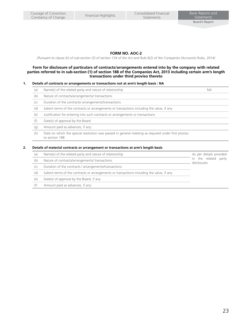#### **Form No. AOC-2**

*(Pursuant to clause (h) of sub-section (3) of section 134 of the Act and Rule 8(2) of the Companies (Accounts) Rules, 2014)*

#### **Form for disclosure of particulars of contracts/arrangements entered into by the company with related parties referred to in sub-section (1) of section 188 of the Companies Act, 2013 including certain arm's length transactions under third proviso thereto**

#### **1. Details of contracts or arrangements or transactions not at arm's length basis : NA**

(e) Date(s) of approval by the Board, if any (f) Amount paid as advances, if any:

| (a) | Name(s) of the related party and nature of relationship                                                              | <b>NA</b>                           |
|-----|----------------------------------------------------------------------------------------------------------------------|-------------------------------------|
| (b) | Nature of contracts/arrangements/ transactions                                                                       |                                     |
| (c) | Duration of the contracts/arrangements/transactions                                                                  |                                     |
| (d) | Salient terms of the contracts or arrangements or transactions including the value, if any                           |                                     |
| (e) | Justification for entering into such contracts or arrangements or transactions                                       |                                     |
| (f) | Date(s) of approval by the Board                                                                                     |                                     |
| (q) | Amount paid as advances, if any:                                                                                     |                                     |
|     | Date on which the special resolution was passed in general meeting as required under first proviso<br>to section 188 |                                     |
| (h) |                                                                                                                      |                                     |
|     | Details of material contracts or arrangement or transactions at arm's length basis                                   |                                     |
| (a) | Name(s) of the related party and nature of relationship                                                              | As per details provided             |
| (b) | Nature of contracts/arrangements/ transactions                                                                       | in the related party<br>disclosures |
| (c) | Duration of the contracts / arrangements/transactions                                                                |                                     |
| (d) | Salient terms of the contracts or arrangements or transactions including the value, if any                           |                                     |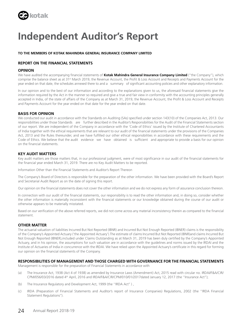

## **Independent Auditor's Report**

#### **TO THE MEMBERS OF KOTAK MAHINDRA GENERAL INSURANCE COMPANY LIMITED**

### **Report on the Financial Statements**

#### **Opinion**

We have audited the accompanying financial statements of **Kotak Mahindra General Insurance Company Limited** ("the Company"), which comprise the balance sheet as at 31st March 2019, the Revenue Account, the Profit & Loss Account and Receipts and Payments Account for the year ended on that date, the schedules annexed there to and a summary of significant accounting policies and other explanatory information.

In our opinion and to the best of our information and according to the explanations given to us, the aforesaid financial statements give the information required by the Act in the manner so required and give a true and fair view in conformity with the accounting principles generally accepted in India, of the state of affairs of the Company as at March 31, 2019, the Revenue Account, the Profit & Loss Account and Receipts and Payments Account for the year ended on that date for the year ended on that date.

#### **Basis for Opinion**

We conducted our audit in accordance with the Standards on Auditing (SAs) specified under section 143(10) of the Companies Act, 2013. Our responsibilities under those Standards are further described in the Auditor's Responsibilities for the Audit of the Financial Statements section of our report. We are independent of the Company in accordance with the 'Code of Ethics' issued by the Institute of Chartered Accountants of India together with the ethical requirements that are relevant to our audit of the financial statements under the provisions of the Companies Act, 2013 and the Rules thereunder, and we have fulfilled our other ethical responsibilities in accordance with these requirements and the Code of Ethics. We believe that the audit evidence we have obtained is sufficient and appropriate to provide a basis for our opinion on the financial statements.

#### **Key Audit Matters**

Key audit matters are those matters that, in our professional judgment, were of most significance in our audit of the financial statements for the financial year ended March 31, 2019. There are no Key Audit Matters to be reported.

Information Other than the Financial Statements and Auditor's Report Thereon

The Company's Board of Directors is responsible for the preparation of the other information. We have been provided with the Board's Report and Secretarial Audit Report as on the date of signing this report.

Our opinion on the financial statements does not cover the other information and we do not express any form of assurance conclusion thereon.

In connection with our audit of the financial statements, our responsibility is to read the other information and, in doing so, consider whether the other information is materially inconsistent with the financial statements or our knowledge obtained during the course of our audit or otherwise appears to be materially misstated.

Based on our verification of the above referred reports, we did not come across any material inconsistency therein as compared to the financial statement.

#### **Other Matter**

The actuarial valuation of liabilities Incurred But Not Reported (IBNR) and Incurred But Not Enough Reported (IBNER) claims is the responsibility of the Company's Appointed Actuary ('the Appointed Actuary').The estimate of claims Incurred But Not Reported (IBNR)and claims Incurred But Not Enough Reported (IBNER),included under Claims Outstanding as at March 31, 2019 has been duly certified by the Company's Appointed Actuary, and in his opinion, the assumptions for such valuation are in accordance with the guidelines and norms issued by the IRDAI and the Institute of Actuaries of India in concurrence with the IRDAI. We have relied upon the Appointed Actuary's certificate in this regard for forming our opinion on the financial statements of the Company.

## **Responsibilities of Management and Those Charged with Governance for the Financial Statements**

Management is responsible for the preparation of Financial Statements in accordance with

- (a) The Insurance Act, 1938 (Act 4 of 1938) as amended by Insurance Laws (Amendment) Act, 2015 read with circular no. IRDAI/F&A/CIR/ CPM/056/03/2016 dated 4th April, 2016 and IRDA/F&A/CIR/CPM/010/01/2017dated January 12, 2017 (the ''Insurance Act");
- (b) The Insurance Regulatory and Development Act, 1999 (the ''IRDA Act'' ) ,
- (c) IRDA (Preparation of Financial Statements and Auditor's report of Insurance Companies) Regulations, 2002 (the ''IRDA Financial Statement Regulations'').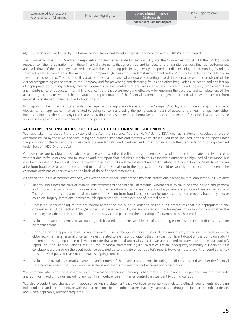(d) Orders/Directions Issued by the Insurance Regulatory and Development Authority of India (the ''IRDA'') in this regard.

The Company's Board of Directors is responsible for the matters stated in section 134(5) of the Companies Act, 2013 ("the Act") with respect to the preparation of these financial statements that give a true and fair view of the financial position, financial performance, and cash flows of the Company in accordance with the accounting principles generally accepted in India, including the accounting Standards specified under section 133 of the Act and the Companies (Accounting Standards) Amendment Rules, 2016 to the extent applicable and in the manner so required. This responsibility also includes maintenance of adequate accounting records in accordance with the provisions of the Act for safeguarding of the assets of the Company and for preventing and detecting frauds and other irregularities; selection and application of appropriate accounting policies; making judgments and estimates that are reasonable and prudent; and design, implementation and maintenance of adequate internal financial controls, that were operating effectively for ensuring the accuracy and completeness of the accounting records, relevant to the preparation and presentation of the financial statement that give a true and fair view and are free from material misstatement, whether due to fraud or error.

In preparing the financial statements, management is responsible for assessing the Company's ability to continue as a going concern, disclosing, as applicable, matters related to going concern and using the going concern basis of accounting unless management either intends to liquidate the Company or to cease operations, or has no realistic alternative but to do so. The Board of Directors is also responsible for overseeing the company's financial reporting process.

#### **Auditor's Responsibilities for the Audit of the Financial Statements**

We have taken into account the provisions of the Act, the Insurance Act, the IRDA Act, the IRDA Financial Statement Regulations, orders/ directions issued by the IRDA, the accounting and auditing standards and matters which are required to be included in the audit report under the provisions of the Act and the Rules made thereunder. We conducted our audit in accordance with the Standards on Auditing specified under Section 143(10) of the Act.

Our objectives are to obtain reasonable assurance about whether the financial statements as a whole are free from material misstatement, whether due to fraud or error, and to issue an auditor's report that includes our opinion. Reasonable assurance is a high level of assurance, but is not a guarantee that an audit conducted in accordance with SAs will always detect material misstatement when it exists. Misstatements can arise from fraud or error and are considered material if, individually or in the aggregate, they could reasonably be expected to influence the economic decisions of users taken on the basis of these financial statements.

As part of an audit in accordance with SAs, we exercise professional judgment and maintain professional skepticism throughout the audit. We also:

- Identify and assess the risks of material misstatement of the financial statements, whether due to fraud or error, design and perform audit procedures responsive to those risks, and obtain audit evidence that is sufficient and appropriate to provide a basis for our opinion. The risk of not detecting a material misstatement resulting from fraud is higher than for one resulting from error, as fraud may involve collusion, forgery, intentional omissions, misrepresentations, or the override of internal control.
- Obtain an understanding of internal control relevant to the audit in order to design audit procedures that are appropriate in the circumstances. Under section 143(3)(i) of the Companies Act, 2013, we are also responsible for expressing our opinion on whether the company has adequate internal financial controls system in place and the operating effectiveness of such controls.
- Evaluate the appropriateness of accounting policies used and the reasonableness of accounting estimates and related disclosures made by management.
- Conclude on the appropriateness of management's use of the going concern basis of accounting and, based on the audit evidence obtained, whether a material uncertainty exists related to events or conditions that may cast significant doubt on the Company's ability to continue as a going concern. If we conclude that a material uncertainty exists, we are required to draw attention in our auditor's report to the related disclosures in the financial statements or, if such disclosures are inadequate, to modify our opinion. Our conclusions are based on the audit evidence obtained up to the date of our auditor's report. However, future events or conditions may cause the Company to cease to continue as a going concern.
- Evaluate the overall presentation, structure and content of the financial statements, including the disclosures, and whether the financial statements represent the underlying transactions and events in a manner that achieves fair presentation.

We communicate with those charged with governance regarding, among other matters, the planned scope and timing of the audit and significant audit findings, including any significant deficiencies in internal control that we identify during our audit.

We also provide those charged with governance with a statement that we have complied with relevant ethical requirements regarding independence, and to communicate with them all relationships and other matters that may reasonably be thought to bear on our independence, and where applicable, related safeguards.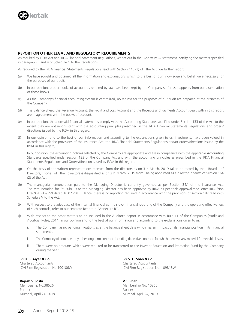

#### **Report on Other Legal and Regulatory Requirements**

As required by IRDA Act and IRDA Financial Statement Regulations, we set out in the 'Annexure A' statement, certifying the matters specified in paragraph 3 and 4 of Schedule C to the Regulations.

As required by the IRDA Financial Statements Regulations read with Section 143 (3) of the Act, we further report:

- (a) We have sought and obtained all the information and explanations which to the best of our knowledge and belief were necessary for the purposes of our audit.
- (b) In our opinion, proper books of account as required by law have been kept by the Company so far as it appears from our examination of those books
- (c) As the Company's financial accounting system is centralized, no returns for the purposes of our audit are prepared at the branches of the Company.
- (d) The Balance Sheet, the Revenue Account, the Profit and Loss Account and the Receipts and Payments Account dealt with in this report are in agreement with the books of account.
- (e) In our opinion, the aforesaid financial statements comply with the Accounting Standards specified under Section 133 of the Act to the extent they are not inconsistent with the accounting principles prescribed in the IRDA Financial Statements Regulations and orders/ directions issued by the IRDA in this regard.
- (f) In our opinion and to the best of our information and according to the explanations given to us, investments have been valued in accordance with the provisions of the Insurance Act, the IRDA Financial Statements Regulations and/or orders/directions issued by the IRDA in this regard,

In our opinion, the accounting policies selected by the Company are appropriate and are in compliance with the applicable Accounting Standards specified under section 133 of the Company Act and with the accounting principles as prescribed in the IRDA Financial Statements Regulations and Orders/direction issued by IRDA in this regard.

- (g) On the basis of the written representations received from the directors as on 31<sup>st</sup> March, 2019 taken on record by the Board of Directors, none of the directors is disqualified as on  $31<sup>st</sup>$  March, 2019 from being appointed as a director in terms of Section 164 (2) of the Act.
- (h) The managerial remuneration paid to the Managing Director is currently governed as per Section 34A of the Insurance Act. The remuneration for FY 20i8-19 to the Managing Director has been approved by IRDA as per their approval vide letter IRDA/Non Life/2O16-17/359 dated 16.07.2018. Hence, there is no reporting required in accordance with the provisions of section 197 read with Schedule V to the Act;
- (i) With respect to the adequacy of the internal financial controls over financial reporting of the Company and the operating effectiveness of such controls, refer to our separate Report in "Annexure B".
- (j) With respect to the other matters to be included in the Auditor's Report in accordance with Rule 11 of the Companies (Audit and Auditors) Rules, 2014, in our opinion and to the best of our information and according to the explanations given to us:
	- i. The Company has no pending litigations as at the balance sheet date which has an impact on its financial position in its financial statements.
	- ii. The Company did not have any other long term contracts including derivative contracts for which there we any material foreseeable losses.
	- iii. There were no amounts which were required to be transferred to the Investor Education and Protection Fund by the Company during the year.

For **K.S. Aiyar & Co.** Chartered Accountants ICAI Firm Registration No.100186W

**Rajesh S. Joshi** Membership No.38526 Partner Mumbai, April 24, 2019 For **V. C. Shah & Co** Chartered Accountants ICAI Firm Registration No. 109818W

**V.C. Shah** Membership No. 10360 Partner Mumbai, April 24, 2019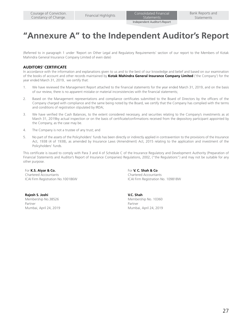## **"Annexure A" to the Independent Auditor's Report**

(Referred to in paragraph 1 under 'Report on Other Legal and Regulatory Requirements' section of our report to the Members of Kotak Mahindra General Insurance Company Limited of even date)

## **Auditors' Certificate**

In accordance with the information and explanations given to us and to the best of our knowledge and belief and based on our examination of the books of account and other records maintained by **Kotak Mahindra General Insurance Company Limited** ('the Company') for the year ended March 31, 2019, we certify that:

- 1. We have reviewed the Management Report attached to the financial statements for the year ended March 31, 2019, and on the basis of our review, there is no apparent mistake or material inconsistencies with the financial statements;
- 2. Based on the Management representations and compliance certificates submitted to the Board of Directors by the officers of the Company charged with compliance and the same being noted by the Board, we certify that the Company has complied with the terms and conditions of registration stipulated by IRDA;
- 3. We have verified the Cash Balances, to the extent considered necessary, and securities relating to the Company's investments as at March 31, 2019by actual inspection or on the basis of certificate/confirmations received from the depository participant appointed by the Company, as the case may be.
- 4. The Company is not a trustee of any trust; and
- 5. No part of the assets of the Policyholders' funds has been directly or indirectly applied in contravention to the provisions of the Insurance Act, 1938 (4 of 1938), as amended by Insurance Laws (Amendment) Act, 2015 relating to the application and investment of the Policyholders' funds.

This certificate is issued to comply with Para 3 and 4 of Schedule C of the Insurance Regulatory and Development Authority (Preparation of Financial Statements and Auditor's Report of Insurance Companies) Regulations, 2002, ("the Regulations") and may not be suitable for any other purpose.

For **K.S. Aiyar & Co.** Chartered Accountants ICAI Firm Registration No.100186W

**Rajesh S. Joshi** Membership No.38526 Partner Mumbai, April 24, 2019 For **V. C. Shah & Co** Chartered Accountants ICAI Firm Registration No. 109818W

#### **V.C. Shah**

Membership No. 10360 Partner Mumbai, April 24, 2019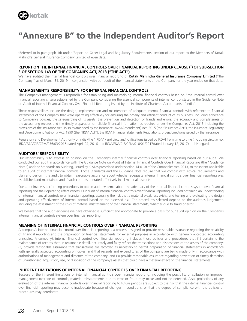

## **"Annexure B" to the Independent Auditor's Report**

(Referred to in paragraph 1(i) under 'Report on Other Legal and Regulatory Requirements' section of our report to the Members of Kotak Mahindra General Insurance Company Limited of even date)

#### **Report on the Internal Financial Controls Over Financial Reporting under Clause (i) of Sub-section 3 of Section 143 of the Companies Act, 2013 ("the Act")**

We have audited the internal financial controls over financial reporting of **Kotak Mahindra General Insurance Company Limited** ("the Company") as of March 31, 2019 in conjunction with our audit of the financial statements of the Company for the year ended on that date.

#### **Management's Responsibility for Internal Financial Controls**

The Company's management is responsible for establishing and maintaining internal financial controls based on "the internal control over financial reporting criteria established by the Company considering the essential components of internal control stated in the Guidance Note on Audit of Internal Financial Controls Over Financial Reporting issued by the Institute of Chartered Accountants of India".

These responsibilities include the design, implementation and maintenance of adequate internal financial controls with reference to financial statements of the Company that were operating effectively for ensuring the orderly and efficient conduct of its business, including adherence to Company's policies, the safeguarding of its assets, the prevention and detection of frauds and errors, the accuracy and completeness of the accounting records and the timely preparation of reliable financial information, as required under the Companies Act, 2013 including the provisions of the Insurance Act, 1938 as amended by the Insurance Laws (Amendment) Act, 2015 (the "Insurance Act"), the Insurance Regulatory and Development Authority Act, 1999 (the "IRDA Act"), the IRDA Financial Statements Regulations, orders/directions issued by the Insurance

Regulatory and Development Authority of India (the "IRDA") and circulars/notifications issued by IRDAI from time to time (including circular no. IRDA/F&A/CIR/CPM/056/03/2016 dated April 04, 2016 and IRDA/F&A/CIR/CPM/010/01/2017dated January 12, 2017) in this regard.

#### **Auditors' Responsibility**

Our responsibility is to express an opinion on the Company's internal financial controls over financial reporting based on our audit. We conducted our audit in accordance with the Guidance Note on Audit of Internal Financial Controls Over Financial Reporting (the "Guidance Note") and the Standards on Auditing, issued by ICAI as prescribed under section 143(10) of the Companies Act, 2013, to the extent applicable to an audit of internal financial controls. Those Standards and the Guidance Note require that we comply with ethical requirements and plan and perform the audit to obtain reasonable assurance about whether adequate internal financial controls over financial reporting was established and maintained and if such controls operated effectively in all material respects.

Our audit involves performing procedures to obtain audit evidence about the adequacy of the internal financial controls system over financial reporting and their operating effectiveness. Our audit of internal financial controls over financial reporting included obtaining an understanding of internal financial controls over financial reporting, assessing the risk that a material weakness exists, and testing and evaluating the design and operating effectiveness of internal control based on the assessed risk. The procedures selected depend on the auditor's judgement, including the assessment of the risks of material misstatement of the financial statements, whether due to fraud or error.

We believe that the audit evidence we have obtained is sufficient and appropriate to provide a basis for our audit opinion on the Company's internal financial controls system over financial reporting.

#### **Meaning of Internal Financial Controls Over Financial Reporting**

A company's internal financial control over financial reporting is a process designed to provide reasonable assurance regarding the reliability of financial reporting and the preparation of financial statements for external purposes in accordance with generally accepted accounting principles. A company's internal financial control over financial reporting includes those policies and procedures that (1) pertain to the maintenance of records that, in reasonable detail, accurately and fairly reflect the transactions and dispositions of the assets of the company; (2) provide reasonable assurance that transactions are recorded as necessary to permit preparation of financial statements in accordance with generally accepted accounting principles, and that receipts and expenditures of the company are being made only in accordance with authorisations of management and directors of the company; and (3) provide reasonable assurance regarding prevention or timely detection of unauthorised acquisition, use, or disposition of the company's assets that could have a material effect on the financial statements.

#### **Inherent Limitations of Internal Financial Controls Over Financial Reporting**

Because of the inherent limitations of internal financial controls over financial reporting, including the possibility of collusion or improper management override of controls, material misstatements due to error or fraud may occur and not be detected. Also, projections of any evaluation of the internal financial controls over financial reporting to future periods are subject to the risk that the internal financial control over financial reporting may become inadequate because of changes in conditions, or that the degree of compliance with the policies or procedures may deteriorate.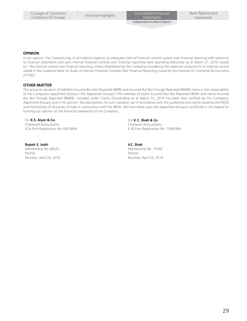#### **Opinion**

In our opinion, the Company has, in all material respects, an adequate internal financial controls system over financial reporting with reference to financial statements and such internal financial controls over financial reporting were operating effectively as at March 31, 2019, based on "the internal control over financial reporting criteria established by the Company considering the essential components of internal control stated in the Guidance Note on Audit of Internal Financial Controls Over Financial Reporting issued by the Institute of Chartered Accountants of India".

### **Other Matter**

The actuarial valuation of liabilities Incurred But Not Reported (IBNR) and Incurred But Not Enough Reported (IBNER) claims is the responsibility of the Company's Appointed Actuary ('the Appointed Actuary').The estimate of claims Incurred But Not Reported (IBNR) and claims Incurred But Not Enough Reported (IBNER), included under Claims Outstanding as at March 31, 2019 has been duly certified by the Company's Appointed Actuary, and in his opinion, the assumptions for such valuation are in accordance with the guidelines and norms issued by the IRDAI and the Institute of Actuaries of India in concurrence with the IRDAI. We have relied upon the Appointed Actuary's certificate in this regard for forming our opinion on the financial statements of the Company.

### For **K.S. Aiyar & Co.**

Chartered Accountants ICAI Firm Registration No.100186W

**Rajesh S. Joshi** Membership No.38526 Partner Mumbai, April 24, 2019 For **V. C. Shah & Co** Chartered Accountants ICAI Firm Registration No. 109818W

**V.C. Shah** Membership No. 10360 Partner Mumbai, April 24, 2019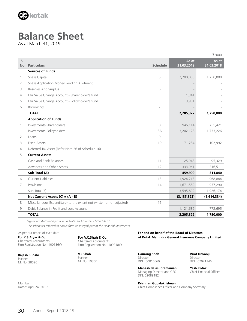

## **Balance Sheet**

As at March 31, 2019

|                      |                                                                       |                |                     | ₹ '000              |
|----------------------|-----------------------------------------------------------------------|----------------|---------------------|---------------------|
| $S_{1}$<br><b>No</b> | <b>Particulars</b>                                                    | Schedule       | As at<br>31.03.2019 | As at<br>31.03.2018 |
|                      | <b>Sources of Funds</b>                                               |                |                     |                     |
| 1                    | Share Capital                                                         | 5              | 2,200,000           | 1,750,000           |
| 2                    | Share Application Money Pending Allotment                             |                |                     |                     |
| 3                    | Reserves And Surplus                                                  | 6              |                     |                     |
| 4                    | Fair Value Change Account - Shareholder's fund                        |                | 1,341               |                     |
| 5                    | Fair Value Change Account - Policyholder's fund                       |                | 3,981               |                     |
| 6                    | Borrowings                                                            | $\overline{7}$ |                     |                     |
|                      | <b>TOTAL</b>                                                          |                | 2,205,322           | 1,750,000           |
|                      | <b>Application of Funds</b>                                           |                |                     |                     |
| 1                    | Investments-Shareholders                                              | 8              | 946,114             | 755,421             |
|                      | Investments-Policyholders                                             | <b>8A</b>      | 3,202,128           | 1,733,226           |
| 2                    | Loans                                                                 | 9              |                     |                     |
| 3                    | <b>Fixed Assets</b>                                                   | 10             | 71,284              | 102,992             |
| 4                    | Deferred Tax Asset (Refer Note 26 of Schedule 16)                     |                |                     |                     |
| 5                    | <b>Current Assets</b>                                                 |                |                     |                     |
|                      | Cash and Bank Balances                                                | 11             | 125,948             | 95,329              |
|                      | Advances and Other Assets                                             | 12             | 333,961             | 216,511             |
|                      | Sub-Total (A)                                                         |                | 459,909             | 311,840             |
| 6                    | <b>Current Liabilities</b>                                            | 13             | 1,924,213           | 968,884             |
| 7                    | Provisions                                                            | 14             | 1,671,589           | 957,290             |
|                      | Sub-Total (B)                                                         |                | 3,595,802           | 1,926,174           |
|                      | Net Current Assets $(C) = (A - B)$                                    |                | (3, 135, 893)       | (1,614,334)         |
| 8                    | Miscellaneous Expenditure (to the extent not written off or adjusted) | 15             |                     |                     |
| 9                    | Debit Balance in Profit and Loss Account                              |                | 1,121,689           | 772,695             |
|                      | <b>TOTAL</b>                                                          |                | 2,205,322           | 1,750,000           |

*Significant Accounting Policies & Notes to Accounts - Schedule 16 The schedules referred to above form an integral part of the Financial Statements*

**For K.S.Aiyar & Co.** Chartered Accountants Firm Registration No.: 100186W

**Rajesh S Joshi** Partner M. No :38526

**For V.C.Shah & Co.** Chartered Accountants Firm Registration No.: 109818W

**V.C.Shah** Partner M. No :10360

As per our report of even date **For and on behalf of the Board of Directors of Kotak Mahindra General Insurance Company Limited**

> **Gaurang Shah** Director DIN : 00016660

**Mahesh Balasubramanian** Managing Director and CEO DIN: 02089182

**Virat Diwanji** Director DIN : 07021146

**Yash Kotak** Chief Financial Officer

**Krishnan Gopalakrishnan**

Chief Compliance Officer and Company Secretary

Mumbai Dated: April 24, 2019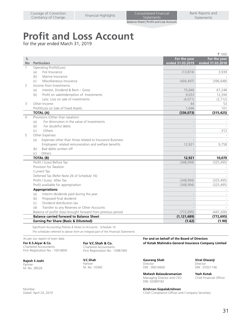Consolidated Financial Statements Balance Sheet | Profit and Loss Account

# **Profit and Loss Account**

for the year ended March 31, 2019

|              |                                                                 |                  | ₹ '000           |
|--------------|-----------------------------------------------------------------|------------------|------------------|
| S.           |                                                                 | For the year     | For the year     |
| <b>No</b>    | <b>Particulars</b>                                              | ended 31.03.2019 | ended 31.03.2018 |
| $\mathbf{1}$ | Operating Profit/(Loss)                                         |                  |                  |
|              | Fire Insurance<br>(a)                                           | (13, 874)        | 3,939            |
|              | (b)<br>Marine Insurance                                         |                  |                  |
|              | (c)<br>Miscellaneous Insurance                                  | (404, 497)       | (396, 648)       |
| 2            | Income from Investments                                         |                  |                  |
|              | Interest, Dividend & Rent - Gross<br>(a)                        | 75,646           | 67,248           |
|              | Profit on sale/redemption of Investments<br>(b)                 | 9,033            | 12,594           |
|              | Less: Loss on sale of investments                               | (4,071)          | (2,712)          |
| 3            | Other Income                                                    | 44               | 53               |
|              | Profit/Loss on Sale of Fixed Assets                             | 1,646            | 101              |
|              | <b>TOTAL (A)</b>                                                | (336,073)        | (315, 425)       |
| 4            | Provisions (Other than taxation)                                |                  |                  |
|              | For diminution in the value of Investments<br>(a)               |                  |                  |
|              | (b)<br>For doubtful debts                                       |                  |                  |
|              | (c)<br>Others                                                   |                  | 312              |
| 5            | Other Expenses                                                  |                  |                  |
|              | Expenses other than those related to Insurance Business:<br>(a) |                  |                  |
|              | Employees' related remuneration and welfare benefits            | 12,921           | 9,758            |
|              | Bad debts written off<br>(b)                                    |                  |                  |
|              | (c)<br>Others                                                   |                  |                  |
|              | TOTAL (B)                                                       | 12,921           | 10,070           |
|              | Profit / (Loss) Before Tax                                      | (348, 994)       | (325, 495)       |
|              | Provision for Taxation                                          |                  |                  |
|              | Current Tax                                                     |                  |                  |
|              | Deferred Tax (Refer Note 26 of Schedule 16)                     |                  |                  |
|              | Profit / (Loss) After Tax                                       | (348, 994)       | (325, 495)       |
|              | Profit availiable for appropriation                             | (348, 994)       | (325, 495)       |
|              | <b>Appropriations</b>                                           |                  |                  |
|              | Interim dividends paid during the year<br>(a)                   |                  |                  |
|              | Proposed final dividend<br>(b)                                  |                  |                  |
|              | Dividend distribution tax<br>(c)                                |                  |                  |
|              | Transfer to any Reserves or Other Accounts<br>(d)               |                  |                  |
|              | Balance of profit/ (loss) brought forward from previous period  | (772, 695)       | (447, 200)       |
|              | <b>Balance carried forward to Balance Sheet</b>                 | (1, 121, 689)    | (772, 695)       |
|              | <b>Earning Per Share (Basic &amp; Diluteted)</b>                | (1.62)           | (1.90)           |

*Significant Accounting Policies & Notes to Accounts - Schedule 16 The schedules referred to above form an integral part of the Financial Statements*

**For K.S.Aiyar & Co.** Chartered Accountants Firm Registration No.: 100186W

**Rajesh S Joshi** Partner M. No :38526

**For V.C.Shah & Co.** Chartered Accountants Firm Registration No.: 109818W

**V.C.Shah** Partner M. No :10360

As per our report of even date **For and on behalf of the Board of Directors of Kotak Mahindra General Insurance Company Limited**

> **Gaurang Shah** Director DIN : 00016660

**Mahesh Balasubramanian** Managing Director and CEO DIN: 02089182

**Virat Diwanji** Director DIN : 07021146

**Yash Kotak** Chief Financial Officer

Mumbai Dated: April 24, 2019 **Krishnan Gopalakrishnan** Chief Compliance Officer and Company Secretary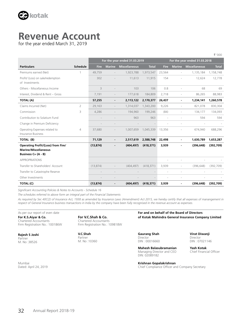

## **Revenue Account**

for the year ended March 31, 2019

|                                                                                                    |                 |             |                          |                               |              |                               |                          |                      | ₹ '000       |  |
|----------------------------------------------------------------------------------------------------|-----------------|-------------|--------------------------|-------------------------------|--------------|-------------------------------|--------------------------|----------------------|--------------|--|
|                                                                                                    |                 |             |                          | For the year ended 31.03.2019 |              | For the year ended 31.03.2018 |                          |                      |              |  |
| <b>Particulars</b>                                                                                 | <b>Schedule</b> | <b>Fire</b> | <b>Marine</b>            | <b>Miscellaneous</b>          | <b>Total</b> | <b>Fire</b>                   | <b>Marine</b>            | <b>Miscellaneous</b> | <b>Total</b> |  |
| Premiums earned (Net)                                                                              | 1               | 49,759      |                          | 1,923,788                     | 1,973,547    | 23,564                        | $\overline{\phantom{a}}$ | 1,135,184            | 1,158,748    |  |
| Profit/ (Loss) on sale/redemption<br>of Investments                                                |                 | 302         |                          | 11.613                        | 11.915       | 154                           | ٠                        | 12.624               | 12.778       |  |
| Others - Miscellaneous Income                                                                      |                 | 3           |                          | 103                           | 106          | 0.8                           | ÷                        | 68                   | 69           |  |
| Interest, Dividend & Rent - Gross                                                                  |                 | 7,191       | $\sim$                   | 177,618                       | 184,809      | 2,718                         | $\overline{\phantom{a}}$ | 86,265               | 88,983       |  |
| <b>TOTAL (A)</b>                                                                                   |                 | 57,255      | $\overline{\phantom{a}}$ | 2,113,122                     | 2,170,377    | 26,437                        | $\blacksquare$           | 1,234,141            | 1,260,578    |  |
| Claims Incurred (Net)                                                                              | $\overline{2}$  | 29,163      |                          | 1,314,037                     | 1,343,200    | 9,226                         | $\overline{a}$           | 821,078              | 830,304      |  |
| Commission                                                                                         | 3               | 4,286       |                          | 194,960                       | 199,246      | (84)                          | $\overline{\phantom{a}}$ | 134,177              | 134,093      |  |
| Contribution to Solatium Fund                                                                      |                 |             |                          | 963                           | 963          | ٠                             | ÷                        | 594                  | 594          |  |
| Change in Premium Deficiency                                                                       |                 |             |                          |                               |              |                               | $\overline{a}$           |                      |              |  |
| Operating Expenses related to<br><b>Insurance Business</b>                                         | 4               | 37,680      |                          | 1,007,659                     | 1,045,339    | 13,356                        | ÷,                       | 674,940              | 688,296      |  |
| TOTAL (B)                                                                                          |                 | 71,129      |                          | 2,517,619                     | 2,588,748    | 22,498                        | ٠                        | 1,630,789            | 1,653,287    |  |
| <b>Operating Profit/(Loss) from Fire/</b><br><b>Marine/Miscellaneous</b><br>Business $C = (A - B)$ |                 | (13, 874)   |                          | (404, 497)                    | (418, 371)   | 3,939                         |                          | (396, 648)           | (392,709)    |  |
| <b>APPROPRIATIONS</b>                                                                              |                 |             |                          |                               |              | $\overline{\phantom{a}}$      | $\overline{\phantom{a}}$ |                      |              |  |
| Transfer to Shareholders' Account                                                                  |                 | (13, 874)   |                          | (404, 497)                    | (418, 371)   | 3,939                         | ٠                        | (396, 648)           | (392, 709)   |  |
| Transfer to Catastrophe Reserve                                                                    |                 |             |                          |                               |              | ٠                             |                          |                      |              |  |
| Other Investments                                                                                  |                 |             | $\overline{a}$           |                               |              | $\overline{\phantom{a}}$      | ٠                        | ٠                    |              |  |
| TOTAL (C)                                                                                          |                 | (13, 874)   |                          | (404, 497)                    | (418, 371)   | 3,939                         | $\blacksquare$           | (396, 648)           | (392,709)    |  |

*Significant Accounting Policies & Notes to Accounts - Schedule 16*

*The schedules referred to above form an integral part of the Financial Statements*

*As required by Sec 40C(2) of Insurance Act, 1938 as amended by Insurance Laws (Amendment) Act 2015, we hereby certify that all expenses of manangement in*  respect of General Insurance business transactions in India by the company have been fully recognised in the revenue account as expenses.

## As per our report of even date **For and on behalf of the Board of Directors**

**For K.S.Aiyar & Co.** Chartered Accountants Firm Registration No.: 100186W

**Rajesh S Joshi** Partner M. No :38526

Mumbai Dated: April 24, 2019 **For V.C.Shah & Co.** Chartered Accountants Firm Registration No.: 109818W

**V.C.Shah** Partner M. No :10360 **of Kotak Mahindra General Insurance Company Limited**

**Gaurang Shah** Director DIN : 00016660

**Mahesh Balasubramanian** Managing Director and CEO DIN: 02089182

**Virat Diwanji** Director DIN : 07021146

**Yash Kotak** Chief Financial Officer

**Krishnan Gopalakrishnan** Chief Compliance Officer and Company Secretary

32 Annual Report 2018-19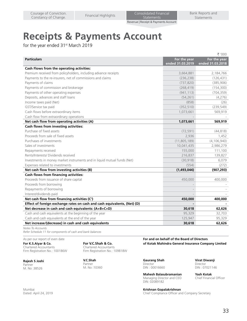Consolidated Financial Statements Revenue | Receipt & Payments Account

## **Receipts & Payments Account**

for the year ended 31<sup>st</sup> March 2019

|                                                                          |                                  | ₹ '000                           |
|--------------------------------------------------------------------------|----------------------------------|----------------------------------|
| <b>Particulars</b>                                                       | For the year<br>ended 31.03.2019 | For the year<br>ended 31.03.2018 |
| Cash Flows from the operating activities:                                |                                  |                                  |
| Premium received from policyholders, including advance receipts          | 3,664,881                        | 2,184,766                        |
| Payments to the re-insurers, net of commissions and claims               | (236, 238)                       | (126, 431)                       |
| Payments of claims                                                       | (737, 820)                       | (385,906)                        |
| Payments of commission and brokerage                                     | (268, 419)                       | (154, 300)                       |
| Payments of other operating expenses                                     | (941, 113)                       | (704, 359)                       |
| Deposits, advances and staff loans                                       | (54, 261)                        | (4,276)                          |
| Income taxes paid (Net)                                                  | (858)                            | (26)                             |
| GST/Service tax paid                                                     | (352, 510)                       | (239, 549)                       |
| Cash flows before extraordinary items                                    | 1,073,661                        | 569,919                          |
| Cash flow from extraordinary operations                                  |                                  |                                  |
| Net cash flow from operating activities (A)                              | 1,073,661                        | 569,919                          |
| Cash flows from investing activities:                                    |                                  |                                  |
| Purchase of fixed assets                                                 | (72, 591)                        | (44, 818)                        |
| Proceeds from sale of fixed assets                                       | 2,936                            | 1,452                            |
| Purchases of investments                                                 | (11,805,189)                     | (4, 106, 940)                    |
| Sales of investments                                                     | 10,041,435                       | 2,986,279                        |
| Repayments received                                                      | 155,000                          | 111,100                          |
| Rents/Interests/ Dividends received                                      | 216,837                          | 139,827                          |
| Investments in money market instruments and in liquid mutual funds (Net) | (30, 918)                        | 6,079                            |
| Expenses related to investments                                          | (554)                            | (272)                            |
| Net cash flow from investing activities (B)                              | (1,493,044)                      | (907, 293)                       |
| Cash flows from financing activities:                                    |                                  |                                  |
| Proceeds from issuance of share capital                                  | 450,000                          | 400,000                          |
| Proceeds from borrowing                                                  |                                  |                                  |
| Repayments of borrowing                                                  |                                  |                                  |
| Interest/dividends paid                                                  |                                  |                                  |
| Net cash flow from financing activities (C')                             | 450,000                          | 400,000                          |
| Effect of foreign exchange rates on cash and cash equivalents, (Net) (D) |                                  |                                  |
| Net decrease in cash and cash equivalents: (A+B+C+D)                     | 30,618                           | 62,626                           |
| Cash and cash equivalents at the beginning of the year                   | 95,329                           | 32,703                           |
| Cash and cash equivalents at the end of the year                         | 125,947                          | 95,329                           |
| Net increase/(decrease) in cash and cash equivalents                     | 30,618                           | 62,626                           |

*Notes To Accounts*

*Refer Schedule 11 for components of cash and bank balances*

**For K.S.Aiyar & Co.** Chartered Accountants Firm Registration No.: 100186W

**Rajesh S Joshi** Partner M. No :38526

**For V.C.Shah & Co.** Chartered Accountants Firm Registration No.: 109818W

**V.C.Shah** Partner M. No :10360

As per our report of even date **For and on behalf of the Board of Directors of Kotak Mahindra General Insurance Company Limited**

> **Gaurang Shah** Director DIN : 00016660

**Mahesh Balasubramanian** Managing Director and CEO DIN: 02089182

**Virat Diwanji** Director DIN : 07021146

**Yash Kotak** Chief Financial Officer

Mumbai Dated: April 24, 2019 **Krishnan Gopalakrishnan** Chief Compliance Officer and Company Secretary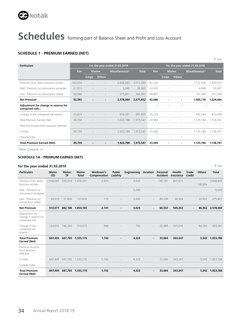

# **Schedules** forming part of Balance Sheet and Profit and Loss Account

## **SCHEDULE 1 - PREMIUM EARNED (NET)**

| <b>Particulars</b>                                       |             |        |               | For the year ended 31.03.2019 | For the year ended 31.03.2018 |             |       |               |                |              |
|----------------------------------------------------------|-------------|--------|---------------|-------------------------------|-------------------------------|-------------|-------|---------------|----------------|--------------|
|                                                          | <b>Fire</b> |        | <b>Marine</b> | Miscellaneous*                | <b>Total</b>                  | <b>Fire</b> |       | <b>Marine</b> | Miscellaneous* | <b>Total</b> |
|                                                          |             | Cargo, | <b>Others</b> |                               |                               |             | Cargo | <b>Others</b> |                |              |
| Premium from direct business written :                   | 162,254     |        |               | 2,848,845                     | 3,011,099                     | 81,556      |       |               | 1,772,359      | 1,853,915    |
| Add: Premium on reinsurance accepted                     | 21,515      |        |               | 5,045                         | 26,560                        | 22,029      | ٠     |               | 4,668          | 26,697       |
| Less : Premium on reinsurance ceded                      | 90,386      |        |               | 275.821                       | 366,207                       | 59.897      | ٠     |               | 191.309        | 251,206      |
| <b>Net Premium</b>                                       | 93,383      |        |               | 2,578,069                     | 2,671,452                     | 43,688      | ۰     |               | 1,585,718      | 1,629,406    |
| Adjustment for change in reserve for<br>unexpired risks: |             |        |               |                               |                               |             |       |               |                |              |
| Change in the unexpired risk reserve                     | 43,624      |        |               | 654,281                       | 697,905                       | 20,124      | ٠     |               | 450,534        | 470,658      |
| Total Premium Earned (Net)                               | 49,759      |        |               | 1,923,788                     | 1,973,547                     | 23,564      |       |               | 1,135,184      | 1,158,747    |
| Premium Income from business effected :                  |             |        |               |                               |                               | ٠           |       |               |                |              |
| In India                                                 | 49,759      |        |               | 1,923,788                     | 1,973,547                     | 23,564      |       |               | 1,135,184      | 1,158,747    |
| Outside India                                            |             |        |               |                               |                               |             |       |               |                |              |
| <b>Total Premium Earned (Net)</b>                        | 49,759      |        |               | 1,923,788                     | 1,973,547                     | 23,564      |       |               | 1,135,184      | 1,158,747    |

*\*Refer Schedule 1A*

#### **SCHEDULE 1A - PREMIUM EARNED (NET)**

| for the year ended 31.03.2019 | '000 |
|-------------------------------|------|
|                               |      |

| <b>Particulars</b>                                           | <b>Motor</b><br>OD | <b>Motor</b><br><b>TP</b> | <b>Motor</b><br><b>Total</b> | <b>Workmen's</b><br>Compensation | <b>Public</b><br>Liability | Engineering              | <b>Aviation</b>          | Personal<br><b>Accident</b> | <b>Health</b><br><b>Insurance</b> | <b>Trade</b><br>Credit | <b>Others</b> | <b>Total</b>     |
|--------------------------------------------------------------|--------------------|---------------------------|------------------------------|----------------------------------|----------------------------|--------------------------|--------------------------|-----------------------------|-----------------------------------|------------------------|---------------|------------------|
| Premium from direct<br>business written:                     | 1,036,087          | 939,914                   | 1,976,001                    | 2,920                            |                            | 3,622                    | $\overline{\phantom{a}}$ | 149,791                     | 607,617                           |                        | 108,894       | 2,848,845        |
| Add : Premium on<br>reinsurance accepted                     |                    |                           |                              |                                  |                            | 5,045                    |                          |                             |                                   |                        |               | 5,045            |
| Less : Premium on<br>reinsurance ceded                       | 64.010             | 57,806                    | 121.816                      | 179                              |                            | 3,642                    | ÷,                       | 89,238                      | 38,354                            |                        | 22,592        | 275,821          |
| <b>Net Premium</b>                                           | 972,077            | 882,108                   | 1,854,185                    | 2,741                            |                            | 5,025                    |                          | 60,553                      | 569,263                           |                        |               | 86,302 2,578,069 |
| Adjustment for<br>change in reserve for<br>unexpired risks : |                    |                           |                              |                                  |                            |                          |                          |                             |                                   |                        |               |                  |
| Change in the<br>unexpired risk<br>reserve                   | 124,672            | 194.343                   | 319,015                      | 999                              |                            | 702                      |                          | 26.889                      | 225,916                           |                        | 80,760        | 654,281          |
| <b>Total Premium</b><br>Earned (Net)                         | 847,405            |                           | 687.765 1.535.170            | 1.742                            | $\overline{\phantom{a}}$   | 4,323                    | $\blacksquare$           | 33,664                      | 343.347                           |                        | 5.542         | 1,923,788        |
| Premium Income<br>from business<br>effected :                |                    |                           |                              |                                  |                            |                          |                          |                             |                                   |                        |               |                  |
| In India                                                     | 847.405            | 687,765                   | 1,535,170                    | 1,742                            |                            | 4,323                    | $\overline{\phantom{a}}$ | 33,664                      | 343,347                           |                        | 5,542         | 1,923,788        |
| Outside India                                                |                    |                           |                              |                                  |                            | $\overline{\phantom{a}}$ |                          |                             |                                   |                        |               |                  |
| <b>Total Premium</b><br><b>Earned (Net)</b>                  | 847,405            |                           | 687,765 1,535,170            | 1,742                            |                            | 4,323                    | $\overline{\phantom{0}}$ | 33,664                      | 343,347                           |                        | 5,542         | 1,923,788        |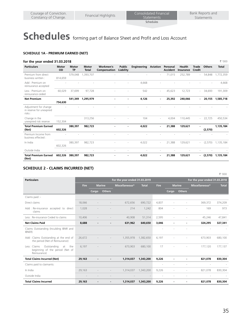# **Schedules** forming part of Balance Sheet and Profit and Loss Account

#### **SCHEDULE 1A - PREMIUM EARNED (NET)**

| for the year ended 31.03.2018                               |                           |                           |                              |                                  |                            |             |                 |                             |                            |                          |               | ₹ '000       |
|-------------------------------------------------------------|---------------------------|---------------------------|------------------------------|----------------------------------|----------------------------|-------------|-----------------|-----------------------------|----------------------------|--------------------------|---------------|--------------|
| <b>Particulars</b>                                          | <b>Motor</b><br><b>OD</b> | <b>Motor</b><br><b>TP</b> | <b>Motor</b><br><b>Total</b> | <b>Workmen's</b><br>Compensation | <b>Public</b><br>Liability | Engineering | <b>Aviation</b> | Personal<br><b>Accident</b> | Health<br><b>Insurance</b> | <b>Trade</b><br>Credit   | <b>Others</b> | <b>Total</b> |
| Premium from direct<br>business written :                   | 814,659                   | 579,048                   | 1,393,707                    |                                  |                            |             |                 | 71,015                      | 252,789                    | $\overline{\phantom{a}}$ | 54,848        | 1,772,359    |
| Add: Premium on<br>reinsurance accepted                     |                           |                           |                              |                                  |                            | 4,668       |                 |                             |                            |                          |               | 4,668        |
| Less : Premium on<br>reinsurance ceded                      | 60.029                    | 37,699                    | 97.728                       |                                  |                            | 542         | ٠               | 45.623                      | 12,723                     | $\overline{\phantom{a}}$ | 34,693        | 191,309      |
| <b>Net Premium</b>                                          | 754,630                   | 541,349                   | 1,295,979                    |                                  |                            | 4,126       | ٠               | 25,392                      | 240,066                    | $\blacksquare$           | 20,155        | 1,585,718    |
| Adjustment for change<br>in reserve for unexpired<br>risks: |                           |                           |                              |                                  |                            |             |                 |                             |                            |                          |               |              |
| Change in the<br>unexpired risk reserve                     | 152,304                   |                           | 313,256                      |                                  |                            | 104         | ٠               | 4.004                       | 110.445                    | $\sim$                   | 22,725        | 450,534      |
| <b>Total Premium Earned</b><br>(Net)                        | 602,326                   | 380,397                   | 982,723                      |                                  |                            | 4,022       | ٠               | 21,388                      | 129,621                    |                          | (2,570)       | 1,135,184    |
| Premium Income from<br>business effected :                  |                           |                           |                              |                                  |                            |             |                 |                             |                            |                          |               |              |
| In India                                                    | 602,326                   | 380,397                   | 982,723                      |                                  | ٠                          | 4,022       | ٠               | 21,388                      | 129,621                    | $\overline{\phantom{a}}$ | (2,570)       | 1,135,184    |
| Outside India                                               |                           |                           | ٠                            | ٠                                | ۰                          |             |                 |                             |                            |                          |               |              |
| <b>Total Premium Earned</b><br>(Net)                        | 602,326                   | 380,397                   | 982,723                      |                                  |                            | 4,022       |                 | 21,388                      | 129,621                    |                          | (2,570)       | 1,135,184    |

## **SCHEDULE 2 - CLAIMS INCURRED (NET)**

| <b>Particulars</b>                                                                           | For the year ended 31.03.2019 |               |               |                |              |             |               | For the year ended 31.03.2018 |                |              |  |  |
|----------------------------------------------------------------------------------------------|-------------------------------|---------------|---------------|----------------|--------------|-------------|---------------|-------------------------------|----------------|--------------|--|--|
|                                                                                              | <b>Fire</b>                   | <b>Marine</b> |               | Miscellaneous* | <b>Total</b> | <b>Fire</b> | <b>Marine</b> |                               | Miscellaneous* | <b>Total</b> |  |  |
|                                                                                              |                               | Cargo         | <b>Others</b> |                |              |             | Cargo         | <b>Others</b>                 |                |              |  |  |
| Claims paid :-                                                                               |                               |               |               |                |              |             |               |                               |                |              |  |  |
| Direct claims                                                                                | 18.066                        |               |               | 672,656        | 690,722      | 4.837       |               |                               | 369,372        | 374,209      |  |  |
| Add : Re-insurance accepted to direct<br>claims                                              | 1,028                         |               |               | 214            | 1,242        | 804         |               |                               | 169            | 973          |  |  |
| Less : Re-insurance Ceded to claims                                                          | 10,406                        |               |               | 40,908         | 51,314       | 2,595       |               |                               | 45,246         | 47,841       |  |  |
| <b>Net Claims Paid</b>                                                                       | 8,688                         |               |               | 631,962        | 640,650      | 3.046       |               | ۰                             | 324,295        | 327,341      |  |  |
| Claims Outstanding (Inculding IBNR and<br>IBNER)                                             |                               |               |               |                |              |             |               |                               |                |              |  |  |
| Add: Claims Outstanding at the end of<br>the period (Net of Reinsurance)                     | 26.672                        |               |               | 1,355,978      | 1,382,650    | 6,197       |               |                               | 673.903        | 680,100      |  |  |
| Outstanding<br>the<br>Less : Claims<br>at<br>beginning of the period (Net of<br>Reinsurance) | 6,197                         |               |               | 673,903        | 680,100      | 17          |               |                               | 177.120        | 177,137      |  |  |
| <b>Total Claims Incurred (Net)</b>                                                           | 29,163                        |               |               | 1,314,037      | 1,343,200    | 9,226       |               |                               | 821,078        | 830,304      |  |  |
| Claims paid to claimants:                                                                    |                               |               |               |                |              | ٠           |               |                               |                |              |  |  |
| In India                                                                                     | 29,163                        |               |               | 1,314,037      | 1,343,200    | 9,226       |               |                               | 821.078        | 830,304      |  |  |
| Outside India                                                                                |                               |               |               |                |              |             |               |                               |                |              |  |  |
| <b>Total Claims Incurred</b>                                                                 | 29,163                        |               |               | 1,314,037      | 1,343,200    | 9,226       |               |                               | 821.078        | 830.304      |  |  |

35

` '000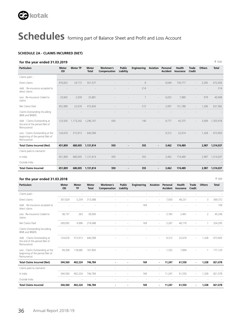

## **SCHEDULE 2A - CLAIMS INCURRED (NET)**

## **for the year ended 31.03.2019**  $\sqrt{2}$  '000

| <b>Particulars</b>                                                                 | <b>Motor</b><br>OD | <b>Motor TP</b> | <b>Motor</b><br><b>Total</b> | Workmen's<br>Compensation | <b>Public</b><br>Liability | Engineering    | <b>Aviation</b>          | Personal<br><b>Accident</b> | Health<br><b>Insurance</b> | <b>Trade</b><br><b>Credit</b> | <b>Others</b> | <b>Total</b> |
|------------------------------------------------------------------------------------|--------------------|-----------------|------------------------------|---------------------------|----------------------------|----------------|--------------------------|-----------------------------|----------------------------|-------------------------------|---------------|--------------|
| Claims paid :-                                                                     |                    |                 |                              |                           |                            |                |                          |                             |                            |                               |               |              |
| Direct claims                                                                      | 476,822            | 24,715          | 501,537                      |                           |                            | 8              | $\overline{\phantom{a}}$ | 9,049                       | 159,777                    |                               | 2,285         | 672,656      |
| Add: Re-insurance accepted to<br>direct claims                                     |                    |                 |                              |                           |                            | 214            |                          |                             |                            |                               |               | 214          |
| Less : Re-insurance Ceded to<br>claims                                             | 23,842             | 2,039           | 25,881                       |                           |                            | $\overline{7}$ | $\overline{a}$           | 6,052                       | 7,989                      |                               | 979           | 40,908       |
| Net Claims Paid                                                                    | 452,980            | 22.676          | 475,656                      |                           |                            | 215            |                          | 2,997                       | 151,788                    |                               | 1,306         | 631,962      |
| Claims Outstanding (Inculding<br>IBNR and IBNER)                                   |                    |                 |                              |                           |                            |                |                          |                             |                            |                               |               |              |
| Add: Claims Outstanding at<br>the end of the period (Net of<br>Reinsurance)        | 123.505            | 1,173,242       | 1.296.747                    | 930                       |                            | 140            |                          | 9.777                       | 45.375                     | $\sim$                        | 3.009         | 1,355,978    |
| Less: Claims Outstanding at the<br>beginning of the period (Net of<br>Reinsurance) | 124,676            | 515.913         | 640,589                      |                           |                            |                |                          | 9,312                       | 22,674                     | $\sim$                        | 1,328         | 673,903      |
| <b>Total Claims Incurred (Net)</b>                                                 | 451,809            | 680,005         | 1,131,814                    | 930                       |                            | 355            |                          | 3,462                       | 174,489                    |                               | 2,987         | 1,314,037    |
| Claims paid to claimants:                                                          |                    |                 |                              |                           |                            |                |                          |                             |                            |                               |               |              |
| In India                                                                           | 451,809            | 680,005         | 1,131,814                    | 930                       |                            | 355            |                          | 3,462                       | 174,489                    |                               | 2,987         | 1,314,037    |
| Outside India                                                                      |                    |                 |                              |                           |                            |                |                          |                             |                            |                               |               |              |
| <b>Total Claims Incurred</b>                                                       | 451,809            | 680,005         | 1,131,814                    | 930                       |                            | 355            |                          | 3,462                       | 174,489                    |                               | 2,987         | 1,314,037    |

## **for the year ended 31.03.2018**  $\sqrt{2}$   $\sqrt{2}$   $\sqrt{2}$   $\sqrt{2}$   $\sqrt{2}$   $\sqrt{2}$   $\sqrt{2}$   $\sqrt{2}$   $\sqrt{2}$   $\sqrt{2}$   $\sqrt{2}$   $\sqrt{2}$   $\sqrt{2}$   $\sqrt{2}$   $\sqrt{2}$   $\sqrt{2}$   $\sqrt{2}$   $\sqrt{2}$   $\sqrt{2}$   $\sqrt{2}$   $\sqrt{2}$   $\sqrt{2}$   $\sqrt{2}$   $\sqrt{2}$

| <b>Particulars</b>                                                                 | Motor<br>OD | <b>Motor</b><br><b>TP</b> | <b>Motor</b><br><b>Total</b> | Workmen's<br>Compensation | <b>Public</b><br>Liability | Engineering | <b>Aviation</b> | Personal<br><b>Accident</b> | <b>Health</b><br><b>Insurance</b> | <b>Trade</b><br>Credit   | <b>Others</b> | <b>Total</b> |
|------------------------------------------------------------------------------------|-------------|---------------------------|------------------------------|---------------------------|----------------------------|-------------|-----------------|-----------------------------|-----------------------------------|--------------------------|---------------|--------------|
| Claims paid :-                                                                     | ٠           |                           |                              |                           |                            |             |                 |                             |                                   |                          |               |              |
| Direct claims                                                                      | 307,829     | 5,259                     | 313,088                      |                           |                            | ÷           | ٠               | 7,050                       | 49,231                            | ÷,                       | 3             | 369,372      |
| Add: Re-insurance accepted to<br>direct claims                                     |             |                           |                              |                           |                            | 169         |                 |                             |                                   |                          |               | 169          |
| Less : Re-insurance Ceded to<br>claims                                             | 38,737      | 263                       | 39,000                       |                           |                            |             |                 | 3,783                       | 2.461                             |                          | 2             | 45,246       |
| Net Claims Paid                                                                    | 269,092     | 4,996                     | 274,088                      |                           |                            | 169         | $\sim$          | 3,267                       | 46,770                            | $\overline{\phantom{m}}$ |               | 324,295      |
| Claims Outstanding (Inculding<br>IBNR and IBNER)                                   |             |                           |                              |                           |                            |             |                 |                             |                                   |                          |               |              |
| Add: Claims Outstanding at<br>the end of the period (Net of<br>Reinsurance)        | 124,676     | 515,913                   | 640,589                      |                           |                            |             |                 | 9,312                       | 22,674                            | ÷,                       | 1,328         | 673,903      |
| Less: Claims Outstanding at the<br>beginning of the period (Net of<br>Reinsurance) | 49.208      | 118.685                   | 167.893                      |                           |                            |             |                 | 1,332                       | 7.894                             |                          |               | 177,120      |
| <b>Total Claims Incurred (Net)</b>                                                 | 344,560     | 402,224                   | 746,784                      | ٠                         |                            | 169         | $\blacksquare$  | 11,247                      | 61,550                            | $\blacksquare$           | 1,328         | 821,078      |
| Claims paid to claimants:                                                          |             |                           |                              |                           |                            | ×,          |                 |                             |                                   |                          |               |              |
| In India                                                                           | 344,560     | 402,224                   | 746,784                      |                           |                            | 169         | $\sim$          | 11,247                      | 61,550                            | ÷,                       | 1,328         | 821,078      |
| Outside India                                                                      | $\sim$      | ÷,                        |                              | ä,                        |                            | ÷,          |                 |                             |                                   | ٠                        |               |              |
| <b>Total Claims Incurred</b>                                                       | 344,560     | 402,224                   | 746,784                      |                           |                            | 169         | ٠               | 11.247                      | 61,550                            | $\blacksquare$           | 1,328         | 821.078      |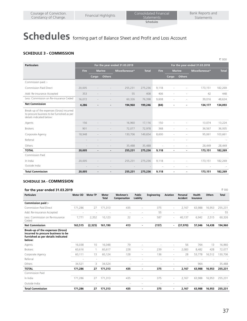## **SCHEDULE 3 - COMMISSION**

|                                                                                                                     |             |                |                          |                               |              |             |                |                          |                               | ₹ '000       |
|---------------------------------------------------------------------------------------------------------------------|-------------|----------------|--------------------------|-------------------------------|--------------|-------------|----------------|--------------------------|-------------------------------|--------------|
| <b>Particulars</b>                                                                                                  |             |                |                          | For the year ended 31.03.2019 |              |             |                |                          | For the year ended 31.03.2018 |              |
|                                                                                                                     | <b>Fire</b> | <b>Marine</b>  |                          | Miscellaneous*                | <b>Total</b> | <b>Fire</b> |                | <b>Marine</b>            | Miscellaneous*                | <b>Total</b> |
|                                                                                                                     |             | Cargo          | <b>Others</b>            |                               |              |             | Cargo          | <b>Others</b>            |                               |              |
| Commission paid :-                                                                                                  |             |                |                          |                               |              |             |                |                          |                               |              |
| Commission Paid Direct                                                                                              | 20,005      |                |                          | 255,231                       | 275,236      | 9,118       |                |                          | 173,151                       | 182,269      |
| Add: Re-insurance Accepted                                                                                          | 353         |                |                          | 55                            | 408          | 406         | ٠              | ä,                       | 42                            | 448          |
| Less: Commission on Re-insurance Ceded                                                                              | 16,072      |                |                          | 60,326                        | 76,398       | 9,608       | ÷,             |                          | 39,016                        | 48,624       |
| <b>Net Commission</b>                                                                                               | 4,286       |                |                          | 194,960                       | 199,246      | (84)        | ٠              | ٠                        | 134,177                       | 134,093      |
| Break-up of the expenses (Gross) incurred<br>to procure business to be furnished as per<br>details indicated below: |             |                |                          |                               |              |             |                |                          |                               |              |
| Agents                                                                                                              | 156         |                |                          | 16,960                        | 17,116       | 150         | ٠              |                          | 13,074                        | 13,224       |
| <b>Brokers</b>                                                                                                      | 901         |                |                          | 72,077                        | 72,978       | 368         |                | ä,                       | 36,567                        | 36,935       |
| Corporate Agency                                                                                                    | 18,948      |                |                          | 130,706                       | 149,654      | 8.600       |                | ä,                       | 95,061                        | 103,661      |
| Referral                                                                                                            |             |                |                          |                               |              |             |                |                          | ٠                             |              |
| Others                                                                                                              |             |                |                          | 35,488                        | 35,488       | $\sim$      |                | ٠                        | 28,449                        | 28,449       |
| <b>TOTAL</b>                                                                                                        | 20,005      | $\blacksquare$ | $\overline{\phantom{0}}$ | 255,231                       | 275,236      | 9,118       | $\blacksquare$ | $\overline{\phantom{a}}$ | 173,151                       | 182,269      |
| Commission Paid                                                                                                     |             |                |                          |                               |              |             |                |                          |                               |              |
| In India                                                                                                            | 20,005      |                |                          | 255,231                       | 275,236      | 9,118       |                | ÷,                       | 173,151                       | 182,269      |
| Outside India                                                                                                       |             |                |                          |                               |              | ٠           |                | ÷,                       |                               |              |
| <b>Total Commission</b>                                                                                             | 20,005      |                |                          | 255,231                       | 275,236      | 9,118       |                |                          | 173,151                       | 182,269      |

## **SCHEDULE 3A - COMMISSION**

| ₹'000<br>for the year ended 31.03.2019                                                                                 |          |                 |                              |                           |                            |             |                          |                             |                                   |               |              |  |  |
|------------------------------------------------------------------------------------------------------------------------|----------|-----------------|------------------------------|---------------------------|----------------------------|-------------|--------------------------|-----------------------------|-----------------------------------|---------------|--------------|--|--|
| <b>Particulars</b>                                                                                                     | Motor OD | <b>Motor TP</b> | <b>Motor</b><br><b>Total</b> | Workmen's<br>Compensation | <b>Public</b><br>Liability | Engineering | Aviation                 | Personal<br><b>Accident</b> | <b>Health</b><br><b>Insurance</b> | <b>Others</b> | <b>Total</b> |  |  |
| Commission paid :-                                                                                                     |          |                 |                              |                           |                            |             |                          |                             |                                   |               |              |  |  |
| Commission Paid Direct                                                                                                 | 171.286  | 27              | 171,313                      | 435                       | ä,                         | 375         | $\sim$                   | 2.167                       | 63.988                            | 16,953        | 255,231      |  |  |
| Add: Re-insurance Accepted                                                                                             | ٠        | ٠               |                              | ٠                         | ٠                          | 55          | ٠                        |                             |                                   |               | 55           |  |  |
| Less: Commission on Re-insurance<br>Ceded                                                                              | 7,771    | 2,352           | 10,123                       | 22                        | ä,                         | 587         | ٠                        | 40,137                      | 6,942                             | 2,515         | 60,326       |  |  |
| <b>Net Commission</b>                                                                                                  | 163,515  | (2, 325)        | 161,190                      | 413                       | $\overline{\phantom{a}}$   | (157)       | $\overline{\phantom{a}}$ | (37, 970)                   | 57,046                            | 14,438        | 194,960      |  |  |
| Break-up of the expenses (Gross)<br>incurred to procure business to be<br>furnished as per details indicated<br>below: |          |                 |                              |                           |                            |             |                          |                             |                                   |               |              |  |  |
| Agents                                                                                                                 | 16.038   | 10              | 16.048                       | 79                        | ٠                          |             | ٠                        | 56                          | 764                               | 13            | 16,960       |  |  |
| <b>Brokers</b>                                                                                                         | 60.616   | 1               | 60.617                       | 228                       | $\sim$                     | 239         | $\sim$                   | 2,083                       | 8,482                             | 428           | 72,077       |  |  |
| Corporate Agency                                                                                                       | 60,111   | 13              | 60,124                       | 128                       | $\sim$                     | 136         | ٠                        | 28                          | 53,778                            | 16,512        | 130,706      |  |  |
| Referral                                                                                                               | ٠        | $\sim$          |                              | ٠                         | ÷                          |             | ÷                        | ٠                           |                                   |               |              |  |  |
| Others                                                                                                                 | 34,521   | 3               | 34,524                       | ٠                         | ٠                          |             | ٠                        |                             | 964                               | ٠             | 35,488       |  |  |
| <b>TOTAL</b>                                                                                                           | 171,286  | 27              | 171,313                      | 435                       | $\overline{\phantom{a}}$   | 375         | $\overline{\phantom{a}}$ | 2,167                       | 63,988                            | 16,953        | 255,231      |  |  |
| Commission Paid                                                                                                        |          |                 |                              |                           |                            |             |                          |                             |                                   |               |              |  |  |
| In India                                                                                                               | 171,286  | 27              | 171,313                      | 435                       | ٠                          | 375         | $\sim$                   | 2,167                       | 63,988                            | 16,953        | 255,231      |  |  |
| Outside India                                                                                                          | ٠        | ٠               |                              | ٠                         | ٠                          | ٠           | ٠                        |                             |                                   |               |              |  |  |
| <b>Total Commission</b>                                                                                                | 171.286  | 27              | 171.313                      | 435                       | ٠                          | 375         | ٠                        | 2.167                       | 63.988                            | 16.953        | 255.231      |  |  |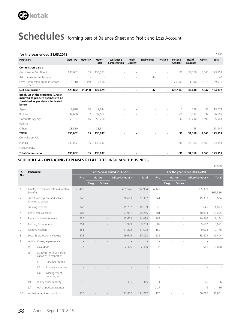

| ₹ '000<br>for the year ended 31.03.2018                                                                                |                 |                 |                              |                                  |                            |                |                 |                             |                     |               |              |  |  |
|------------------------------------------------------------------------------------------------------------------------|-----------------|-----------------|------------------------------|----------------------------------|----------------------------|----------------|-----------------|-----------------------------|---------------------|---------------|--------------|--|--|
| <b>Particulars</b>                                                                                                     | <b>Motor OD</b> | <b>Motor TP</b> | <b>Motor</b><br><b>Total</b> | <b>Workmen's</b><br>Compensation | <b>Public</b><br>Liability | Engineering    | <b>Aviation</b> | Personal<br><b>Accident</b> | Health<br>Insurance | <b>Others</b> | <b>Total</b> |  |  |
| Commission paid :-                                                                                                     |                 |                 |                              |                                  |                            |                |                 |                             |                     |               |              |  |  |
| Commission Paid Direct                                                                                                 | 130,002         | 35              | 130,037                      |                                  |                            |                |                 | 96                          | 34,358              | 8,660         | 173,151      |  |  |
| Add: Re-insurance Accepted                                                                                             | ٠               |                 |                              |                                  |                            | 42             | ٠               |                             |                     |               | 42           |  |  |
| Less: Commission on Re-insurance<br>Ceded                                                                              | 6,110           | 1.448           | 7,558                        |                                  |                            |                | ٠               | 23,200                      | 1,940               | 6,318         | 39,016       |  |  |
| <b>Net Commission</b>                                                                                                  | 123.892         | (1, 413)        | 122.479                      | $\blacksquare$                   |                            | 42             | $\blacksquare$  | (23, 104)                   | 32,418              | 2.342         | 134.177      |  |  |
| Break-up of the expenses (Gross)<br>incurred to procure business to be<br>furnished as per details indicated<br>below: |                 |                 |                              |                                  |                            |                |                 |                             |                     |               |              |  |  |
| Agents                                                                                                                 | 12,828          | 16              | 12,844                       |                                  |                            |                |                 | 5                           | 188                 | 37            | 13,074       |  |  |
| <b>Brokers</b>                                                                                                         | 32,680          | $\overline{2}$  | 32,682                       |                                  |                            |                | ٠               | 61                          | 3,792               | 32            | 36,567       |  |  |
| Corporate Agency                                                                                                       | 56,184          | 16              | 56,200                       |                                  |                            |                | ٠               | 30                          | 30,240              | 8,591         | 95,061       |  |  |
| Referral                                                                                                               | ÷               | ٠               |                              |                                  |                            |                |                 |                             |                     |               |              |  |  |
| Others                                                                                                                 | 28,310          | 1               | 28,311                       |                                  |                            |                | ٠               | ٠                           | 138                 | ٠             | 28,449       |  |  |
| <b>TOTAL</b>                                                                                                           | 130,002         | 35              | 130,037                      | $\blacksquare$                   | $\overline{\phantom{a}}$   | $\blacksquare$ | -               | 96                          | 34,358              | 8,660         | 173,151      |  |  |
| Commission Paid                                                                                                        |                 |                 |                              |                                  |                            |                |                 |                             |                     |               |              |  |  |
| In India                                                                                                               | 130,002         | 35              | 130,037                      |                                  |                            |                |                 | 96                          | 34,358              | 8.660         | 173,151      |  |  |
| Outside India                                                                                                          | ٠               | ٠               |                              |                                  |                            |                |                 |                             |                     |               |              |  |  |
| <b>Total Commission</b>                                                                                                | 130.002         | 35              | 130.037                      | $\blacksquare$                   |                            |                | $\blacksquare$  | 96                          | 34,358              | 8.660         | 173.151      |  |  |

## **SCHEDULE 4 - OPERATING EXPENSES RELATED TO INSURANCE BUSINESS**

| S.             | <b>Particulars</b> |                              |                                                       |                          |       |               | For the year ended 31.03.2019 |                |              |        |               | For the year ended 31.03.2018 |              |
|----------------|--------------------|------------------------------|-------------------------------------------------------|--------------------------|-------|---------------|-------------------------------|----------------|--------------|--------|---------------|-------------------------------|--------------|
| No.            |                    |                              |                                                       | Fire                     |       | <b>Marine</b> | Miscellaneous*                | <b>Total</b>   | <b>Fire</b>  |        | <b>Marine</b> | Miscellaneous*                | <b>Total</b> |
|                |                    |                              |                                                       |                          | Cargo | <b>Others</b> |                               |                |              | Cargo  | <b>Others</b> |                               |              |
| 1              | benefits           |                              | Employees' remuneration & welfare                     | 21,408                   |       |               | 481.526                       | 502,934        | 6,127        |        |               | 355,399                       | 361,526      |
| $\overline{2}$ |                    | running expenses             | Travel, conveyance and vehicle                        | 749                      |       |               | 26,613                        | 27,362         | 241          |        |               | 15,383                        | 15,624       |
| 3              |                    | Training expenses            |                                                       | 342                      |       |               | 15,797                        | 16,139         | 28           | ÷      | ÷             | 1,645                         | 1,673        |
| $\overline{4}$ |                    | Rents, rates & taxes         |                                                       | 1,304                    |       |               | 53,951                        | 55,255         | 601          | ÷.     | ٠             | 40,094                        | 40,695       |
| 5              |                    | Repairs and maintenance      |                                                       | 436                      |       |               | 13,603                        | 14,039         | 188          | $\sim$ | ٠             | 10,966                        | 11,154       |
| 6              |                    | Printing & stationery        |                                                       | 254                      |       |               | 7,979                         | 8,233          | 89           | ÷      | ÷             | 5,602                         | 5,691        |
| $\overline{7}$ |                    | Communication                |                                                       | 351                      |       |               | 11,222                        | 11,573         | 150          | ÷.     | ٠             | 9,028                         | 9,178        |
| 8              |                    | Legal & professional charges |                                                       | 1,173                    |       |               | 49,649                        | 50,822         | 525          | ÷      | ٠             | 35,879                        | 36,404       |
| 9              |                    | Auditors' fees, expenses etc |                                                       | $\sim$                   |       |               | $\overline{\phantom{a}}$      |                | ÷            |        | ÷,            | $\sim$                        |              |
|                | (a)                | as auditor                   |                                                       | 74                       |       |               | 2,326                         | 2,400          | 34           | ÷,     | ÷,            | 1.966                         | 2,000        |
|                | (b)                |                              | as adviser or in any other<br>capacity, in respect of |                          |       |               |                               |                |              |        |               |                               |              |
|                |                    | (i)                          | Taxation matters                                      |                          |       |               |                               |                | ٠            |        |               |                               |              |
|                |                    | (ii)                         | Insurance matters                                     | $\sim$                   |       | ÷             | $\overline{\phantom{a}}$      | $\overline{a}$ | ÷            | ÷      | ٠             | $\sim$                        |              |
|                |                    | (iii)                        | Management<br>services; and                           |                          |       |               |                               |                |              |        |               |                               |              |
|                | (c)                |                              | in any other capacity                                 | 10                       |       |               | 305                           | 315            | $\mathbf{1}$ |        |               | 65                            | 66           |
|                | (d)                |                              | out of pocket expenses                                | $\overline{\phantom{a}}$ |       |               |                               | $\overline{a}$ | 0.27         |        |               | 16                            | 16           |
| 10             |                    | Advertisement and publicity  |                                                       | 1,925                    |       |               | 112,852                       | 114,777        | 176          |        |               | 38,685                        | 38,861       |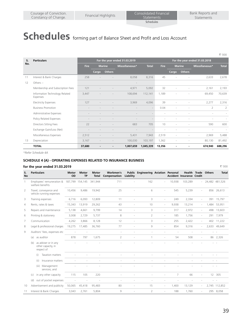$\equiv$  '000

# **Schedules** forming part of Balance Sheet and Profit and Loss Account

|     |                                            |             |               |               |                               |                          |             |       |                          |                               | V OOD        |
|-----|--------------------------------------------|-------------|---------------|---------------|-------------------------------|--------------------------|-------------|-------|--------------------------|-------------------------------|--------------|
| S.  | <b>Particulars</b>                         |             |               |               | For the year ended 31.03.2019 |                          |             |       |                          | For the year ended 31.03.2018 |              |
| No. |                                            | <b>Fire</b> |               | <b>Marine</b> | Miscellaneous*                | <b>Total</b>             | <b>Fire</b> |       | <b>Marine</b>            | Miscellaneous*                | <b>Total</b> |
|     |                                            |             | Cargo         | <b>Others</b> |                               |                          |             | Cargo | <b>Others</b>            |                               |              |
| 11  | Interest & Bank Charges                    | 258         |               |               | 8,058                         | 8,316                    | 45          |       |                          | 2,633                         | 2,678        |
| 12  | Others :-                                  |             |               |               | $\overline{\phantom{a}}$      |                          |             |       |                          |                               |              |
|     | Membership and Subscription Fees           | 121         |               |               | 4,971                         | 5,092                    | 32          |       | ٠                        | 2,161                         | 2,193        |
|     | Information Technology Related<br>Expenses | 3,447       |               |               | 108,694                       | 112,141                  | 1,189       |       |                          | 69,450                        | 70,639       |
|     | <b>Electricity Expenses</b>                | 127         |               |               | 3,969                         | 4,096                    | 39          |       |                          | 2,277                         | 2,316        |
|     | <b>Business Promotion</b>                  |             |               |               |                               | $\overline{\phantom{a}}$ | 0.04        |       | ٠                        | $\overline{2}$                | 2            |
|     | Administrative Expenses                    |             |               |               |                               |                          | ٠           |       |                          |                               |              |
|     | Policy Related Expenses                    |             |               |               |                               |                          | ٠           |       |                          |                               |              |
|     | Directors Sitting Fees                     | 22          |               |               | 683                           | 705                      | 10          | ٠     | ×,                       | 590                           | 600          |
|     | Exchange Gain/Loss (Net)                   |             |               |               |                               |                          |             |       | ٠                        |                               |              |
|     | Miscellaneous Expenses                     | 2,512       |               |               | 5,431                         | 7,943                    | 2,519       | ٠     | $\overline{\phantom{a}}$ | 2,969                         | 5,488        |
| 13  | Depreciation                               | 3,167       | $\frac{1}{2}$ |               | 100,030                       | 103,197                  | 1,362       | ٠     | $\sim$                   | 80,130                        | 81,492       |
|     | <b>TOTAL</b>                               | 37,680      |               | ٠             | 1,007,659                     | 1,045,339                | 13,356      |       |                          | 674,940                       | 688,296      |

*\*Refer Schedule 4A*

## **SCHEDULE 4 (A) - OPERATING EXPENSES RELATED TO INSURANCE BUSINESS**

#### **for the year ended 31.03.2019**  $\sqrt{2}$  '000

| S.<br><b>No</b> | <b>Particulars</b>                                              | <b>Motor</b><br>OD       | <b>Motor</b><br><b>TP</b> | <b>Motor</b><br><b>Total</b> | Workmen's<br>Compensation | Liability | Public Engineering Aviation Personal |        |                | <b>Accident Insurance Credit</b> |                          | <b>Health Trade Others</b> | <b>Total</b>  |
|-----------------|-----------------------------------------------------------------|--------------------------|---------------------------|------------------------------|---------------------------|-----------|--------------------------------------|--------|----------------|----------------------------------|--------------------------|----------------------------|---------------|
| 1               | Employees' remuneration & 187,799 154,145<br>welfare benefits   |                          |                           | 341.944                      | 711                       | ٠         | 162                                  |        | 10.938         | 103,289                          |                          | $-24.482$ 481.526          |               |
| $\overline{2}$  | Travel, conveyance and<br>vehicle running expenses              | 10.456                   | 9.486                     | 19,942                       | 25                        |           | 6                                    | ÷      | 545            | 5,239                            | ÷                        | 856                        | 26,613        |
| 3               | Training expenses                                               | 6.716                    | 6,093                     | 12.809                       | 11                        | ٠         | 3                                    | ÷.     | 249            | 2,334                            | $\bar{a}$                |                            | 391 15.797    |
| $\overline{4}$  | Rents, rates & taxes                                            | 15,343                   | 13,919                    | 29,262                       | 43                        | ٠         | 10                                   | $\sim$ | 9,938          | 13,214                           | $\overline{\phantom{a}}$ |                            | 1,484 53,951  |
| 5               | Repairs and maintenance                                         | 5,138                    | 4,661                     | 9,799                        | 14                        | ۰         | 3                                    | $\sim$ | 317            | 2,972                            | $\overline{\phantom{a}}$ | 498                        | 13,603        |
| 6               | Printing & stationery                                           | 3,008                    | 2,729                     | 5,737                        | 8                         | ÷         | $\overline{2}$                       | ÷.     | 185            | 1,756                            | $\overline{\phantom{a}}$ |                            | 291 7,979     |
| $\overline{7}$  | Communication                                                   | 4,262                    | 3,866                     | 8,128                        | 12                        | ÷         | 3                                    | ÷      | 255            | 2,422                            | $\bar{a}$                |                            | 402 11,222    |
| 8               | Legal & professional charges                                    | 19.275                   | 17.485                    | 36.760                       | 77                        | ٠         | 9                                    | ÷      | 854            | 9,316                            | $\overline{\phantom{a}}$ |                            | 2,633 49,649  |
| 9               | Auditors' fees, expenses etc                                    | $\overline{\phantom{a}}$ |                           |                              | ÷                         |           |                                      |        | ä,             |                                  |                          |                            |               |
|                 | as auditor<br>(a)                                               | 878                      | 797                       | 1,675                        | 2                         |           | $\mathbf{1}$                         | ÷      | 54             | 508                              | $\overline{\phantom{a}}$ |                            | 86 2,326      |
|                 | as adviser or in any<br>(b)<br>other capacity, in<br>respect of |                          |                           |                              |                           |           |                                      |        |                |                                  |                          |                            |               |
|                 | Taxation matters<br>(i)                                         |                          |                           |                              |                           |           |                                      |        |                |                                  |                          |                            |               |
|                 | Insurance matters<br>(i)                                        |                          |                           |                              |                           |           |                                      |        |                |                                  |                          |                            |               |
|                 | Management<br>(iii)<br>services: and                            |                          |                           |                              |                           |           |                                      |        |                |                                  |                          |                            |               |
|                 | in any other capacity<br>(c)                                    | 115                      | 105                       | 220                          | ٠                         |           |                                      |        | $\overline{7}$ | 66                               | $\sim$                   |                            | 12 305        |
|                 | out of pocket expenses<br>(d)                                   | $\overline{\phantom{a}}$ | ٠                         | ÷.                           | ٠                         |           |                                      | ٠      | ÷,             | $\sim$                           |                          |                            | $\sim$ $\sim$ |
| 10              | Advertisement and publicity                                     | 50,065                   | 45,418                    | 95,483                       | 80                        | ٠         | 15                                   | $\sim$ | 1,400          | 13,129                           | $\overline{\phantom{a}}$ |                            | 2,745 112,852 |
| 11              | Interest & Bank Charges                                         | 3,043                    | 2,761                     | 5,804                        | 9                         |           | $\overline{2}$                       |        | 188            | 1,760                            |                          |                            | 295 8,058     |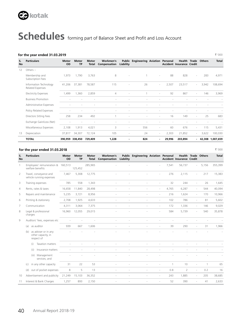

## **for the year ended 31.03.2019**  $\leq$  '000

| S.<br><b>No</b> | <b>Particulars</b>                         | <b>Motor</b><br>OD | Motor<br><b>TP</b> | <b>Motor</b><br>Total | Workmen's<br>Compensation | Liability                | Public Engineering Aviation Personal |                |        | Health<br><b>Accident Insurance Credit</b> |                          | Trade Others | <b>Total</b>     |
|-----------------|--------------------------------------------|--------------------|--------------------|-----------------------|---------------------------|--------------------------|--------------------------------------|----------------|--------|--------------------------------------------|--------------------------|--------------|------------------|
| 12              | Others :-                                  |                    |                    |                       |                           |                          |                                      |                |        |                                            |                          |              |                  |
|                 | Membership and<br>Subscription Fees        | 1,973              | 1.790              | 3,763                 | 8                         |                          |                                      | ٠              | 88     | 828                                        | $\sim$                   | 283          | 4,971            |
|                 | Information Technology<br>Related Expenses | 41,206             | 37,381             | 78,587                | 115                       |                          | 26                                   | $\sim$         | 2,507  | 23,517                                     | $\sim$                   | 3,942        | 108,694          |
|                 | <b>Electricity Expenses</b>                | 1,499              | 1,360              | 2,859                 | 4                         |                          |                                      | ٠              | 92     | 867                                        | $\sim$                   | 146          | 3,969            |
|                 | <b>Business Promotion</b>                  |                    |                    |                       |                           |                          |                                      |                |        |                                            |                          |              |                  |
|                 | Administrative Expenses                    |                    |                    |                       |                           |                          |                                      |                |        |                                            |                          |              |                  |
|                 | Policy Related Expenses                    |                    |                    |                       | ٠                         |                          |                                      |                |        |                                            |                          |              |                  |
|                 | Directors Sitting Fees                     | 258                | 234                | 492                   |                           |                          |                                      | ٠              | 16     | 149                                        | $\overline{\phantom{a}}$ | 25           | 683              |
|                 | Exchange Gain/Loss (Net)                   |                    |                    |                       |                           |                          |                                      |                |        |                                            |                          |              |                  |
|                 | Miscellaneous Expenses                     | 2,108              | 1,913              | 4,021                 | 3                         | $\overline{\phantom{a}}$ | 556                                  | $\sim$         | 60     | 676                                        | $\sim$                   | 115          | 5,431            |
| 13              | Depreciation                               | 37,817             | 34,307             | 72,124                | 105                       | $\overline{\phantom{a}}$ | 24                                   | $\sim$         | 2,303  | 21,852                                     | $\sim$                   | 3,622        | 100,030          |
|                 | <b>TOTAL</b>                               |                    | 390,959 338,450    | 729,409               | 1,228                     |                          | 824                                  | $\blacksquare$ | 29,996 | 203,894                                    |                          |              | 42,308 1,007,659 |

## **for the year ended 31.03.2018**  $\sqrt[3]{2000}$

| S.<br><b>No</b> | <b>Particulars</b>                                              | Motor<br>OD | <b>Motor</b><br><b>TP</b> | <b>Motor</b><br><b>Total</b> | <b>Workmen's</b><br>Compensation | Liability | Public Engineering Aviation Personal |                |              | <b>Accident Insurance Credit</b> |        | Health Trade Others | <b>Total</b> |
|-----------------|-----------------------------------------------------------------|-------------|---------------------------|------------------------------|----------------------------------|-----------|--------------------------------------|----------------|--------------|----------------------------------|--------|---------------------|--------------|
| $\mathbf{1}$    | Employees' remuneration & 160,513<br>welfare benefits           |             | 125,452                   | 285,965                      |                                  |           |                                      |                | 7,541        | 56,737                           |        | 5,156               | 355,399      |
| $\overline{2}$  | Travel, conveyance and<br>vehicle running expenses              | 7,467       | 5,308                     | 12,775                       |                                  |           |                                      |                | 276          | 2,115                            |        | 217                 | 15,383       |
| 3               | Training expenses                                               | 785         | 558                       | 1,343                        |                                  |           |                                      |                | 32           | 244                              | u,     | 26                  | 1,645        |
| 4               | Rents, rates & taxes                                            | 16,658      | 11,840                    | 28,498                       |                                  |           |                                      | ÷              | 4,765        | 6,287                            | $\sim$ | 544                 | 40,094       |
| 5               | Repairs and maintenance                                         | 5,235       | 3,721                     | 8,956                        |                                  |           |                                      | $\overline{a}$ | 216          | 1,624                            | $\sim$ | 170                 | 10,966       |
| 6               | Printing & stationery                                           | 2,708       | 1,925                     | 4,633                        |                                  |           |                                      | $\overline{a}$ | 102          | 786                              | ÷      | 81                  | 5,602        |
| $\overline{7}$  | Communication                                                   | 4,311       | 3,064                     | 7,375                        |                                  |           |                                      | $\overline{a}$ | 172          | 1,336                            | $\sim$ | 146                 | 9,029        |
| 8               | Legal & professional<br>charges                                 | 16,960      | 12,055                    | 29,015                       |                                  |           |                                      |                | 584          | 5,739                            |        | 540                 | 35,878       |
| 9               | Auditors' fees, expenses etc                                    |             |                           |                              |                                  |           |                                      |                |              |                                  |        |                     |              |
|                 | as auditor<br>(a)                                               | 939         | 667                       | 1,606                        |                                  |           |                                      |                | 39           | 290                              |        | 31                  | 1,966        |
|                 | as adviser or in any<br>(b)<br>other capacity, in<br>respect of |             |                           |                              |                                  |           |                                      |                |              |                                  |        |                     |              |
|                 | <b>Taxation matters</b><br>(i)                                  |             |                           |                              | ۰                                |           |                                      |                |              |                                  |        |                     |              |
|                 | Insurance matters<br>(ii)                                       |             |                           |                              |                                  |           |                                      |                |              |                                  |        |                     |              |
|                 | Management<br>(iii)<br>services; and                            |             |                           |                              |                                  |           |                                      |                |              |                                  |        |                     |              |
|                 | in any other capacity<br>(c)                                    | 31          | 22                        | 53                           |                                  |           |                                      |                | $\mathbf{1}$ | 10                               |        |                     | 65           |
|                 | out of pocket expenses<br>(d)                                   | 8           | 5                         | 13                           |                                  |           |                                      | ä,             | 0.8          | $\overline{2}$                   | $\sim$ | 0.2                 | 16           |
| 10              | Advertisement and publicity                                     | 21,249      | 15,103                    | 36,352                       |                                  |           |                                      | ä,             | 243          | 1.885                            | $\sim$ | 205                 | 38,685       |
| 11              | Interest & Bank Charges                                         | 1.257       | 893                       | 2.150                        |                                  |           |                                      |                | 52           | 390                              |        | 41                  | 2,633        |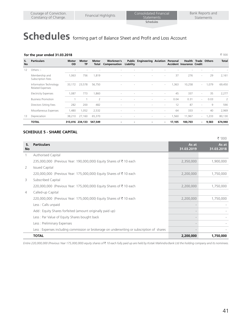## **for the year ended 31.03.2018**  $\sqrt{2}$   $\sqrt{2}$   $\sqrt{2}$   $\sqrt{2}$   $\sqrt{2}$   $\sqrt{2}$   $\sqrt{2}$   $\sqrt{2}$   $\sqrt{2}$   $\sqrt{2}$   $\sqrt{2}$   $\sqrt{2}$   $\sqrt{2}$   $\sqrt{2}$   $\sqrt{2}$   $\sqrt{2}$   $\sqrt{2}$   $\sqrt{2}$   $\sqrt{2}$   $\sqrt{2}$   $\sqrt{2}$   $\sqrt{2}$   $\sqrt{2}$   $\sqrt{2}$

| S.<br><b>No</b> | <b>Particulars</b>                         | <b>Motor</b><br><b>OD</b> | <b>Motor</b><br><b>TP</b> | <b>Motor</b><br>Total | Workmen's<br>Compensation | Liability                | Public Engineering Aviation Personal |                          |        | <b>Accident Insurance Credit</b> |                          | <b>Health Trade Others</b> | <b>Total</b>   |
|-----------------|--------------------------------------------|---------------------------|---------------------------|-----------------------|---------------------------|--------------------------|--------------------------------------|--------------------------|--------|----------------------------------|--------------------------|----------------------------|----------------|
| 12              | Others :-                                  |                           |                           |                       |                           |                          |                                      |                          |        |                                  |                          |                            |                |
|                 | Membership and<br>Subscription Fees        | 1.063                     | 756                       | 1,819                 |                           | ۰                        | $\overline{\phantom{a}}$             | $\sim$                   | 37     | 276                              | $\sim$                   | 29                         | 2,161          |
|                 | Information Technology<br>Related Expenses | 33,172                    | 23,578                    | 56,750                |                           | ٠                        | $\sim$                               | $\sim$                   | 1,363  | 10,258                           | $\sim$                   | 1.079                      | 69,450         |
|                 | <b>Electricity Expenses</b>                | 1.087                     | 773                       | 1.860                 |                           |                          |                                      | $\sim$                   | 45     | 337                              | $\sim$                   | 35                         | 2,277          |
|                 | <b>Business Promotion</b>                  |                           |                           | 2                     | $\sim$                    | ۰                        | $\sim$                               | ٠                        | 0.04   | 0.31                             | $\overline{\phantom{a}}$ | 0.03                       | $\overline{2}$ |
|                 | Directors Sitting Fees                     | 282                       | 200                       | 482                   |                           |                          |                                      | $\sim$                   | 12     | 87                               | ÷                        | 9                          | 590            |
|                 | Miscellaneous Expenses                     | 1,480                     | 1,052                     | 2,532                 |                           | ۰                        | ٠                                    | $\sim$                   | 64     | 333                              | $\sim$                   | 40                         | 2,969          |
| 13              | Depreciation                               | 38.210                    | 27.160                    | 65,370                |                           |                          |                                      | $\overline{\phantom{a}}$ | 1,560  | 11,967                           | $\sim$                   | 1.233                      | 80,130         |
|                 | TOTAL                                      |                           | 313,416 234,133           | 547.549               |                           | $\overline{\phantom{a}}$ |                                      | $\overline{\phantom{a}}$ | 17,105 | 100,703                          | $\overline{\phantom{a}}$ | 9,583                      | 674,940        |

## **SCHEDULE 5 - SHARE CAPITAL**

|                 |                                                                                             |                     | ₹'000               |
|-----------------|---------------------------------------------------------------------------------------------|---------------------|---------------------|
| S.<br><b>No</b> | <b>Particulars</b>                                                                          | As at<br>31.03.2019 | As at<br>31.03.2018 |
|                 | <b>Authorised Capital</b>                                                                   |                     |                     |
|                 | 235,000,000 (Previous Year: 190,000,000) Equity Shares of ₹10 each                          | 2,350,000           | 1,900,000           |
| 2               | <b>Issued Capital</b>                                                                       |                     |                     |
|                 | 220,000,000 (Previous Year: 175,000,000) Equity Shares of ₹10 each                          | 2,200,000           | 1,750,000           |
| 3               | Subscribed Capital                                                                          |                     |                     |
|                 | 220,000,000 (Previous Year: 175,000,000) Equity Shares of ₹10 each                          | 2,200,000           | 1,750,000           |
| 4               | Called-up Capital                                                                           |                     |                     |
|                 | 220,000,000 (Previous Year: 175,000,000) Equity Shares of ₹10 each                          | 2,200,000           | 1,750,000           |
|                 | Less: Calls unpaid                                                                          |                     |                     |
|                 | Add: Equity Shares forfeited (amount originally paid up)                                    |                     |                     |
|                 | Less: Par Value of Equity Shares bought back                                                |                     |                     |
|                 | Less: Preliminary Expenses                                                                  |                     |                     |
|                 | Less : Expenses including commission or brokerage on underwriting or subscription of shares |                     |                     |
|                 | <b>TOTAL</b>                                                                                | 2,200,000           | 1,750,000           |

*Entire 220,000,000 (Previous Year 175,000,000) equity shares of* ` *10 each fully paid up are held by Kotak Mahindra Bank Ltd the holding company and its nominees.*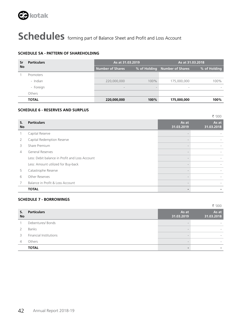

## **SCHEDULE 5A - PATTERN OF SHAREHOLDING**

| Sr | <b>Particulars</b> | As at 31.03.2019        |      | As at 31.03.2018              |              |  |
|----|--------------------|-------------------------|------|-------------------------------|--------------|--|
| No |                    | <b>Number of Shares</b> |      | % of Holding Number of Shares | % of Holding |  |
|    | Promoters          |                         |      |                               |              |  |
|    | - Indian           | 220,000,000             | 100% | 175,000,000                   | 100%         |  |
|    | - Foreign          | $\qquad \qquad$         |      | -                             |              |  |
|    | Others             |                         |      |                               |              |  |
|    | <b>TOTAL</b>       | 220,000,000             | 100% | 175,000,000                   | 100%         |  |

## **SCHEDULE 6 - RESERVES AND SURPLUS**

|                 |                                                |                     | ₹ '000              |
|-----------------|------------------------------------------------|---------------------|---------------------|
| S.<br><b>No</b> | <b>Particulars</b>                             | As at<br>31.03.2019 | As at<br>31.03.2018 |
|                 | Capital Reserve                                |                     |                     |
| $\overline{2}$  | Capital Redemption Reserve                     |                     |                     |
| 3               | Share Premium                                  |                     |                     |
| 4               | <b>General Reserves</b>                        |                     |                     |
|                 | Less: Debit balance in Profit and Loss Account |                     |                     |
|                 | Less: Amount utilized for Buy-back             |                     |                     |
| 5               | Catastrophe Reserve                            |                     |                     |
| 6               | Other Reserves                                 |                     |                     |
| 7               | Balance in Profit & Loss Account               |                     |                     |
|                 | <b>TOTAL</b>                                   |                     |                     |

## **SCHEDULE 7 - BORROWINGS**

|                 |                               |                     | ₹'000                    |
|-----------------|-------------------------------|---------------------|--------------------------|
| S.<br><b>No</b> | <b>Particulars</b>            | As at<br>31.03.2019 | As at<br>31.03.2018      |
|                 | Debentures/Bonds              |                     | $\overline{\phantom{a}}$ |
| 2               | Banks                         |                     | $\overline{\phantom{a}}$ |
| 3               | <b>Financial Institutions</b> |                     |                          |
| 4               | Others                        |                     |                          |
|                 | <b>TOTAL</b>                  |                     |                          |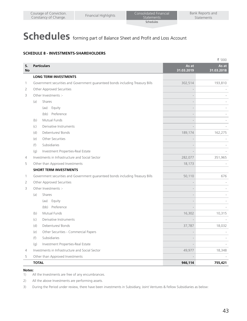## **SCHEDULE 8 - INVESTMENTS-SHAREHOLDERS**

|                |                                                                                |                          | ₹'000               |
|----------------|--------------------------------------------------------------------------------|--------------------------|---------------------|
| S.<br>No       | <b>Particulars</b>                                                             | As at<br>31.03.2019      | As at<br>31.03.2018 |
|                | <b>LONG TERM INVESTMENTS</b>                                                   |                          |                     |
| 1              | Government securities and Government quaranteed bonds including Treasury Bills | 302,514                  | 193,810             |
| 2              | Other Approved Securities                                                      |                          |                     |
| 3              | Other Investments :-                                                           |                          |                     |
|                | Shares<br>(a)                                                                  |                          |                     |
|                | (aa) Equity                                                                    | $\overline{a}$           |                     |
|                | (bb) Preference                                                                |                          |                     |
|                | Mutual Funds<br>(b)                                                            | $\overline{a}$           |                     |
|                | (c)<br>Derivative Instruments                                                  |                          |                     |
|                | (d)<br>Debentures/ Bonds                                                       | 189,174                  | 162,275             |
|                | <b>Other Securities</b><br>(e)                                                 |                          |                     |
|                | (f)<br>Subsidiaries                                                            |                          |                     |
|                | Investment Properties-Real Estate<br>(q)                                       |                          |                     |
| 4              | Investments in Infrastructure and Social Sector                                | 282,077                  | 351,965             |
| 5              | Other than Approved Investments                                                | 18,173                   |                     |
|                | <b>SHORT TERM INVESTMENTS</b>                                                  |                          |                     |
| 1              | Government securities and Government guaranteed bonds including Treasury Bills | 50,110                   | 676                 |
| $\overline{2}$ | Other Approved Securities                                                      |                          |                     |
| 3              | Other Investments :-                                                           |                          |                     |
|                | (a)<br>Shares                                                                  |                          |                     |
|                | (aa) Equity                                                                    | $\overline{\phantom{0}}$ |                     |
|                | (bb) Preference                                                                |                          |                     |
|                | Mutual Funds<br>(b)                                                            | 16,302                   | 10,315              |
|                | (c)<br>Derivative Instruments                                                  |                          |                     |
|                | (d)<br>Debentures/ Bonds                                                       | 37,787                   | 18,032              |
|                | Other Securities - Commercial Papers<br>(e)                                    |                          |                     |
|                | Subsidiaries<br>(f)                                                            |                          |                     |
|                | Investment Properties-Real Estate<br>(q)                                       |                          |                     |
| 4              | Investments in Infrastructure and Social Sector                                | 49,977                   | 18,348              |
| 5              | Other than Approved Investments                                                |                          |                     |
|                | <b>TOTAL</b>                                                                   | 946,114                  | 755,421             |

#### **Notes:**

1) All the Investments are free of any encumbrances.

2) All the above Investments are performing assets.

3) During the Period under review, there have been investments in Subsidiary, Joint Ventures & Fellow Subsidiaries as below: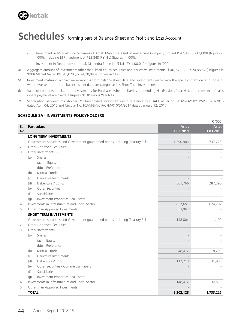

- Investment in Mutual Fund Schemes of Kotak Mahindra Asset Management Company Limited ₹ 47,860 (PY12,000) (figures in '000), including ETF investment of `23,848 (PY NIL) (figures in '000),
- Investment in Debentures of Kotak Mahindra Prime Ltd ₹ NIL (PY 1,00,012) (figures in '000).
- 4) Aggregate amount of investments other than listed equity securities and derivative instruments- ₹ 40,76,102 (PY 24,88,648) (figures in '000) Market Value: ₹40,42,029 (PY 24,20,945) (figures in '000).
- 5) Investment maturing within twelve months from balance sheet date and investments made with the specific intention to dispose of within twelve month from balance sheet date are categorised as Short Term Investments.
- 6) Value of contracts in relation to investments for Purchases where deliveries are pending NIL (Previous Year NIL), and in respect of sales where payments are overdue Rupees NIL (Previous Year NIL).
- 7) Segregation between Policyholders & Shareholders investments with reference to IRDAI Circular no IRDA/F&A/CIR/CPM/056/03/2016 dated April 04, 2016 and Circular No. IRDA/F&A/CIR/CPM/010/01/2017 dated January 12, 2017

|                 |                                                                                |                     | ₹ '000              |
|-----------------|--------------------------------------------------------------------------------|---------------------|---------------------|
| S.<br><b>No</b> | <b>Particulars</b>                                                             | As at<br>31.03.2019 | As at<br>31.03.2018 |
|                 | <b>LONG TERM INVESTMENTS</b>                                                   |                     |                     |
| 1               | Government securities and Government guaranteed bonds including Treasury Bills | 1,290,903           | 737,223             |
| 2               | Other Approved Securities                                                      |                     |                     |
| 3               | Other Investments :-                                                           |                     |                     |
|                 | Shares<br>(a)                                                                  |                     |                     |
|                 | (aa)<br>Equity                                                                 |                     |                     |
|                 | (bb) Preference                                                                |                     |                     |
|                 | Mutual Funds<br>(b)                                                            |                     |                     |
|                 | (c)<br>Derivative Instruments                                                  |                     |                     |
|                 | (d)<br>Debentures/ Bonds                                                       | 561,766             | 287,790             |
|                 | Other Securities<br>(e)                                                        |                     |                     |
|                 | (f)<br>Subsidiaries                                                            |                     |                     |
|                 | Investment Properties-Real Estate<br>(q)                                       |                     |                     |
| 4               | Investments in Infrastructure and Social Sector                                | 837,651             | 624,202             |
| 5               | Other than Approved Investments                                                | 53,967              |                     |
|                 | <b>SHORT TERM INVESTMENTS</b>                                                  |                     |                     |
| 1               | Government securities and Government guaranteed bonds including Treasury Bills | 148,804             | 1,199               |
| 2               | Other Approved Securities                                                      |                     |                     |
| 3               | Other Investments :-                                                           |                     |                     |
|                 | Shares<br>(a)                                                                  |                     |                     |
|                 | (aa) Equity                                                                    |                     |                     |
|                 | (bb) Preference                                                                |                     |                     |
|                 | Mutual Funds<br>(b)                                                            | 48,412              | 18,293              |
|                 | (c)<br>Derivative Instruments                                                  |                     |                     |
|                 | (d)<br>Debentures/ Bonds                                                       | 112,213             | 31,980              |
|                 | Other Securities - Commercial Papers<br>(e)                                    |                     |                     |
|                 | Subsidiaries<br>(f)                                                            |                     |                     |
|                 | Investment Properties-Real Estate<br>(q)                                       |                     |                     |
| 4               | Investments in Infrastructure and Social Sector                                | 148,412             | 32,539              |
| 5               | Other than Approved Investments                                                |                     |                     |
|                 | <b>TOTAL</b>                                                                   | 3,202,128           | 1,733,226           |

## **SCHEDULE 8A - INVESTMENTS-POLICYHOLDERS**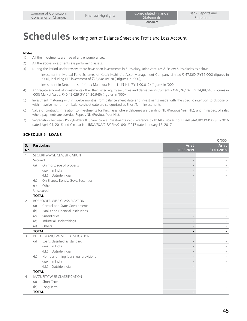## **Notes:**

- 1) All the Investments are free of any encumbrances.
- 2) All the above Investments are performing assets.
- 3) During the Period under review, there have been investments in Subsidiary, Joint Ventures & Fellow Subsidiaries as below:
	- Investment in Mutual Fund Schemes of Kotak Mahindra Asset Management Company Limited ₹ 47,860 (PY12,000) (figures in '000), including ETF investment of  $\overline{2}23,848$  (PY NIL) (figures in '000),
		- Investment in Debentures of Kotak Mahindra Prime Ltd ₹ NIL (PY 1,00,012) (figures in '000).
- 4) Aggregate amount of investments other than listed equity securities and derivative instruments-  $\bar{\tilde{\tau}}$  40,76,102 (PY 24,88,648) (figures in '000) Market Value: ₹40,42,029 (PY 24,20,945) (figures in '000).
- 5) Investment maturing within twelve months from balance sheet date and investments made with the specific intention to dispose of within twelve month from balance sheet date are categorised as Short Term Investments.
- 6) Value of contracts in relation to investments for Purchases where deliveries are pending NIL (Previous Year NIL), and in respect of sales where payments are overdue Rupees NIL (Previous Year NIL).
- 7) Segregation between Policyholders & Shareholders investments with reference to IRDAI Circular no IRDA/F&A/CIR/CPM/056/03/2016 dated April 04, 2016 and Circular No. IRDA/F&A/CIR/CPM/010/01/2017 dated January 12, 2017

## **SCHEDULE 9 - LOANS**

|                |                                             |                              | 5.000      |
|----------------|---------------------------------------------|------------------------------|------------|
| S.             | <b>Particulars</b>                          | As at                        | As at      |
| <b>No</b>      |                                             | 31.03.2019                   | 31.03.2018 |
| 1              | SECURITY-WISE CLASSIFICATION                |                              |            |
|                | Secured                                     |                              |            |
|                | On mortgage of property<br>(a)              |                              |            |
|                | (aa) In India                               |                              |            |
|                | (bb) Outside India                          |                              |            |
|                | On Shares, Bonds, Govt. Securities<br>(b)   |                              |            |
|                | Others<br>(c)                               |                              |            |
|                | Unsecured                                   |                              |            |
|                | <b>TOTAL</b>                                | $\blacksquare$               |            |
| $\overline{2}$ | <b>BORROWER-WISE CLASSIFICATION</b>         |                              |            |
|                | Central and State Governments<br>(a)        |                              |            |
|                | Banks and Financial Institutions<br>(b)     |                              |            |
|                | Subsidiaries<br>(c)                         |                              |            |
|                | Industrial Undertakings<br>(d)              |                              |            |
|                | Others<br>(e)                               |                              |            |
|                | <b>TOTAL</b>                                | -                            |            |
| 3              | PERFORMANCE-WISE CLASSIFICATION             |                              |            |
|                | Loans classified as standard<br>(a)         |                              |            |
|                | (aa) In India                               |                              |            |
|                | (bb) Outside India                          |                              |            |
|                | Non-performing loans less provisions<br>(b) |                              |            |
|                | (aa) In India                               |                              |            |
|                | (bb) Outside India                          |                              |            |
|                | <b>TOTAL</b>                                |                              |            |
| 4              | <b>MATURITY-WISE CLASSIFICATION</b>         |                              |            |
|                | Short Term<br>(a)                           |                              |            |
|                | Long Term<br>(b)                            |                              |            |
|                | <b>TOTAL</b>                                | $\qquad \qquad \blacksquare$ |            |

 $\equiv$  '000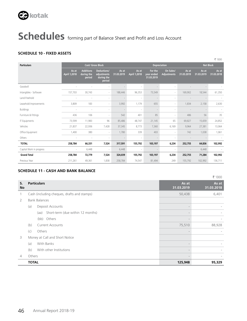

## **SCHEDULE 10 - FIXED ASSETS**

| <b>Particulars</b>       |                       |                                          | Cost/ Gross Block                                  |                          | <b>Depreciation</b>          |                                     |                                 |                     | <b>Net Block</b>    |                     |  |
|--------------------------|-----------------------|------------------------------------------|----------------------------------------------------|--------------------------|------------------------------|-------------------------------------|---------------------------------|---------------------|---------------------|---------------------|--|
|                          | As at<br>April 1,2018 | <b>Additions</b><br>during the<br>period | Deductions/<br>adjustments<br>during the<br>period | As at<br>31.03.2019      | As at<br><b>April 1,2018</b> | For the<br>year ended<br>31.03.2019 | On Sales/<br><b>Adjustments</b> | As at<br>31.03.2019 | As at<br>31.03.2019 | As at<br>31.03.2018 |  |
| Goodwill                 |                       |                                          |                                                    |                          | ٠                            | $\overline{\phantom{a}}$            |                                 |                     |                     |                     |  |
| Intangibles - Software   | 157,703               | 30,743                                   | ٠                                                  | 188,446                  | 96,353                       | 73,549                              | ٠                               | 169,902             | 18,544              | 61,350              |  |
| Land-Freehold            |                       |                                          | ٠                                                  |                          | ٠                            | $\overline{\phantom{a}}$            |                                 |                     |                     |                     |  |
| Leasehold Improvements   | 3,809                 | 183                                      | $\overline{\phantom{a}}$                           | 3,992                    | 1,179                        | 655                                 | ٠                               | 1,834               | 2,158               | 2,630               |  |
| <b>Buildings</b>         |                       |                                          | ٠                                                  | $\overline{\phantom{a}}$ | ٠                            | $\overline{\phantom{a}}$            | ٠                               |                     |                     |                     |  |
| Furniture & Fittings     | 436                   | 106                                      |                                                    | 542                      | 401                          | 85                                  |                                 | 486                 | 56                  | 35                  |  |
| IT Equipments            | 73,599                | 11,983                                   | 96                                                 | 85,486                   | 48,747                       | 21,145                              | 65                              | 69,827              | 15,659              | 24,852              |  |
| Vehicles                 | 21.837                | 22,936                                   | 7,428                                              | 37,345                   | 8,773                        | 7,360                               | 6,169                           | 9,964               | 27,381              | 13,064              |  |
| Office Equipment         | 1,400                 | 380                                      | ٠                                                  | 1.780                    | 339                          | 403                                 | ٠                               | 742                 | 1,038               | 1,061               |  |
| Others                   | ٠                     | ٠                                        | ٠                                                  | $\overline{\phantom{a}}$ |                              | $\overline{\phantom{a}}$            | ٠                               |                     |                     |                     |  |
| <b>TOTAL</b>             | 258,784               | 66,331                                   | 7,524                                              | 317,591                  | 155,792                      | 103,197                             | 6,234                           | 252,755             | 64,836              | 102,992             |  |
| Capital Work in progress | ٠                     | 6,448                                    | ٠                                                  | 6,448                    |                              |                                     |                                 |                     | 6,448               |                     |  |
| <b>Grand Total</b>       | 258,784               | 72,779                                   | 7,524                                              | 324,039                  | 155,792                      | 103,197                             | 6,234                           | 252,755             | 71,284              | 102,992             |  |
| Previous Year            | 211,261               | 49,361                                   | 1,838                                              | 258,784                  | 74,547                       | 81,494                              | 249                             | 155,792             | 102,992             | 136,711             |  |

## **SCHEDULE 11 - CASH AND BANK BALANCE**

|          |              |                                             |                     | ₹ '000              |
|----------|--------------|---------------------------------------------|---------------------|---------------------|
| S.<br>No |              | <b>Particulars</b>                          | As at<br>31.03.2019 | As at<br>31.03.2018 |
|          |              | Cash (including cheques, drafts and stamps) | 50,438              | 6,401               |
| 2        |              | <b>Bank Balances</b>                        |                     |                     |
|          | (a)          | Deposit Accounts                            |                     |                     |
|          |              | Short-term (due within 12 months)<br>(aa)   |                     |                     |
|          |              | (bb) Others                                 |                     |                     |
|          | (b)          | <b>Current Accounts</b>                     | 75,510              | 88,928              |
|          | (c)          | Others                                      |                     |                     |
| 3        |              | Money at Call and Short Notice              |                     |                     |
|          | (a)          | With Banks                                  |                     |                     |
|          | (b)          | With other Institutions                     |                     |                     |
| 4        | Others       |                                             |                     |                     |
|          | <b>TOTAL</b> |                                             | 125,948             | 95,329              |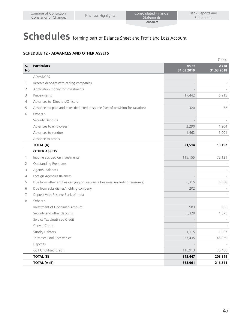## **SCHEDULE 12 - ADVANCES AND OTHER ASSETS**

|                 |                                                                               |                                                                                                                                                                                                                                                                                                                                                                                                                                                                                                   | ₹ '000              |
|-----------------|-------------------------------------------------------------------------------|---------------------------------------------------------------------------------------------------------------------------------------------------------------------------------------------------------------------------------------------------------------------------------------------------------------------------------------------------------------------------------------------------------------------------------------------------------------------------------------------------|---------------------|
| S.<br><b>No</b> | <b>Particulars</b>                                                            | As at<br>31.03.2019                                                                                                                                                                                                                                                                                                                                                                                                                                                                               | As at<br>31.03.2018 |
|                 | <b>ADVANCES</b>                                                               |                                                                                                                                                                                                                                                                                                                                                                                                                                                                                                   |                     |
| 1               | Reserve deposits with ceding companies                                        | $\label{eq:reduced} \centering \begin{tabular}{c} \multicolumn{2}{c}{} & \multicolumn{2}{c}{} \\ \multicolumn{2}{c}{} & \multicolumn{2}{c}{} \\ \multicolumn{2}{c}{} & \multicolumn{2}{c}{} \\ \multicolumn{2}{c}{} & \multicolumn{2}{c}{} \\ \multicolumn{2}{c}{} & \multicolumn{2}{c}{} \\ \multicolumn{2}{c}{} & \multicolumn{2}{c}{} \\ \multicolumn{2}{c}{} & \multicolumn{2}{c}{} \\ \multicolumn{2}{c}{} & \multicolumn{2}{c}{} \\ \multicolumn{2}{c}{} & \multicolumn{2}{c}{} \\ \multic$ |                     |
| 2               | Application money for investments                                             |                                                                                                                                                                                                                                                                                                                                                                                                                                                                                                   |                     |
| 3               | Prepayments                                                                   | 17,442                                                                                                                                                                                                                                                                                                                                                                                                                                                                                            | 6,915               |
| 4               | Advances to Directors/Officers                                                |                                                                                                                                                                                                                                                                                                                                                                                                                                                                                                   |                     |
| 5               | Advance tax paid and taxes deducted at source (Net of provision for taxation) | 320                                                                                                                                                                                                                                                                                                                                                                                                                                                                                               | 72                  |
| 6               | Others :-                                                                     |                                                                                                                                                                                                                                                                                                                                                                                                                                                                                                   |                     |
|                 | Security Deposits                                                             | $\overline{a}$                                                                                                                                                                                                                                                                                                                                                                                                                                                                                    |                     |
|                 | Advances to employees                                                         | 2,290                                                                                                                                                                                                                                                                                                                                                                                                                                                                                             | 1,204               |
|                 | Advances to vendors                                                           | 1,462                                                                                                                                                                                                                                                                                                                                                                                                                                                                                             | 5,001               |
|                 | Advance to others                                                             |                                                                                                                                                                                                                                                                                                                                                                                                                                                                                                   |                     |
|                 | <b>TOTAL (A)</b>                                                              | 21,514                                                                                                                                                                                                                                                                                                                                                                                                                                                                                            | 13,192              |
|                 | <b>OTHER ASSETS</b>                                                           |                                                                                                                                                                                                                                                                                                                                                                                                                                                                                                   |                     |
| 1               | Income accrued on investments                                                 | 115,155                                                                                                                                                                                                                                                                                                                                                                                                                                                                                           | 72,121              |
| 2               | <b>Outstanding Premiums</b>                                                   |                                                                                                                                                                                                                                                                                                                                                                                                                                                                                                   |                     |
| 3               | Agents' Balances                                                              | $\overline{\phantom{m}}$                                                                                                                                                                                                                                                                                                                                                                                                                                                                          |                     |
| 4               | Foreign Agencies Balances                                                     |                                                                                                                                                                                                                                                                                                                                                                                                                                                                                                   |                     |
| 5               | Due from other entities carrying on insurance business (including reinsurers) | 6,315                                                                                                                                                                                                                                                                                                                                                                                                                                                                                             | 6,838               |
| 6               | Due from subsidiaries/ holding company                                        | 202                                                                                                                                                                                                                                                                                                                                                                                                                                                                                               |                     |
| $\overline{7}$  | Deposit with Reserve Bank of India                                            |                                                                                                                                                                                                                                                                                                                                                                                                                                                                                                   |                     |
| 8               | Others :-                                                                     |                                                                                                                                                                                                                                                                                                                                                                                                                                                                                                   |                     |
|                 | Investment of Unclaimed Amount                                                | 983                                                                                                                                                                                                                                                                                                                                                                                                                                                                                               | 633                 |
|                 | Security and other deposits                                                   | 5,329                                                                                                                                                                                                                                                                                                                                                                                                                                                                                             | 1,675               |
|                 | Service Tax Unutilised Credit                                                 | $\qquad \qquad -$                                                                                                                                                                                                                                                                                                                                                                                                                                                                                 |                     |
|                 | Cenvat Credit                                                                 |                                                                                                                                                                                                                                                                                                                                                                                                                                                                                                   |                     |
|                 | Sundry Debtors                                                                | 1,115                                                                                                                                                                                                                                                                                                                                                                                                                                                                                             | 1,297               |
|                 | Terrorism Pool Receivables                                                    | 67,435                                                                                                                                                                                                                                                                                                                                                                                                                                                                                            | 45,269              |
|                 | Deposits                                                                      |                                                                                                                                                                                                                                                                                                                                                                                                                                                                                                   |                     |
|                 | <b>GST Unutilised Credit</b>                                                  | 115,913                                                                                                                                                                                                                                                                                                                                                                                                                                                                                           | 75,486              |
|                 | <b>TOTAL (B)</b>                                                              | 312,447                                                                                                                                                                                                                                                                                                                                                                                                                                                                                           | 203,319             |
|                 | TOTAL (A+B)                                                                   | 333,961                                                                                                                                                                                                                                                                                                                                                                                                                                                                                           | 216,511             |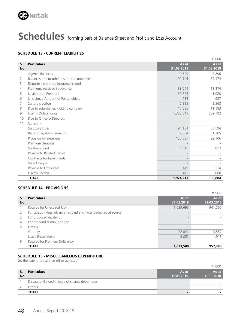

## **SCHEDULE 13 - CURRENT LIABILITIES**

|                 |                                           |                     | ₹ '000              |
|-----------------|-------------------------------------------|---------------------|---------------------|
| S.<br><b>No</b> | <b>Particulars</b>                        | As at<br>31.03.2019 | As at<br>31.03.2018 |
| 1               | Agents' Balances                          | 19,599              | 8,896               |
| 2               | Balances due to other insurance companies | 92,143              | 59,174              |
| 3               | Deposits held on re-insurance ceded       |                     |                     |
| 4               | Premiums received in advance              | 88,549              | 13,874              |
| 5               | <b>Unallocated Premium</b>                | 69,306              | 41,020              |
| 6               | Unclaimed Amount of Policyholders         | 735                 | 627                 |
| 7               | Sundry creditors                          | 6,813               | 2,368               |
| 8               | Due to subsidiaries/ holding company      | 17,585              | 11,183              |
| 9               | Claims Outstanding                        | 1,382,649           | 682,792             |
| 10              | Due to Officers/ Directors                |                     |                     |
| 11              | Others :-                                 |                     |                     |
|                 | <b>Statutory Dues</b>                     | 91,134              | 53,594              |
|                 | Refund Payable - Premium                  | 2,654               | 1,205               |
|                 | Provision for expenses                    | 150,637             | 92,106              |
|                 | Premium Deposits                          |                     |                     |
|                 | Solatium Fund                             | 1,815               | 852                 |
|                 | Payable to Related Parties                |                     |                     |
|                 | Contracts for Investments                 |                     |                     |
|                 | Stale Cheque                              |                     |                     |
|                 | Payable to Employees                      | 449                 | 314                 |
|                 | Claims Payable                            | 145                 | 880                 |
|                 | <b>TOTAL</b>                              | 1,924,213           | 968,884             |

## **SCHEDULE 14 - PROVISIONS**

|    |                                                                   |            | ₹ '000     |
|----|-------------------------------------------------------------------|------------|------------|
| S. | <b>Particulars</b>                                                | As at      | As at      |
| No |                                                                   | 31.03.2019 | 31.03.2018 |
|    | Reserve for Unexpired Risk                                        | 1,639,695  | 941,790    |
|    | For taxation (less advance tax paid and taxes deducted at source) |            |            |
| 3  | For proposed dividends                                            |            |            |
| 4  | For dividend distribution tax                                     |            |            |
| 5. | Others :-                                                         |            |            |
|    | Gratuity                                                          | 22,042     | 13,587     |
|    | Leave Encashment                                                  | 9,852      | 1,913      |
| 6  | Reserve for Premium Deficiency                                    |            |            |
|    | <b>TOTAL</b>                                                      | 1,671,589  | 957,290    |

## **SCHEDULE 15 - MISCELLANEOUS EXPENDITURE**

(to the extent not written off or adjusted)

|           |                                                 |                     | ₹'000               |
|-----------|-------------------------------------------------|---------------------|---------------------|
| <b>No</b> | <b>Particulars</b>                              | As at<br>31.03.2019 | As at<br>31.03.2018 |
|           |                                                 |                     |                     |
|           | Discount Allowed in issue of shares/ debentures |                     |                     |
|           | Others                                          |                     |                     |
|           | <b>TOTAL</b>                                    | -                   |                     |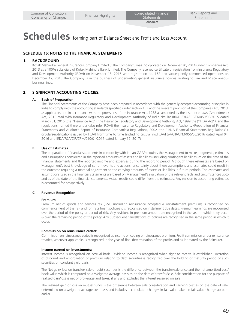## **Schedule 16: Notes to the financial statements**

## **1. Background**

Kotak Mahindra General Insurance Company Limited ("The Company") was incorporated on December 20, 2014 under Companies Act, 2013 as a 100% subsidiary of Kotak Mahindra Bank Limited. The Company received certificate of registration from Insurance Regulatory and Development Authority (IRDAI) on November 18, 2015 with registration no. 152 and subsequently commenced operations on December 17, 2015.The Company is in the business of underwriting general insurance policies relating to Fire and Miscellaneous business lines.

## **2. Significant Accounting Policies:**

#### **A. Basis of Preparation**

 The Financial Statements of the Company have been prepared in accordance with the generally accepted accounting principles in India to comply with the accounting standards specified under section 133 and the relevant provision of the Companies Act, 2013, as applicable, and in accordance with the provisions of the Insurance Act, 1938 as amended by the Insurance Laws (Amendment) Act, 2015 read with Insurance Regulatory and Development Authority of India circular IRDAI /F&A/CIR/FA/059/03/2015 dated March 31, 2015 (the "Insurance Act"), the Insurance Regulatory and Development Authority Act, 1999 the ("IRDA Act"), and the regulations framed there under (also refer IRDAI) the Insurance Regulatory and Development Authority (Preparation of Financial Statements and Auditor's Report of Insurance Companies) Regulations, 2002 (the "IRDA Financial Statements Regulations"), circulars/notifications issued by IRDAI from time to time (including circular no.IRDA/F&A/CIR/CPM/056/03/2016 dated April 04, 2016 and IRDA/F&A/CIR/CPM/010/01/2017 dated January 12, 2017)

## **B. Use of Estimates**

 The preparation of financial statements in conformity with Indian GAAP requires the Management to make judgments, estimates and assumptions considered in the reported amounts of assets and liabilities (including contingent liabilities) as on the date of the financial statements and the reported income and expenses during the reporting period. Although these estimates are based on Management's best knowledge of current events and actions, uncertainty about these assumptions and estimates could result in the outcome requiring a material adjustment to the carrying amounts of assets or liabilities in future periods. The estimates and assumptions used in the financial statements are based on Management's evaluation of the relevant facts and circumstances upto and as of the date of the financial statements. Actual results could differ from the estimates. Any revision to accounting estimates is accounted for prospectively.

#### **C. Revenue Recognition**

#### **Premium:**

 Premium net of goods and services tax (GST) (including reinsurance accepted & reinstatement premium) is recognised on commencement of the risk and for installment policies it is recognised on installment due dates. Premium earnings are recognised over the period of the policy or period of risk. Any revisions in premium amount are recognised in the year in which they occur & over the remaining period of the policy. Any Subsequent cancellations of policies are recognised in the same period in which it occur.

#### **Commission on reinsurance ceded:**

 Commission on reinsurance ceded is recognized as income on ceding of reinsurance premium. Profit commission under reinsurance treaties, wherever applicable, is recognized in the year of final determination of the profits and as intimated by the Reinsurer.

#### **Income earned on investments:**

 Interest income is recognized on accrual basis. Dividend income is recognized when right to receive is established, Accretion of discount and amortization of premium relating to debt securities is recognized over the holding or maturity period of such securities on constant yield basis.

 The Net gain/ loss on transfer/ sale of debt securities is the difference between the transfer/sale price and the net amortized cost/ book value which is computed on a Weighted average basis as on the date of transfer/sale. Sale consideration for the purpose of realized gain/loss is net of brokerage and taxes, if any and excludes the interest received on sale

 The realized gain or loss on mutual funds is the difference between sale consideration and carrying cost as on the date of sale, determined on a weighted average cost basis and includes accumulated changes in fair value taken in fair value change account earlier.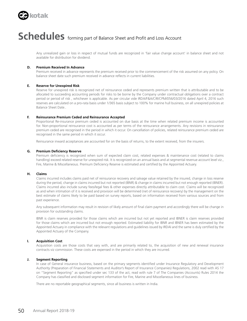

 Any unrealized gain or loss in respect of mutual funds are recognized in 'fair value change account' in balance sheet and not available for distribution for dividend.

#### **D. Premium Received In Advance**

 Premium received in advance represents the premium received prior to the commencement of the risk assumed on any policy. On balance sheet date such premium received in advance reflects in current liabilities.

#### **E. Reserve for Unexpired Risk**

 Reserve for unexpired risk is recognized net of reinsurance ceded and represents premium written that is attributable and to be allocated to succeeding accounting periods for risks to be borne by the Company under contractual obligations over a contract period or period of risk , whichever is applicable. As per circular vide IRDA/F&A/CIR/CPM/056/03/2016 dated April 4, 2016 such reserves are calculated on a pro-rata basis under 1/365 basis subject to 100% for marine hull business, on all unexpired policies at Balance Sheet Date..

## **F. Reinsurance Premium Ceded and Reinsurance Accepted**

 Proportional Re-insurance premium ceded is accounted on due basis at the time when related premium income is accounted for. Non-proportional reinsurance cost is accounted as per terms of the reinsurance arrangements. Any revisions in reinsurance premium ceded are recognised in the period in which it occur. On cancellation of policies, related reinsurance premium ceded are recognised in the same period in which it occur.

Reinsurance inward acceptances are accounted for on the basis of returns, to the extent received, from the insurers.

#### **G. Premium Deficiency Reserve**

 Premium deficiency is recognized when sum of expected claim cost, related expenses & maintenance cost (related to claims handling) exceed related reserve for unexpired risk. It is recognized on an annual basis and at segmental revenue account level viz., Fire, Marine & Miscellaneous. Premium Deficiency Reserve is estimated and certified by the Appointed Actuary.

#### **H. Claims**

 Claims incurred includes claims paid net of reinsurance recovery and salvage value retained by the insured, change in loss reserve during the period, change in claims incurred but not reported (IBNR) & change in claims incurred but not enough reported (IBNER). Claims incurred also include survey fees/legal fees & other expenses directly attributable to claim cost. Claims will be recognized as and when intimation of it is received and provision will be determined (net of reinsurance recovery) by the management on the best estimate of claims likely to be paid based on survey reports, based on information received from various sources and from past experience.

 Any subsequent information may result in revision of likely amount of final claim payment and accordingly there will be change in provision for outstanding claims.

 IBNR is claim reserves provided for those claims which are incurred but not yet reported and IBNER is claim reserves provided for those claims which are incurred but not enough reported. Estimated liability for IBNR and IBNER has been estimated by the Appointed Actuary in compliance with the relevant regulations and guidelines issued by IRDAI and the same is duly certified by the Appointed Actuary of the Company.

## **I. Acquisition Cost**

 Acquisition costs are those costs that vary with, and are primarily related to, the acquisition of new and renewal insurance contracts viz commission. These costs are expensed in the period in which they are incurred.

## **J. Segment Reporting**

 In case of General insurance business, based on the primary segments identified under Insurance Regulatory and Development Authority (Preparation of Financial Statements and Auditor's Report of Insurance Companies) Regulations, 2002 read with AS 17 on "Segment Reporting" as specified under sec 133 of the act, read with rule 7 of The Companies (Accounts) Rules 2014 the Company has classified and disclosed segment information for Fire, Marine and Miscellaneous lines of business.

There are no reportable geographical segments, since all business is written in India.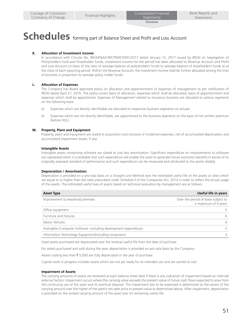## **K. Allocation of Investment income**

 In accordance with Circular No. IRDA/F&A/CIR/CPM/010/01/2017 dated January 12, 2017 issued by IRDAI on Segregation of Policyholder's fund and Shareholder funds, investment income for the period has been allocated to Revenue Account and Profit and Loss Account on basis of the ratio of average balance of policyholder's funds to average balance of shareholder's funds as at the close of each reporting period. Within the Revenue Account, the investment income shall be further allocated among the lines of business in proportion to average policy holder funds.

## **L. Allocation of Expenses**

 The Company has Board approved policy on allocation and apportionment of expenses of management as per notification of IRDAI dated April 27, 2016. The policy covers basis of allocation, expenses which shall be allocated, basis of apportionment and expenses which shall be apportioned. Expenses of Management related to insurance business are allocated to various segments on the following basis:

- a) Expenses which are directly identifiable are allocated to respective business segments on actuals
- b) Expenses which are not directly identifiable, are apportioned to the business segments on the basis of net written premium (before XOL).

## **M. Property, Plant and Equipment**

 Property, plant and Equipment are stated at acquisition cost inclusive of incidental expenses, net of accumulated depreciation and accumulated impairment losses, if any.

## **Intangible Assets**

 Intangible assets comprising software are stated at cost less amortization. Significant expenditure on improvements to software are capitalised when it is probable that such expenditure will enable the asset to generate future economic benefits in excess of its originally assessed standard of performance and such expenditure can be measured and attributed to the assets reliably.

## **Depreciation / Amortisation:**

 Deprecation is provided on a pro-rata basis on a Straight Line Method over the estimated useful life of the assets at rates which are equal to or higher than the rates prescribed under Schedule II of the Companies Act, 2013 in order to reflect the actual usage of the assets. The estimated useful lives of assets based on technical evaluation by management are as follows:

| <b>Asset Type</b>                                                 | Useful life in years                                        |
|-------------------------------------------------------------------|-------------------------------------------------------------|
| Improvement to leasehold premises                                 | Over the period of lease subject to<br>a maximum of 6 years |
| Office equipment                                                  | 5.                                                          |
| Furniture and Fixtures                                            | 6                                                           |
| Motor Vehicles                                                    | $\overline{4}$                                              |
| Intangible (Computer Software -including development expenditure) | 3                                                           |
| Information Technology Equipment (Including computers)            | 3                                                           |

Used assets purchased are depreciated over the residual useful life from the date of purchase.

For assets purchased and sold during the year, depreciation is provided on pro rata basis by the Company.

Assets costing less than  $\bar{\tau}$  5,000 are fully depreciated in the year of purchase.

Capital work in progress includes assets which are not yet ready for its intended use and are carried at cost.

## **Impairment of Assets**

 The carrying amounts of assets are reviewed at each balance sheet date if there is any indication of impairment based on internal/ external factors. Impairment occurs where the carrying value exceeds the present value of future cash flows expected to arise from the continuing use of the asset and its eventual disposal. The impairment loss to be expensed is determined as the excess of the carrying amount over the higher of the asset's net sales price or present value as determined above. After impairment, depreciation is provided on the revised carrying amount of the asset over it's remaining useful life.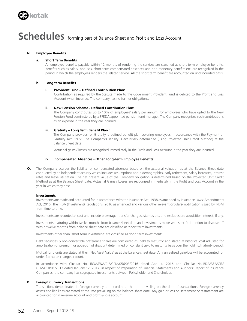

## **N. Employee Benefits**

## **a. Short Term Benefits**

 All employee benefits payable within 12 months of rendering the services are classified as short term employee benefits. Benefits such as salary, bonuses, short term compensated absences and non-monetary benefits etc. are recognized in the period in which the employees renders the related service. All the short term benefit are accounted on undiscounted basis.

#### **b. Long term Benefits**

#### **i. Provident Fund – Defined Contribution Plan:**

 Contribution as required by the Statute made to the Government Provident Fund is debited to the Profit and Loss Account when incurred. The company has no further obligations.

#### **ii. New Pension Scheme - Defined Contribution Plan:**

 The Company contributes up to 10% of employees' salary per annum, for employees who have opted to the New Pension Fund administered by a PFRDA appointed pension fund manager. The Company recognises such contributions as an expense in the year they are incurred.

#### **iii. Gratuity – Long Term Benefit Plan :**

 The Company provides for Gratuity, a defined benefit plan covering employees in accordance with the Payment of Gratuity Act, 1972. The Company's liability is actuarially determined (using Projected Unit Credit Method) at the Balance Sheet date.

Actuarial gains / losses are recognised immediately in the Profit and Loss Account in the year they are incurred.

### **iv. Compensated Absences - Other Long-Term Employee Benefits:**

**O.** The Company accrues the liability for compensated absences based on the actuarial valuation as at the Balance Sheet date conducted by an independent actuary which includes assumptions about demographics, early retirement, salary increases, interest rates and leave utilisation. The net present value of the Company obligation is determined based on the Projected Unit Credit Method as at the Balance Sheet date. Actuarial Gains / Losses are recognised immediately in the Profit and Loss Account in the year in which they arise.

#### **Investments**

 Investments are made and accounted for in accordance with the Insurance Act, 1938 as amended by Insurance Laws (Amendment) Act, 2015, The IRDA (Investment) Regulations, 2016 as amended and various other relevant circulars/ notification issued by IRDAI from time to time.

Investments are recorded at cost and include brokerage, transfer charges, stamps etc, and excludes pre acquisition interest, if any.

 Investments maturing within twelve months from balance sheet date and investments made with specific intention to dispose off within twelve months from balance sheet date are classified as 'short term investments'

Investments other than 'short term investment' are classified as 'long term investment'.

 Debt securities & non-convertible preference shares are considered as 'held to maturity' and stated at historical cost adjusted for amortization of premium or accretion of discount determined on constant yield to maturity basis over the holding/maturity period.

 Mutual fund units are stated at their 'Net Asset Value' as at the balance sheet date. Any unrealized gain/loss will be accounted for under fair value change account.

 In accordance with Circular No. IRDA/F&A/CIR/CPM/056/03/2016 dated April 4, 2016 and Circular No.IRDA/F&A/CIR/ CPM/010/01/2017 dated January 12, 2017, in respect of Preparation of Financial Statements and Auditors' Report of Insurance Companies, the company has segregated investments between Policyholder and Shareholder.

#### **P. Foreign Currency Transactions**

 Transactions denominated in foreign currency are recorded at the rate prevailing on the date of transactions. Foreign currency assets and liabilities are stated at the rate prevailing on the balance sheet date. Any gain or loss on settlement or restatement are accounted for in revenue account and profit & loss account.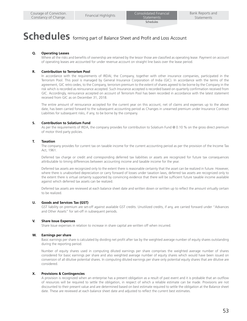## **Q. Operating Leases**

 Where all the risks and benefits of ownership are retained by the lessor those are classified as operating lease. Payment on account of operating leases are accounted for under revenue account on straight line basis over the lease period.

## **R. Contribution to Terrorism Pool**

 In accordance with the requirements of IRDAI, the Company, together with other insurance companies, participated in the Terrorism Pool. This pool is managed by General Insurance Corporation of India (GIC). In accordance with the terms of the agreement, GIC retro cedes, to the Company, terrorism premium to the extent of shares agreed to be borne by the Company in the risk which is recorded as reinsurance accepted. Such Insurance accepted is recorded based on quarterly confirmation received from GIC. Accordingly, reinsurance accepted on account of Terrorism Pool has been recorded in accordance with the latest statement received from GIC as on December 31, 2018.

 The entire amount of reinsurance accepted for the current year on this account, net of claims and expenses up to the above date, has been carried forward to the subsequent accounting period as Changes in unearned premium under Insurance Contract Liabilities for subsequent risks, if any, to be borne by the company.

## **S. Contribution to Solatium Fund**

As per the requirements of IRDA, the company provides for contribution to Solatium Fund @ 0.10 % on the gross direct premium of motor third party policies.

## **T. Taxation**

 The company provides for current tax on taxable income for the current accounting period as per the provision of the Income Tax Act, 1961.

 Deferred tax charge or credit and corresponding deferred tax liabilities or assets are recognized for future tax consequences attributable to timing differences between accounting income and taxable income for the year.

 Deferred tax assets are recognized only to the extent there is reasonable certainty that the asset can be realized in future. However, where there is unabsorbed depreciation or carry forward of losses under taxation laws, deferred tax assets are recognized only to the extent there is virtual certainty supported by convincing evidence that there will be sufficient future taxable income available against which deferred tax assets can be realized.

 Deferred tax assets are reviewed at each balance sheet date and written down or written up to reflect the amount virtually certain to be realized.

## **U. Goods and Services Tax (GST)**

 GST liability on premium are set-off against available GST credits. Unutilized credits, if any, are carried forward under "Advances and Other Assets" for set-off in subsequent periods.

## **V. Share Issue Expenses**

Share Issue expenses in relation to increase in share capital are written off when incurred.

## **W. Earnings per share**

 Basic earnings per share is calculated by dividing net profit after tax by the weighted average number of equity shares outstanding during the reporting period.

 Number of equity shares used in computing diluted earnings per share comprises the weighted average number of shares considered for basic earnings per share and also weighted average number of equity shares which would have been issued on conversion of all dilutive potential shares. In computing diluted earnings per share only potential equity shares that are dilutive are considered.

## **X. Provisions & Contingencies**

 A provision is recognized when an enterprise has a present obligation as a result of past event and it is probable that an outflow of resources will be required to settle the obligation, in respect of which a reliable estimate can be made. Provisions are not discounted to their present value and are determined based on best estimate required to settle the obligation at the Balance sheet date. These are reviewed at each balance sheet date and adjusted to reflect the current best estimates.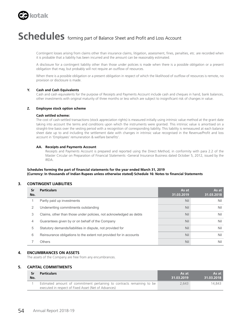

 Contingent losses arising from claims other than insurance claims, litigation, assessment, fines, penalties, etc. are recorded when it is probable that a liability has been incurred and the amount can be reasonably estimated.

 A disclosure for a contingent liability other than those under policies is made when there is a possible obligation or a present obligation that may, but probably will not require an outflow of resources.

 When there is a possible obligation or a present obligation in respect of which the likelihood of outflow of resources is remote, no provision or disclosure is made.

#### **Y. Cash and Cash Equivalents**

 Cash and cash equivalents for the purpose of Receipts and Payments Account include cash and cheques in hand, bank balances, other investments with original maturity of three months or less which are subject to insignificant risk of changes in value.

## **Z. Employee stock option scheme**

#### **Cash settled scheme:**

 The cost of cash-settled transactions (stock appreciation rights) is measured initially using intrinsic value method at the grant date taking into account the terms and conditions upon which the instruments were granted. This intrinsic value is amortised on a straight-line basis over the vesting period with a recognition of corresponding liability. This liability is remeasured at each balance sheet date up to and including the settlement date with changes in intrinsic value recognised in the Revenue/Profit and loss account in 'Employees' remuneration & welfare benefits'.

#### **AA. Receipts and Payments Account**

 Receipts and Payments Account is prepared and reported using the Direct Method, in conformity with para 2.2 of the Master Circular on Preparation of Financial Statements -General Insurance Business dated October 5, 2012, issued by the IRDA.

#### **Schedules forming the part of financial statements for the year ended March 31, 2019 (Currency: In thousands of Indian Rupees unless otherwise stated) Schedule 16: Notes to financial Statements**

## **3. Contingent Liabilities**

| Sr<br>No. | <b>Particulars</b>                                                 | As at<br>31.03.2019 | As at<br>31.03.2018 |
|-----------|--------------------------------------------------------------------|---------------------|---------------------|
|           | Partly paid up investments                                         | <b>Nil</b>          | Nil                 |
| 2         | Underwriting commitments outstanding                               | Nil                 | Nil                 |
| 3         | Claims, other than those under policies, not acknowledged as debts | Nil                 | Nil                 |
| 4         | Guarantees given by or on behalf of the Company                    | Nil                 | Nil                 |
| 5         | Statutory demands/liabilities in dispute, not provided for         | Nil                 | Nil                 |
| 6         | Reinsurance obligations to the extent not provided for in accounts | Nil                 | Nil                 |
|           | <b>Others</b>                                                      | Nil                 | Nil                 |

## **4. Encumbrances on Assets**

The assets of the Company are free from any encumbrances.

## **5. Capital Commitments**

| No. | <b>Particulars</b>                                                                                                             | As at<br>31.03.2019 | As at<br>31.03.2018 |
|-----|--------------------------------------------------------------------------------------------------------------------------------|---------------------|---------------------|
|     | Estimated amount of commitment pertaining to contracts remaining to be<br>executed in respect of Fixed Asset (Net of Advances) | 2.643               | 14,843              |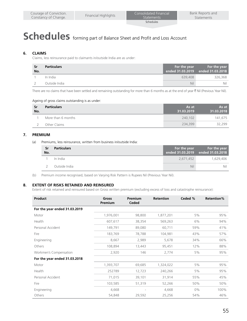## **6. Claims**

Claims, less reinsurance paid to claimants in/outside India are as under:

| <b>Sr</b><br>No. | <b>Particulars</b> | For the year | For the year<br>ended 31.03.2019 ended 31.03.2018 |
|------------------|--------------------|--------------|---------------------------------------------------|
|                  | In India           | 639,408      | 326.368                                           |
|                  | Outside India      | Nil          | Nil                                               |

There are no claims that have been settled and remaining outstanding for more than 6 months as at the end of year ₹ Nil (Previous Year Nil).

## Ageing of gross claims outstanding is as under:

| <b>Sr</b><br>No. | <b>Particulars</b> | As at<br>31.03.2019 | As at<br>31.03.2018 |
|------------------|--------------------|---------------------|---------------------|
|                  | More than 6 months | 240,102             | 141.675             |
|                  | Other Claims       | 234,399             | 32,299              |

## **7. Premium**

(a) Premiums, less reinsurance, written from business in/outside India:

| Sr<br>No. | <b>Particulars</b> | For the year | For the year<br>ended 31.03.2019 ended 31.03.2018 |
|-----------|--------------------|--------------|---------------------------------------------------|
|           | In India           | 2,671,452    | 1.629.406                                         |
|           | Outside India      | Nil          | Nil                                               |

(b) Premium income recognised, based on Varying Risk Pattern is Rupees Nil (Previous Year Nil).

## **8. Extent of Risks Retained and Reinsured**

Extent of risk retained and reinsured based on Gross written premium (excluding excess of loss and catastrophe reinsurance):

| Product                       | Gross<br>Premium | Premium<br>Ceded | <b>Retention</b> | Ceded % | <b>Retention%</b> |
|-------------------------------|------------------|------------------|------------------|---------|-------------------|
| For the year ended 31.03.2019 |                  |                  |                  |         |                   |
| Motor                         | 1,976,001        | 98,800           | 1,877,201        | 5%      | 95%               |
| Health                        | 607,617          | 38,354           | 569,263          | 6%      | 94%               |
| Personal Accident             | 149,791          | 89,080           | 60,711           | 59%     | 41%               |
| Fire                          | 183,769          | 78,788           | 104,981          | 43%     | 57%               |
| Engineering                   | 8,667            | 2,989            | 5,678            | 34%     | 66%               |
| Others                        | 108,894          | 13,443           | 95,451           | 12%     | 88%               |
| Workmen's Compensation        | 2,920            | 146              | 2,774            | 5%      | 95%               |
| For the year ended 31.03.2018 |                  |                  |                  |         |                   |
| Motor                         | 1,393,707        | 69,685           | 1,324,022        | 5%      | 95%               |
| Health                        | 252789           | 12,723           | 240,266          | 5%      | 95%               |
| Personal Accident             | 71,015           | 39,101           | 31,914           | 55%     | 45%               |
| Fire                          | 103,585          | 51,319           | 52,266           | 50%     | 50%               |
| Engineering                   | 4,668            |                  | 4,668            | $0\%$   | 100%              |
| Others                        | 54,848           | 29,592           | 25,256           | 54%     | 46%               |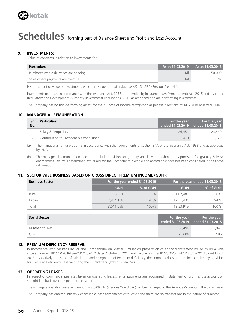

## **9. Investments:**

Value of contracts in relation to investments for:

| <b>Particulars</b>                     |      | As at 31.03.2019 As at 31.03.2018 |
|----------------------------------------|------|-----------------------------------|
| Purchases where deliveries are pending | Nil. | 50,000                            |
| Sales where payments are overdue       | Nil. | Nil                               |

Historical cost of value of Investments which are valued on fair value basis ₹ 131,532 (Previous Year Nil).

Investments made are in accordance with the Insurance Act, 1938, as amended by Insurance Laws (Amendment) Act, 2015 and Insurance Regulatory and Development Authority (Investment) Regulations, 2016 as amended and are performing investments.

The Company has no non-performing assets for the purpose of income recognition as per the directions of IRDAI (Previous year ` Nil).

## **10. Managerial Remuneration**

| Sr.<br>No. | <b>Particulars</b>                      | For the year | For the year<br>ended 31.03.2019 ended 31.03.2018 |
|------------|-----------------------------------------|--------------|---------------------------------------------------|
|            | Salary & Perguisites                    | 26,451       | 23,430                                            |
|            | Contribution to Provident & Other Funds | 1470         | 1329                                              |

(a) The managerial remuneration is in accordance with the requirements of section 34A of the Insurance Act, 1938 and as approved by IRDAI.

(b) The managerial remuneration does not include provision for gratuity and leave encashment, as provision for gratuity & leave encashment liability is determined actuarially for the Company as a whole and accordingly have not been considered in the above information.

## **11. Sector wise Business based on Gross Direct Premium Income (GDPI):**

| <b>Business Sector</b> |             | For the year ended 31.03.2019 |             | For the year ended 31.03.2018 |
|------------------------|-------------|-------------------------------|-------------|-------------------------------|
|                        | <b>GDPI</b> | % of GDPI                     | <b>GDPI</b> | % of GDPI                     |
| Rural                  | 156,991     | 5%                            | 1.02.481    | 6%                            |
| Urban                  | 2,854,108   | 95%                           | 17.51.434   | 94%                           |
| Total                  | 3,011,099   | 100%                          | 18,53,915   | 100%                          |

| <b>Social Sector</b> | For the year<br>ended 31.03.2019 | For the year<br>ended 31.03.2018 |
|----------------------|----------------------------------|----------------------------------|
| Number of Lives      | 58,496                           | 1.941                            |
| GDPI                 | 25,606                           | 2.96                             |

## **12. Premium Deficiency Reserve:**

In accordance with Master Circular and Corrigendum on Master Circular on preparation of financial statement issued by IRDA vide circular number IRDA/F&I/CIR/F&A/231/10/2012 dated October 5, 2012 and circular number IRDA/F&A/CIR/FA/126/07/2013 dated July 3, 2013 respectively, in respect of calculation and recognition of Premium deficiency, the company does not require to make any provision for Premium Deficiency Reserve during the current year. (Previous Year Nil).

## **13. Operating Leases:**

In respect of commercial premises taken on operating leases, rental payments are recognized in statement of profit & loss account on straight line basis over the period of lease term.

The aggregate operating lease rent amounting to  $\overline{z}9,816$  (Previous Year 3,676) has been charged to the Revenue Accounts in the current year.

The Company has entered into only cancellable lease agreements with lessor and there are no transactions in the nature of sublease.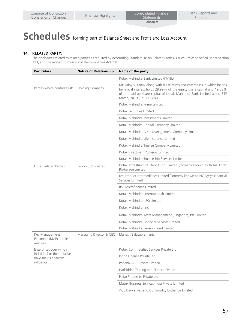## **14. Related Party:**

The disclosures related to related parties as required by Accounting Standard 18 on Related Parties Disclosures as specified under Section 133, and the relevant provisions of the companies Act 2013.

| <b>Particulars</b>                                      | <b>Nature of Relationship</b> | Name of the party                                                                                                                                                                                                                                                       |
|---------------------------------------------------------|-------------------------------|-------------------------------------------------------------------------------------------------------------------------------------------------------------------------------------------------------------------------------------------------------------------------|
|                                                         |                               | Kotak Mahindra Bank Limited (KMBL)                                                                                                                                                                                                                                      |
| Parties where control exists Holding Company            |                               | Mr. Uday S. Kotak along with his relatives and enterprises in which he has<br>beneficial interest holds 29.99% of the equity share capital and 19.68%<br>of the paid-up share capital of Kotak Mahindra Bank Limited as on 31 <sup>st</sup><br>March, 2019 (P.Y 30.04%) |
|                                                         |                               | Kotak Mahindra Prime Limited                                                                                                                                                                                                                                            |
|                                                         |                               | Kotak Securities Limited                                                                                                                                                                                                                                                |
|                                                         |                               | Kotak Mahindra Investments Limited                                                                                                                                                                                                                                      |
|                                                         |                               | Kotak Mahindra Capital Company Limited                                                                                                                                                                                                                                  |
|                                                         |                               | Kotak Mahindra Asset Management Company Limited                                                                                                                                                                                                                         |
|                                                         |                               | Kotak Mahindra Life Insurance Limited                                                                                                                                                                                                                                   |
|                                                         |                               | Kotak Mahindra Trustee Company Limited                                                                                                                                                                                                                                  |
|                                                         |                               | Kotak Investment Advisors Limited                                                                                                                                                                                                                                       |
|                                                         |                               | Kotak Mahindra Trusteeship Services Limited                                                                                                                                                                                                                             |
| Other Related Parties                                   | Fellow Subsidiaries           | Kotak Infrastructure Debt Fund Limited (formerly known as Kotak Forex<br>Brokerage Limited)                                                                                                                                                                             |
|                                                         |                               | IVY Product Intermediaries Limited (Formerly known as ING Vysya Financial<br>Services Limited)                                                                                                                                                                          |
|                                                         |                               | <b>BSS Microfinance Limited</b>                                                                                                                                                                                                                                         |
|                                                         |                               | Kotak Mahindra (International) Limited                                                                                                                                                                                                                                  |
|                                                         |                               | Kotak Mahindra (UK) Limited                                                                                                                                                                                                                                             |
|                                                         |                               | Kotak Mahindra, Inc.                                                                                                                                                                                                                                                    |
|                                                         |                               | Kotak Mahindra Asset Management (Singapore) Pte Limited                                                                                                                                                                                                                 |
|                                                         |                               | Kotak Mahindra Financial Services Limited                                                                                                                                                                                                                               |
|                                                         |                               | Kotak Mahindra Pension Fund Limited                                                                                                                                                                                                                                     |
| Key Management<br>Personnel (KMP) and its<br>relatives  | Managing Director & CEO       | Mahesh Balasubramanian                                                                                                                                                                                                                                                  |
| Enterprises over which                                  |                               | Kotak Commodities Services Private Ltd                                                                                                                                                                                                                                  |
| individual or their relatives<br>have their significant |                               | Infina Finance Private Ltd                                                                                                                                                                                                                                              |
| influence.                                              |                               | Phoenix ARC Private Limited                                                                                                                                                                                                                                             |
|                                                         |                               | Harisiddha Trading and Finance Pvt Ltd                                                                                                                                                                                                                                  |
|                                                         |                               | Palko Properties Private Ltd                                                                                                                                                                                                                                            |
|                                                         |                               | Matrix Business Services India Private Limited                                                                                                                                                                                                                          |
|                                                         |                               | ACE Derivatives and Commodity Exchange Limited                                                                                                                                                                                                                          |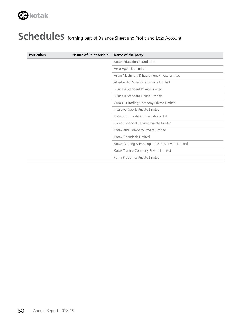

| <b>Particulars</b> | <b>Nature of Relationship</b> | Name of the party                                   |
|--------------------|-------------------------------|-----------------------------------------------------|
|                    |                               | Kotak Education Foundation                          |
|                    |                               | Aero Agencies Limited                               |
|                    |                               | Asian Machinery & Equipment Private Limited         |
|                    |                               | Allied Auto Accessories Private Limited             |
|                    |                               | <b>Business Standard Private Limited</b>            |
|                    |                               | <b>Business Standard Online Limited</b>             |
|                    |                               | Cumulus Trading Company Private Limited             |
|                    |                               | Insurekot Sports Private Limited                    |
|                    |                               | Kotak Commodities International FZE                 |
|                    |                               | Komaf Financial Services Private Limited            |
|                    |                               | Kotak and Company Private Limited                   |
|                    |                               | Kotak Chemicals Limited                             |
|                    |                               | Kotak Ginning & Pressing Industries Private Limited |
|                    |                               | Kotak Trustee Company Private Limited               |
|                    |                               | Puma Properties Private Limited                     |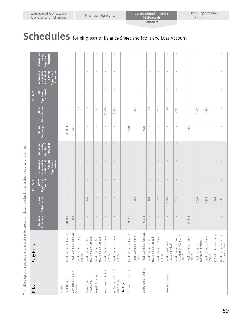Consolidated Financial **Schedules** 

| Sr No                              | Name<br>Party                                         |                    |                        | FY 18-19                       |                                                                                      |                                                  |                    |                        | FY 17-18                       |                                                                               |                                                  |
|------------------------------------|-------------------------------------------------------|--------------------|------------------------|--------------------------------|--------------------------------------------------------------------------------------|--------------------------------------------------|--------------------|------------------------|--------------------------------|-------------------------------------------------------------------------------|--------------------------------------------------|
|                                    |                                                       | Holding<br>Company | Subsidiaries<br>Fellow | KMP/<br>Significant<br>Control | <b>Enterprises</b><br>having<br>Significant<br>influence<br>Individual<br>over which | having<br>Significant<br>Individual<br>influence | Holding<br>Company | Fellow<br>Subsidiaries | KMP/<br>Significant<br>Control | Enterprises<br>having<br>Significant<br>influence<br>over which<br>Individual | having<br>Significant<br>influence<br>Individual |
| Assets                             |                                                       |                    |                        |                                |                                                                                      |                                                  |                    |                        |                                |                                                                               |                                                  |
| Bank Balance                       | Kotak Mahindra Bank Ltd.                              | 70,101             |                        | $\mathbf{I}$                   |                                                                                      |                                                  | 88,923             |                        |                                | $\mathbf{1}$                                                                  |                                                  |
| Commission Paid in                 | Kotak Mahindra Bank Ltd                               | 283                |                        |                                |                                                                                      |                                                  | 407                |                        |                                | $\,$                                                                          |                                                  |
| Advance                            | Kotak Mahindra Prime<br>Limited                       |                    |                        |                                |                                                                                      |                                                  |                    | 4                      |                                |                                                                               |                                                  |
| Outstanding<br>Receivables         | Insurance Co. Limited.<br>Kotak Mahindra Life         | $\mathbf{I}$       | 202                    | $\mathbf{I}$                   |                                                                                      |                                                  | ï                  | $\,$                   | f,                             | $\,$                                                                          |                                                  |
| Prepaid Expenses                   | Insurance Co. Limited<br>Kotak Mahindra Life          |                    | $\equiv$               |                                |                                                                                      |                                                  |                    | Ξ                      |                                |                                                                               |                                                  |
| nvestment in Bonds                 | Kotak Mahindra Prime<br>Limited                       |                    |                        |                                |                                                                                      |                                                  | J.                 | 100,000                |                                | $\,$                                                                          |                                                  |
| Int Accrued - Bonds/<br>Debentures | Kotak Mahindra Prime<br>Limited                       | $\mathbf{I}$       | $\mathbf{I}$           | $\mathbf{I}$                   |                                                                                      |                                                  | ł,                 | 3,802                  | ł,                             | ×                                                                             |                                                  |
| Liability                          |                                                       |                    |                        |                                |                                                                                      |                                                  |                    |                        |                                |                                                                               |                                                  |
| Commission Payable                 | Kotak Mahindra Bank Ltd.                              | 9,890              | $\mathbf{I}$           | $\mathbf{I}$                   |                                                                                      | $\mathbf{I}$                                     | 8,278              |                        |                                | ×                                                                             |                                                  |
|                                    | Kotak Mahindra Prime<br>Limited                       |                    | 892                    |                                |                                                                                      |                                                  |                    | 961                    |                                | ٠                                                                             |                                                  |
| Outstanding Payables               | Kotak Mahindra Bank Ltd.                              | 6,578              |                        | ×,                             |                                                                                      | $\mathbf{I}$                                     | 1,688              |                        |                                | ٠                                                                             |                                                  |
|                                    | Insurance Co. Limited<br>Kotak Mahindra Life          |                    | 203                    |                                |                                                                                      |                                                  |                    | 84                     |                                |                                                                               |                                                  |
|                                    | Kotak Mahindra Prime<br>Limited                       |                    | 50                     | $\mathbf{I}$                   |                                                                                      |                                                  |                    | 201                    |                                | $\,$                                                                          |                                                  |
| Premium Deposits                   | Kotak Investment<br>Advisors Limited                  |                    | 0.007                  |                                |                                                                                      |                                                  |                    | 120                    |                                | ×                                                                             |                                                  |
|                                    | Management Company<br>Kotak Mahindra Asset<br>Limited | $\mathbf{r}$       | 0.11                   |                                |                                                                                      |                                                  |                    | 0.11                   |                                |                                                                               |                                                  |
|                                    | Kotak Mahindra Bank<br>Limited.                       | 13,682             | $\blacksquare$         | $\mathbf{I}$                   |                                                                                      | $\mathbf{I}$                                     | 11,868             |                        |                                | $\mathbf{I}$                                                                  |                                                  |
|                                    | Investment Limited<br>Kotak Mahindra                  |                    | 0.003                  |                                |                                                                                      |                                                  | f,                 | 0.003                  |                                | t.                                                                            |                                                  |
|                                    | Kotak Mahindra Prime<br>Limited                       |                    | 1,235                  |                                |                                                                                      |                                                  |                    | 1,962                  |                                |                                                                               |                                                  |
|                                    | BSS Microfinance Limited                              |                    | 695                    |                                |                                                                                      |                                                  |                    |                        |                                | ×,                                                                            |                                                  |
|                                    | Kotak Mahindra Capital<br>Company Limited             |                    | 0.005                  |                                |                                                                                      |                                                  |                    |                        |                                |                                                                               |                                                  |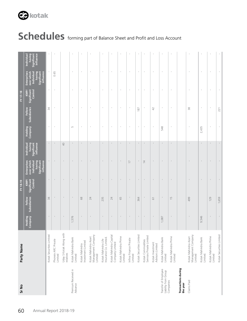

| Sr No                                        | Party Name                                            |                           |                        | FY 18-19                       |                                                                               |                                                  |                           |                               | FY 17-18                       |                                                                                      |                                                  |
|----------------------------------------------|-------------------------------------------------------|---------------------------|------------------------|--------------------------------|-------------------------------------------------------------------------------|--------------------------------------------------|---------------------------|-------------------------------|--------------------------------|--------------------------------------------------------------------------------------|--------------------------------------------------|
|                                              |                                                       | <b>Holding</b><br>Company | Subsidiaries<br>Fellow | KMP/<br>Significant<br>Control | Enterprises<br>over which<br>Individual<br>having<br>Significant<br>influence | having<br>Significant<br>influence<br>Individual | <b>Holding</b><br>Company | <b>Subsidiaries</b><br>Fellow | KMP/<br>Significant<br>Control | <b>Enterprises</b><br>having<br>Significant<br>influence<br>over which<br>Individual | having<br>Significant<br>influence<br>Individual |
|                                              | Securities Limited<br>Kotak                           | $\mathbf{I}$              | 34                     | $\mathbb{I}$                   |                                                                               | $\bar{1}$                                        | $\mathbf{I}$              | 34                            |                                | $\,$                                                                                 |                                                  |
|                                              | Phoneix ARC Private<br>Limited                        | $\mathbf{I}$              | $\blacksquare$         |                                |                                                                               | $\bar{1}$                                        | f,                        | ï                             | f,                             | 0.65                                                                                 |                                                  |
|                                              | S Kotak Along with<br>relatives<br>Uday:              | $\mathbf{I}$              |                        | ×,                             |                                                                               | $\overline{40}$                                  |                           |                               |                                |                                                                                      |                                                  |
| Premium Received in<br>Advance               | Mahindra Bank<br>Limited<br>Kotak                     | 1,576                     | $\mathbf{I}$           | $\mathbf{I}$                   |                                                                               | $\mathbf{I}$                                     | $\mathsf{L}\cap$          | J.                            | J.                             | ×                                                                                    |                                                  |
|                                              | Investment Limited<br>Kotak Mahindra                  |                           | 68                     |                                |                                                                               |                                                  |                           |                               |                                |                                                                                      |                                                  |
|                                              | Kotak Mahindra Asset<br>Management Company<br>Limited |                           | 24                     |                                |                                                                               |                                                  |                           |                               |                                | $\,$ (                                                                               |                                                  |
|                                              | Insurance Co. Limited.<br>Kotak Mahindra Life         | $\mathbf{I}$              | 235                    | $\mathbf{I}$                   |                                                                               | $\mathbf{I}$                                     |                           | f,                            | f,                             | ×                                                                                    |                                                  |
|                                              | Kotak Mahindra Capital<br>Company Limited             | $\mathbf{I}$              | 24                     |                                |                                                                               | $\mathbf{I}$                                     |                           |                               |                                | $\mathbf{I}$                                                                         |                                                  |
|                                              | Mahindra Prime<br>Limited<br>Kotak                    |                           | 65                     |                                |                                                                               |                                                  |                           |                               |                                |                                                                                      |                                                  |
|                                              | Infina Finance Private<br>Limited                     | $\mathbf{I}$              | $\mathbf{I}$           | $\mathbf{I}$                   | $\overline{1}$                                                                | $\mathbf{I}$                                     |                           |                               |                                |                                                                                      |                                                  |
|                                              | Kotak Securities Limited                              |                           | 364                    |                                |                                                                               |                                                  | ł,                        | 87                            |                                | ×                                                                                    |                                                  |
|                                              | Services Private Limited<br>Commodities<br>Kotak      |                           |                        |                                | $\overline{4}$                                                                | $\mathbf{I}$                                     |                           |                               |                                |                                                                                      |                                                  |
|                                              | Kotak Investment<br>Advisors Limited                  | $\mathbf{I}$              | 5                      |                                |                                                                               | $\bar{1}$                                        | J.                        | 42                            |                                | J.                                                                                   |                                                  |
| Transfer of Employee<br>Liability from Group | Mahindra Bank<br>Limited<br>Kotak                     | 1,087                     | $\mathbf{I}$           | $\mathbf{I}$                   |                                                                               | $\bar{1}$                                        | 548                       | J.                            |                                | $\mathbf{I}$                                                                         |                                                  |
| Companies                                    | Kotak Mahindra Prime<br>Limited                       |                           | $\frac{5}{1}$          |                                |                                                                               |                                                  |                           |                               |                                |                                                                                      |                                                  |
| Transactions during<br>the year              |                                                       |                           |                        |                                |                                                                               |                                                  |                           |                               |                                |                                                                                      |                                                  |
| Claims Paid                                  | Management Company<br>Kotak Mahindra Asset<br>Limited |                           | 499                    |                                |                                                                               |                                                  |                           | $\frac{8}{3}$                 |                                |                                                                                      |                                                  |
|                                              | Kotak Mahindra Bank<br>Limited.                       | 9,546                     |                        |                                |                                                                               |                                                  | 2,435                     |                               |                                |                                                                                      |                                                  |
|                                              | Kotak Mahindra Prime<br>Limited                       | $\,$ $\,$                 | 129                    | $\pm$                          |                                                                               | $\mathbf{I}$                                     |                           | $\,$ $\,$                     |                                | $\mathbf{I}$                                                                         |                                                  |
|                                              | Securities Limited<br>Kotak                           |                           | 1,659                  |                                |                                                                               | $\mathbf{I}$                                     | $\bar{1}$                 | 221                           |                                | $\mathbf{I}$                                                                         |                                                  |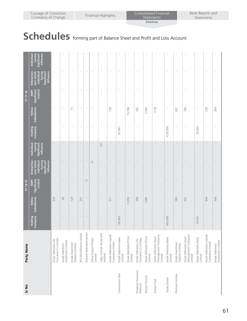Consolidated Financial **Schedules** 

| Sr No                         | Name<br>Party                                         |                    |                               | FY 18-19                       |                                                                               |                                                  |                    |                        | FY 17-18                       |                                                                               |                                                  |
|-------------------------------|-------------------------------------------------------|--------------------|-------------------------------|--------------------------------|-------------------------------------------------------------------------------|--------------------------------------------------|--------------------|------------------------|--------------------------------|-------------------------------------------------------------------------------|--------------------------------------------------|
|                               |                                                       | Holding<br>Company | Fellow<br><b>Subsidiaries</b> | KMP/<br>Significant<br>Control | Enterprises<br>Significant<br>influence<br>Individual<br>having<br>over which | having<br>Significant<br>Individual<br>influence | Holding<br>Company | Fellow<br>Subsidiaries | Significant<br>Control<br>KMP/ | Enterprises<br>Significant<br>influence<br>over which<br>Individual<br>having | having<br>Significant<br>influence<br>Individual |
|                               | Insurance Co Limited<br>Kotak Mahindra Life           | $\mathbf{I}$       | 334                           | $\mathbf{r}$                   |                                                                               |                                                  |                    |                        |                                | ×                                                                             |                                                  |
|                               | Investment Limited<br>Kotak Mahindra                  |                    | 83                            |                                |                                                                               |                                                  |                    |                        |                                |                                                                               |                                                  |
|                               | Kotak Investment<br>Advisors Limited                  | $\mathbf{I}$       | 129                           | $\mathbf{I}$                   |                                                                               |                                                  |                    | 73                     |                                | ×                                                                             |                                                  |
|                               | BSS Microfinance Limited                              |                    | 207                           |                                |                                                                               |                                                  |                    |                        |                                | J.                                                                            |                                                  |
|                               | Mahesh Balasubramanian                                | $\mathbf{I}$       |                               | $\overline{c}$                 |                                                                               |                                                  |                    |                        |                                | ×,                                                                            |                                                  |
|                               | Infina Finance Private<br>Limited                     |                    |                               |                                | $\frac{4}{1}$                                                                 |                                                  |                    |                        |                                |                                                                               |                                                  |
|                               | Uday S Kotak Along with<br>relatives                  |                    | $\mathbf{I}$                  |                                |                                                                               | 101                                              |                    |                        |                                | ×                                                                             |                                                  |
|                               | Kotak Mahindra Capital<br>Company Limited             |                    | 511                           |                                |                                                                               |                                                  |                    | 108                    |                                | $\mathbf{I}$                                                                  |                                                  |
| Commission Paid               | Kotak Mahindra Bank<br>Limited                        | 130,663            | $\blacksquare$                |                                |                                                                               |                                                  | 91,961             |                        |                                | f,                                                                            |                                                  |
|                               | Kotak Mahindra Prime<br>Limited                       |                    | 11,059                        |                                |                                                                               |                                                  |                    | 10,708                 |                                |                                                                               |                                                  |
| Employee Insurance<br>Premium | Kotak Mahindra Life<br>Insurance Co Limited           | $\,$               | 484                           | $\mathbf{I}$                   |                                                                               | I,                                               | f,                 | 305                    |                                | ×                                                                             |                                                  |
| Interest Income               | Kotak Mahindra Prime<br>Limited                       |                    | 1,685                         |                                |                                                                               |                                                  |                    | 3,440                  |                                |                                                                               |                                                  |
| Interest Paid                 | Management Company<br>Kotak Mahindra Asset<br>Limited | $\mathbf{I}$       |                               |                                |                                                                               |                                                  |                    | 0.09                   |                                | ×                                                                             |                                                  |
| Equity Shares                 | Kotak Mahindra Bank<br>Limited                        | 450,000            | $\mathbf{I}$                  | $\mathbf{I}$                   |                                                                               | $\mathbf{I}$                                     | 4,00,000           |                        |                                | J.                                                                            |                                                  |
| Premium Income                | Kotak Investment<br>Advisors Limited                  |                    | 589                           |                                |                                                                               |                                                  |                    | 691                    |                                | $\mathbf{I}$                                                                  |                                                  |
|                               | Management Company<br>Kotak Mahindra Asset<br>Limited |                    | 902                           |                                |                                                                               |                                                  |                    | 769                    |                                |                                                                               |                                                  |
|                               | Kotak Mahindra Bank<br>Limited                        | 19,591             |                               |                                |                                                                               |                                                  | 28,403             |                        |                                |                                                                               |                                                  |
|                               | Kotak Mahindra Capital<br>Company Limited             |                    | 849                           |                                |                                                                               | $\bar{1}$                                        |                    | 328                    |                                | J.                                                                            |                                                  |
|                               | Investment Limited<br>Kotak Mahindra                  |                    | 564                           | $\,$ $\,$                      | $\mathbf{I}$                                                                  | $\mathbf{I}$                                     | f,                 | 304                    | $\mathbf{I}$                   | ×                                                                             |                                                  |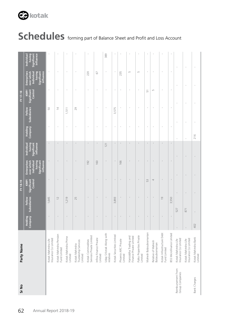

| Sr No                                 | Party Name                                        |                    |                               | FY 18-19                       |                                                                                                                                                                                                                                                                                                                                                      |                                                  |                           |                                      | FY 17-18                       |                                                                                      |                                                         |
|---------------------------------------|---------------------------------------------------|--------------------|-------------------------------|--------------------------------|------------------------------------------------------------------------------------------------------------------------------------------------------------------------------------------------------------------------------------------------------------------------------------------------------------------------------------------------------|--------------------------------------------------|---------------------------|--------------------------------------|--------------------------------|--------------------------------------------------------------------------------------|---------------------------------------------------------|
|                                       |                                                   | Holding<br>Company | <b>Subsidiaries</b><br>Fellow | Significant<br>KMP/<br>Control | <b>Enterprises</b><br>influence<br>over which<br>having<br>Significant<br>Individual                                                                                                                                                                                                                                                                 | Significant<br>influence<br>Individual<br>having | <b>Holding</b><br>Company | <b>Fellow</b><br><b>Subsidiaries</b> | Significant<br>KMP/<br>Control | <b>Enterprises</b><br>influence<br>having<br>Significant<br>over which<br>Individual | <b>Significant</b><br>influence<br>having<br>Individual |
|                                       | Insurance Co Limited<br>Kotak Mahindra Life       | ı                  | 1,645                         |                                | $\begin{array}{c} \rule{0.2cm}{0.15mm} \end{array}$                                                                                                                                                                                                                                                                                                  | $\mathbf{r}$                                     | ı                         | 50                                   | ×,                             |                                                                                      |                                                         |
|                                       | Kotak Mahindra Pension<br>Fund Limited            |                    | $\overline{c}$                |                                |                                                                                                                                                                                                                                                                                                                                                      |                                                  |                           | $\overline{4}$                       |                                |                                                                                      |                                                         |
|                                       | Kotak Mahindra Prime<br>Limited                   |                    | 1,219                         |                                |                                                                                                                                                                                                                                                                                                                                                      |                                                  |                           | 1,511                                |                                |                                                                                      |                                                         |
|                                       | Kotak Mahindra<br>Trusteeship Services<br>Limited |                    | 25                            |                                | $\begin{array}{c} \rule{0.2cm}{0.15cm} \rule{0.2cm}{0.15cm} \rule{0.2cm}{0.15cm} \rule{0.2cm}{0.15cm} \rule{0.2cm}{0.15cm} \rule{0.2cm}{0.15cm} \rule{0.2cm}{0.15cm} \rule{0.2cm}{0.15cm} \rule{0.2cm}{0.15cm} \rule{0.2cm}{0.15cm} \rule{0.2cm}{0.15cm} \rule{0.2cm}{0.15cm} \rule{0.2cm}{0.15cm} \rule{0.2cm}{0.15cm} \rule{0.2cm}{0.15cm} \rule{$ |                                                  |                           | 29                                   |                                |                                                                                      |                                                         |
|                                       | Services Private Limited<br>Kotak Commodities     |                    |                               | ı                              | 192                                                                                                                                                                                                                                                                                                                                                  | $\mathbf{r}$                                     | f,                        | f,                                   | t                              | 220                                                                                  |                                                         |
|                                       | Infina Finance Private<br>Limited                 |                    |                               |                                | 160                                                                                                                                                                                                                                                                                                                                                  | $\mathbf{r}$                                     |                           |                                      | ٠                              | 67                                                                                   |                                                         |
|                                       | Uday S Kotak Along with<br>relatives              |                    |                               |                                |                                                                                                                                                                                                                                                                                                                                                      | 121                                              |                           |                                      |                                |                                                                                      | 389                                                     |
|                                       | Kotak Securities Limited                          |                    | 3,893                         |                                | $\,$ I                                                                                                                                                                                                                                                                                                                                               | $\mathbf{I}$                                     | J.                        | 575<br>$\sim$                        | J.                             | ï                                                                                    |                                                         |
|                                       | Phoenix ARC Private<br>Limited                    |                    |                               |                                | 166                                                                                                                                                                                                                                                                                                                                                  |                                                  |                           |                                      |                                | 235                                                                                  |                                                         |
|                                       | Harisiddha Trading and<br>Finance Private Limited |                    |                               |                                |                                                                                                                                                                                                                                                                                                                                                      | $\mathbf{I}$                                     |                           |                                      | J.                             | $\mathsf{L}\cap$                                                                     |                                                         |
|                                       | Properties Private<br>Palko Pro<br>Limited        |                    |                               |                                |                                                                                                                                                                                                                                                                                                                                                      |                                                  |                           |                                      |                                | LN                                                                                   |                                                         |
|                                       | Mahesh Balasubramanian                            |                    |                               | 53                             | ı                                                                                                                                                                                                                                                                                                                                                    | $\mathbf{I}$                                     | ï                         | ×,                                   | 51                             |                                                                                      |                                                         |
|                                       | Relative of Mahesh<br>Balasubramanian             |                    |                               | 4                              |                                                                                                                                                                                                                                                                                                                                                      |                                                  |                           |                                      | LN                             |                                                                                      |                                                         |
|                                       | Kotak Infrastructure Debt<br>Fund Limited         |                    | $\overline{0}$                |                                |                                                                                                                                                                                                                                                                                                                                                      |                                                  |                           |                                      |                                |                                                                                      |                                                         |
|                                       | BSS Microfinance Limited                          |                    | 3,550                         |                                | $\mathbf{I}$                                                                                                                                                                                                                                                                                                                                         | $\mathbf{I}$                                     |                           | J.                                   | J.                             |                                                                                      |                                                         |
| Reimbursement From<br>Group Companies | Insurance Co Limited<br>Kotak Mahindra Life       |                    | 527                           |                                |                                                                                                                                                                                                                                                                                                                                                      |                                                  |                           |                                      |                                |                                                                                      |                                                         |
|                                       | Kotak Mahindra Life<br>Insurance Co Limited       |                    | 871                           |                                |                                                                                                                                                                                                                                                                                                                                                      |                                                  |                           |                                      |                                |                                                                                      |                                                         |
| Bank Charges                          | Kotak Mahindra Bank<br>Limited                    | 402                | $\mathbf{I}$                  |                                |                                                                                                                                                                                                                                                                                                                                                      |                                                  | 216                       | $\,$                                 | $\,$                           |                                                                                      |                                                         |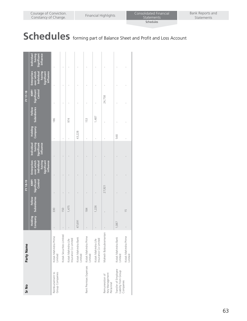Consolidated Financial **Schedules** 

| Sr No                                          | y Name<br>Part                              |                    |                        | FY 18-19                       |                                                                               |                                                 |                    |                        | FY 17-18                       |                                                                               |                                                  |
|------------------------------------------------|---------------------------------------------|--------------------|------------------------|--------------------------------|-------------------------------------------------------------------------------|-------------------------------------------------|--------------------|------------------------|--------------------------------|-------------------------------------------------------------------------------|--------------------------------------------------|
|                                                |                                             | Company<br>Holding | Subsidiaries<br>Fellow | Significant<br>Control<br>KMP/ | influence<br>Enterprises<br>Significant<br>over which<br>having<br>Individual | influence<br>having<br>ignificant<br>Individual | Company<br>Holding | Subsidiaries<br>Fellow | Significant<br>Control<br>KMP/ | influence<br>Enterprises<br>over which<br>having<br>Significant<br>Individual | influence<br>Significant<br>Individual<br>having |
| Reimbursement to<br>Group Companies            | Kotak Mahindra Prime<br>Limited             |                    | 330                    |                                |                                                                               |                                                 |                    | 186                    |                                |                                                                               |                                                  |
|                                                | Kotak Securities Limited                    |                    | 150                    |                                |                                                                               |                                                 |                    |                        |                                |                                                                               |                                                  |
|                                                | Kotak Mahindra Life<br>Insurance Co Limited |                    | 1,475                  |                                |                                                                               |                                                 |                    | 974                    |                                |                                                                               |                                                  |
|                                                | Kotak Mahindra Bank<br>Limited              | 47,691             |                        |                                |                                                                               |                                                 | 43,228             |                        |                                |                                                                               |                                                  |
| Rent Premises Expenses                         | Kotak Mahindra Prime<br>Limited             |                    | 184                    |                                |                                                                               |                                                 |                    | 153                    |                                |                                                                               |                                                  |
|                                                | Insurance Co Limited<br>Kotak Mahindra Life |                    | 1,226                  |                                |                                                                               |                                                 |                    | 1,487                  | ï                              |                                                                               |                                                  |
| Key Management<br>Personnel<br>Remuneration of | Mahesh Balasubramanian                      |                    |                        | 27,921                         |                                                                               |                                                 |                    |                        | 24,758                         |                                                                               |                                                  |
| Transfer of Employee<br>Liability from Group   | Kotak Mahindra Bank<br>Limited              | 1,087              |                        |                                |                                                                               |                                                 | 548                |                        |                                |                                                                               |                                                  |
| Companies                                      | Kotak Mahindra Prime<br>Limited             |                    | $\frac{5}{1}$          |                                |                                                                               |                                                 |                    |                        |                                |                                                                               |                                                  |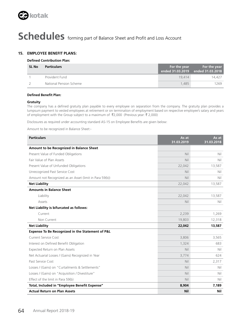

## **15. Employee Benefit Plans:**

## **Defined Contribution Plan:**

| <b>SL No</b> | <b>Particulars</b>      | For the year<br>ended 31.03.2019 | For the year<br>ended 31.03.2018 |
|--------------|-------------------------|----------------------------------|----------------------------------|
|              | Provident Fund          | 19.414                           | 14.427                           |
|              | National Pension Scheme | 1.485                            | 1269                             |

## **Defined Benefit Plan:**

#### **Gratuity**

The company has a defined gratuity plan payable to every employee on separation from the company. The gratuity plan provides a lumpsum payment to vested employees at retirement or on termination of employment based on respective employee's salary and years of employment with the Group subject to a maximum of  $\bar{\tau}$ 2,000 (Previous year:  $\bar{\tau}$  2,000)

Disclosures as required under accounting standard AS-15 on Employee Benefits are given below:

Amount to be recognized in Balance Sheet:-

| <b>Particulars</b>                                      | As at<br>31.03.2019 | As at<br>31.03.2018 |
|---------------------------------------------------------|---------------------|---------------------|
| Amount to be Recognized in Balance Sheet                |                     |                     |
| Present Value of Funded Obligations                     | Nil                 | Nil                 |
| Fair Value of Plan Assets                               | Nil                 | Nil                 |
| Present Value of Unfunded Obligations                   | 22,042              | 13,587              |
| Unrecognized Past Service Cost                          | <b>Nil</b>          | Nil                 |
| Amount not Recognized as an Asset (limit in Para 59(b)) | <b>Nil</b>          | Nil                 |
| <b>Net Liability</b>                                    | 22,042              | 13,587              |
| <b>Amounts in Balance Sheet</b>                         |                     |                     |
| Liability                                               | 22,042              | 13,587              |
| Assets                                                  | <b>Nil</b>          | Nil                 |
| Net Liability is bifurcated as follows:                 |                     |                     |
| Current                                                 | 2,239               | 1,269               |
| Non Current                                             | 19,803              | 12,318              |
| <b>Net Liability</b>                                    | 22,042              | 13,587              |
| Expense To Be Recognized in the Statement of P&L        |                     |                     |
| Current Service Cost                                    | 3,806               | 3,565               |
| Interest on Defined Benefit Obligation                  | 1,324               | 683                 |
| Expected Return on Plan Assets                          | Nil                 | Nil                 |
| Net Actuarial Losses / (Gains) Recognized in Year       | 3,774               | 624                 |
| Past Service Cost                                       | Nil                 | 2,317               |
| Losses / (Gains) on "Curtailments & Settlements"        | <b>Nil</b>          | Nil                 |
| Losses / (Gains) on "Acquisition / Divestiture"         | Nil                 | Nil                 |
| Effect of the limit in Para 59(b)                       | <b>Nil</b>          | Nil                 |
| Total, Included in "Employee Benefit Expense"           | 8,904               | 7,189               |
| <b>Actual Return on Plan Assets</b>                     | <b>Nil</b>          | Nil                 |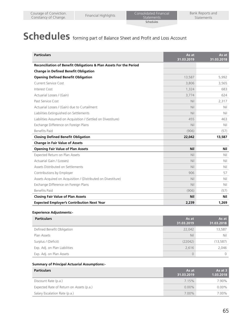| <b>Particulars</b>                                                 | As at<br>31.03.2019 | As at<br>31.03.2018 |
|--------------------------------------------------------------------|---------------------|---------------------|
| Reconciliation of Benefit Obligations & Plan Assets For the Period |                     |                     |
| <b>Change in Defined Benefit Obligation</b>                        |                     |                     |
| <b>Opening Defined Benefit Obligation</b>                          | 13,587              | 5,992               |
| Current Service Cost                                               | 3,806               | 3,565               |
| Interest Cost                                                      | 1,324               | 683                 |
| Actuarial Losses / (Gain)                                          | 3,774               | 624                 |
| Past Service Cost                                                  | Nil                 | 2,317               |
| Actuarial Losses / (Gain) due to Curtailment                       | Nil                 | Nil                 |
| Liabilities Extinguished on Settlements                            | Nil                 | Nil                 |
| Liabilities Assumed on Acquisition / (Settled on Divestiture)      | 455                 | 463                 |
| Exchange Difference on Foreign Plans                               | Nil                 | Nil                 |
| Benefits Paid                                                      | (906)               | (57)                |
| <b>Closing Defined Benefit Obligation</b>                          | 22,042              | 13,587              |
| <b>Change in Fair Value of Assets</b>                              |                     |                     |
| <b>Opening Fair Value of Plan Assets</b>                           | <b>Nil</b>          | Nil                 |
| Expected Return on Plan Assets                                     | Nil                 | Nil                 |
| Actuarial Gain / (Losses)                                          | Nil                 | Nil                 |
| Assets Distributed on Settlements                                  | Nil                 | Nil                 |
| Contributions by Employer                                          | 906                 | 57                  |
| Assets Acquired on Acquisition / (Distributed on Divestiture)      | Nil                 | Nil                 |
| Exchange Difference on Foreign Plans                               | Nil                 | Nil                 |
| Benefits Paid                                                      | (906)               | (57)                |
| <b>Closing Fair Value of Plan Assets</b>                           | <b>Nil</b>          | Nil                 |
| <b>Expected Employer's Contribution Next Year</b>                  | 2,239               | 1,269               |

## **Experience Adjustments:-**

| <b>Particulars</b>            | As at<br>31.03.2019 | As at<br>31.03.2018 |
|-------------------------------|---------------------|---------------------|
| Defined Benefit Obligation    | 22,042              | 13,587              |
| Plan Assets                   | Nil                 | Nil                 |
| Surplus / (Deficit)           | (22042)             | (13, 587)           |
| Exp. Adj. on Plan Liabilities | 2,616               | 2,046               |
| Exp. Adj. on Plan Assets      |                     |                     |

## **Summary of Principal Actuarial Assumptions:-**

| <b>Particulars</b>                       | As at<br>31.03.2019 | As at 3<br>1.03.2018 |
|------------------------------------------|---------------------|----------------------|
| Discount Rate (p.a.)                     | 7.15%               | 7.90%                |
| Expected Rate of Return on Assets (p.a.) | $0.00\%$            | $0.00\%$             |
| Salary Escalation Rate (p.a.)            | $7.00\%$            | 7.00%                |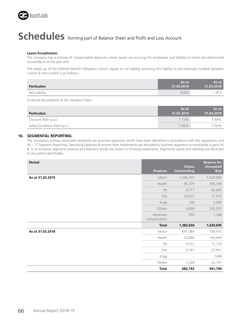

#### **Leave Encashment:**

The company has a scheme of compensated absences where leaves are accruing for employees and liability of which are determined actuarially as at the year end.

The break-up of the Defined Benefit Obligation (which equals to net liability assuming this liability is not externally funded) between current & non-current is as follows:-

| Particulars   | As at<br>31.03.2019 | $As$ at<br>31.03.2018 |
|---------------|---------------------|-----------------------|
| Net Liability | 9,852               | .913                  |

Financial Assumptions at the Valuation Date:-

| <b>Particulars</b>            | As at<br>31.03.2019 | As at I<br>31.03.2018 |
|-------------------------------|---------------------|-----------------------|
| Discount Rate (p.a.)          | 7.15%               | 7.90%                 |
| Salary Escalation Rate (p.a.) | 7.00%               | 7.00%                 |

## **16. Segmental Reporting:**

The company's primary reportable segments are business segments which have been identified in accordance with the regulations and AS – 17 Segment Reporting. Operating Expenses & Income from Investments are allocated to business segments as mentioned in para 1K & 1L of schedule Segments revenue and segment results are shown in financial statements. Segmental assets and liabilities are disclosed to the extent identifiable:

| Period           |                         | <b>Claims</b>      | <b>Reserve for</b><br><b>Unexpired</b> |
|------------------|-------------------------|--------------------|----------------------------------------|
|                  | <b>Products</b>         | <b>Outstanding</b> | <b>Risk</b>                            |
| As at 31.03.2019 | Motor                   | 1,296,747          | 1,028,990                              |
|                  | Health                  | 45,375             | 390,359                                |
|                  | PA                      | 9,777              | 42,065                                 |
|                  | Fire                    | 26,672             | 71,575                                 |
|                  | Engg                    | 140                | 2,200                                  |
|                  | Others                  | 3,009              | 103,257                                |
|                  | Workmen<br>Compensation | 930                | 1,248                                  |
|                  | <b>Total</b>            | 1,382,650          | 1,639,695                              |
| As at 31.03.2018 | Motor                   | 641,089            | 709,975                                |
|                  | Health                  | 24,866             | 164,443                                |
|                  | PA                      | 9,312              | 15,176                                 |
|                  | Fire                    | 6,197              | 27,951                                 |
|                  | Engg                    |                    | 1498                                   |
|                  | Others                  | 1,328              | 22,747                                 |
|                  | <b>Total</b>            | 682,792            | 941,790                                |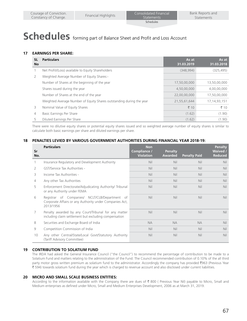## **17 Earnings Per Share:**

| SL.<br><b>No</b> | <b>Particulars</b>                                                   | As at<br>31.03.2019 | As at<br>31.03.2018 |
|------------------|----------------------------------------------------------------------|---------------------|---------------------|
|                  | Net Profit/(Loss) available to Equity Shareholders                   | (348, 994)          | (325, 495)          |
| 2                | Weighted Average Number of Equity Shares:-                           |                     |                     |
|                  | Number of Shares at the beginning of the year                        | 17,50,00,000        | 13,50,00,000        |
|                  | Shares issued during the year                                        | 4,50,00,000         | 4,00,00,000         |
|                  | Number of Shares at the end of the year                              | 22,00,00,000        | 17,50,00,000        |
|                  | Weighted Average Number of Equity Shares outstanding during the year | 21,55,61,644        | 17, 14, 93, 151     |
| 3                | Nominal Value of Equity Shares                                       | ₹ 10                | ₹ 10                |
| 4                | Basic Earnings Per Share                                             | (1.62)              | (1.90)              |
| 5                | Diluted Earnings Per Share                                           | (1.62)              | (1.90)              |

There were no dilutive equity shares or potential equity shares issued and so weighted average number of equity shares is similar to calculate both basic earnings per share and diluted earnings per share.

## **18 Penalties Levied by Various Government Authorities During Financial Year 2018-19:**

| Sr<br>No.      | <b>Particulars</b>                                                                                                     | <b>Non</b><br>Compliance /<br><b>Violation</b> | Penalty<br><b>Awarded</b> | <b>Penalty Paid</b> | Penalty<br>Waived /<br><b>Reduced</b> |
|----------------|------------------------------------------------------------------------------------------------------------------------|------------------------------------------------|---------------------------|---------------------|---------------------------------------|
|                | Insurance Regulatory and Development Authority                                                                         | <b>Nil</b>                                     | Nil                       | Nil                 | <b>Nil</b>                            |
| 2              | GST/Service Tax Authorities -                                                                                          | Nil                                            | Nil                       | Nil                 | <b>Nil</b>                            |
| 3              | Income Tax Authorities -                                                                                               | Nil                                            | Nil                       | Nil                 | <b>Nil</b>                            |
| $\overline{4}$ | Any other Tax Authorities                                                                                              | <b>Nil</b>                                     | Nil                       | Nil                 | Nil                                   |
| 5              | Enforcement Directorate/Adjudicating Authority/ Tribunal<br>or any Authority under FEMA                                | <b>Nil</b>                                     | Nil                       | Nil                 | <b>Nil</b>                            |
| 6              | Registrar of Companies/ NCLT/CLB/Department of<br>Corporate Affairs or any Authority under Companies Act,<br>2013/1956 | <b>Nil</b>                                     | Nil                       | Nil                 | <b>Nil</b>                            |
| 7              | Penalty awarded by any Court/Tribunal for any matter<br>including claim settlement but excluding compensation          | <b>Nil</b>                                     | Nil                       | Nil                 | <b>Nil</b>                            |
| 8              | Securities and Exchange Board of India                                                                                 | <b>NA</b>                                      | <b>NA</b>                 | <b>NA</b>           | <b>Nil</b>                            |
| 9              | Competition Commission of India                                                                                        | Nil                                            | Nil                       | Nil                 | Nil                                   |
| 10             | Any other Central/State/Local Govt/Statutory Authority<br>(Tariff Advisory Committee)                                  | <b>Nil</b>                                     | Nil                       | Nil                 | Nil                                   |

## **19 Contribution to Solatium Fund**

The IRDA had asked the General Insurance Council ("the Council") to recommend the percentage of contribution to be made to a Solatium Fund and matters relating to the administration of the Fund. The Council recommended contribution of 0.10% of the all third party motor gross written premium as solatium fund to the administrator. Accordingly the company has provided ₹963 (Previous Year ` 594) towards solatium fund during the year which is charged to revenue account and also disclosed under current liabilities.

## **20 Micro and Small Scale business entities:**

According to the information available with the Company there are dues of  $\bar{\tau}$  800 ( Previous Year Nil) payable to Micro, Small and Medium enterprises as defined under Micro, Small and Medium Enterprises Development, 2006 as at March 31, 2019.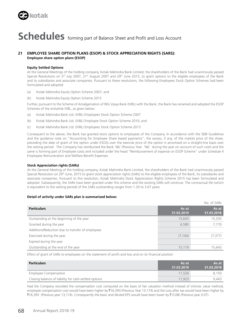

## **21 Employee share option plans (ESOP) & Stock Appreciation rights (SARs): Employee share option plans (ESOP)**

## **Equity Settled Options**

At the General Meetings of the holding company, Kotak Mahindra Bank Limited, the shareholders of the Bank had unanimously passed Special Resolutions on  $5<sup>th</sup>$  July 2007, 21<sup>st</sup> August 2007 and 29<sup>th</sup> June 2015, to grant options to the eligible employees of the Bank and its subsidiaries and associate companies. Pursuant to these resolutions, the following Employees Stock Option Schemes had been formulated and adopted:

- (a) Kotak Mahindra Equity Option Scheme 2007; and
- (b) Kotak Mahindra Equity Option Scheme 2015

Further, pursuant to the Scheme of Amalgamation of ING Vysya Bank (IVBL) with the Bank, the Bank has renamed and adopted the ESOP Schemes of the erstwhile IVBL, as given below:

- (a) Kotak Mahindra Bank Ltd. (IVBL) Employees Stock Option Scheme 2007
- (b) Kotak Mahindra Bank Ltd. (IVBL) Employee Stock Option Scheme 2010; and
- (c) Kotak Mahindra Bank Ltd. (IVBL) Employees Stock Option Scheme 2013

Consequent to the above, the Bank has granted stock options to employees of the Company. In accordance with the SEBI Guidelines and the guidance note on "Accounting for Employee Share based payments", the excess, if any, of the market price of the share, preceding the date of grant of the option under ESOSs over the exercise price of the option is amortised on a straight-line basis over the vesting period. The Company has reimbursed the Bank 'NIL' (Previous Year 'NIL' during the year on account of such costs and the same is forming part of Employee costs and included under the head "Reimbursement of expense on ESOP Scheme" under Schedule 4 Employees Remuneration and Welfare Benefit Expenses

#### **Stock Appreciation rights (SARs)**

At the General Meeting of the holding company, Kotak Mahindra Bank Limited, the shareholders of the Bank had unanimously passed Special Resolution on 29<sup>th</sup> June, 2015 to grant stock appreciation rights (SARs) to the eligible employees of the Bank, its subsidiaries and associate companies. Pursuant to this resolution, Kotak Mahindra Stock Appreciation Rights Scheme 2015 has been formulated and adopted. Subsequently, the SARs have been granted under this scheme and the existing SARs will continue. The contractual life (which is equivalent to the vesting period) of the SARs outstanding ranges from 1.20 to 3.67 years.

#### **Detail of activity under SARs plan is summarized below:**

|                                                  |                     | No. of SARs         |
|--------------------------------------------------|---------------------|---------------------|
| <b>Particulars</b>                               | As at<br>31.03.2019 | As at<br>31.03.2018 |
| Outstanding at the beginning of the year         | 15,643              | 15,250              |
| Granted during the year                          | 6,580               | 7,770               |
| Additions/Reduction due to transfer of employees |                     |                     |
| Exercised during the year                        | (7, 104)            | (7, 377)            |
| Expired during the year                          |                     |                     |
| Outstanding at the end of the year               | 15,119              | 15,643              |

Effect of grant of SARs to employees on the statement of profit and loss and on its financial position

| <b>Particulars</b>                                    | As at<br>31.03.2019 | As at<br>31.03.2018 |
|-------------------------------------------------------|---------------------|---------------------|
| <b>Employee Compensation</b>                          | 11.526              | 8.150               |
| Closing balance of liability for cash-settled options | 11.923              | 9.443               |

Had the Company recorded the compensation cost computed on the basis of fair valuation method instead of intrinsic value method, employee compensation cost would have been higher by ₹16,393 (Previous Year 13,174) and the Loss after tax would have been higher by  $\bar{\mathcal{F}}$ 16,393 (Previous year 13,174). Consequently the basic and diluted EPS would have been lower by  $\bar{\mathcal{F}}$  0.08( (Previous year 0.07).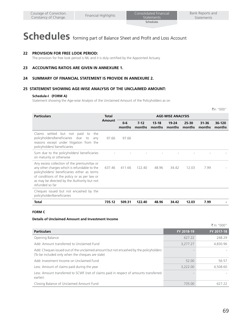$\overline{\mathcal{F}}$ In "000"

## **Schedules** forming part of Balance Sheet and Profit and Loss Account

## **22 Provision for Free Look period:**

The provision for free look period is NIL and it is duly certified by the Appointed Actuary.

## **23 Accounting Ratios are given in Annexure 1.**

## **24 Summary of Financial Statement is provide in Annexure 2.**

## **25 Statement showing Age-wise Analysis of the unclaimed amount:**

## **Schedule-I (FORM A)**

Statement showing the Age-wise Analysis of the Unclaimed Amount of the Policyholders as on

|                                                                                                                                                                                                                                                               |              |                   |                  |                     |                          |                 |                 | NII UUU          |
|---------------------------------------------------------------------------------------------------------------------------------------------------------------------------------------------------------------------------------------------------------------|--------------|-------------------|------------------|---------------------|--------------------------|-----------------|-----------------|------------------|
| <b>Particulars</b>                                                                                                                                                                                                                                            | <b>Total</b> |                   |                  |                     | <b>AGE-WISE ANALYSIS</b> |                 |                 |                  |
|                                                                                                                                                                                                                                                               | Amount       | $0 - 6$<br>months | $7-12$<br>months | $13 - 18$<br>months | $19 - 24$<br>months      | 25-30<br>months | 31-36<br>months | 36-120<br>months |
| Claims settled but not paid to<br>the<br>policyholders/beneficiaries<br>due<br>to<br>anv<br>reasons except under litigation from the<br>policyholders/ beneficiaries                                                                                          | 97.66        | 97.66             |                  |                     |                          |                 |                 |                  |
| Sum due to the policyholders/ beneficiaries<br>on maturity or otherwise                                                                                                                                                                                       |              |                   |                  |                     |                          |                 |                 |                  |
| Any excess collection of the premium/tax or<br>any other charges which is refundable to the<br>policyholders/ beneficiaries either as terms<br>of conditions of the policy or as per law or<br>as may be directed by the Authority but not<br>refunded so far | 637.46       | 411.66            | 122.40           | 48.96               | 34.42                    | 12.03           | 7.99            |                  |
| Cheques issued but not encashed by the<br>policyholder/beneficiaries                                                                                                                                                                                          |              |                   |                  |                     |                          |                 |                 |                  |
| Total                                                                                                                                                                                                                                                         | 735.12       | 509.31            | 122.40           | 48.96               | 34.42                    | 12.03           | 7.99            |                  |

## **FORM C**

#### **Details of Unclaimed Amount and Investment Income**

|                                                                                                                                           |            | ₹ In "000" |
|-------------------------------------------------------------------------------------------------------------------------------------------|------------|------------|
| <b>Particulars</b>                                                                                                                        | FY 2018-19 | FY 2017-18 |
| Opening Balance                                                                                                                           | 627.22     | 248.29     |
| Add: Amount transferred to Unclaimed Fund                                                                                                 | 3,277.27   | 4,830.96   |
| Add: Cheques issued out of the unclaimed amount but not encashed by the policyholders<br>(To be included only when the cheques are stale) |            |            |
| Add: Investment Income on Unclaimed Fund                                                                                                  | 52.00      | 56.57      |
| Less: Amount of claims paid during the year                                                                                               | 3,222.00   | 4,508.60   |
| Less: Amount transferred to SCWF (net of claims paid in respect of amounts transferred<br>earlier)                                        |            |            |
| Closing Balance of Unclaimed Amount Fund                                                                                                  | 735.00     | 627 22     |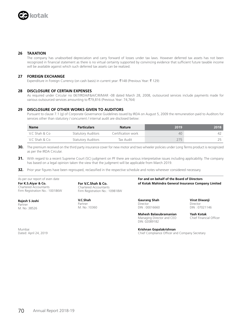

## **26 Taxation**

The company has unabsorbed depreciation and carry forward of losses under tax laws. However deferred tax assets has not been recognized in financial statement as there is no virtual certainty supported by convincing evidence that sufficient future taxable income will be available against which such deferred tax assets can be realized.

## **27 Foreign Exchange**

Expenditure in Foreign Currency (on cash basis) in current year: ₹148 (Previous Year: ₹129)

#### **28 Disclosure of certain expenses**

As required under Circular no 067/IRDA/F&A/CIR/MAR -08 dated March 28, 2008, outsourced services include payments made for various outsourced services amounting to ₹79,816 (Previous Year: 74,764)

## **29 Disclosure of other works given to auditors**

Pursuant to clause 7.1 (g) of Corporate Governance Guidelines issued by IRDA on August 5, 2009 the remuneration paid to Auditors for services other than statutory / concurrent / internal audit are disclosed below:

| <b>Name</b>    | <b>Particulars</b>        | <b>Nature</b>      | 2019 | 2018 |
|----------------|---------------------------|--------------------|------|------|
| V.C. Shah & Co | <b>Statutory Auditors</b> | Certification work | 40   |      |
| V.C Shah & Co  | <b>Statutory Auditors</b> | Tax Audit          | 275  |      |

**30.** The premium received on the third party insurance cover for new motor and two wheeler policies under Long Terms product is recognized as per the IRDA Circular.

**31.** With regard to a recent Supreme Court (SC) judgment on PF there are various interpretative issues including applicability. The company has based on a legal opinion taken the view that the judgment will be applicable from March 2019.

**32.** Prior year figures have been regrouped, reclassified in the respective schedule and notes wherever considered necessary.

As per our report of even date **For and on behalf of the Board of Directors**

**For K.S.Aiyar & Co.** Chartered Accountants Firm Registration No.: 100186W

**Rajesh S Joshi** Partner M. No :38526

**For V.C.Shah & Co.** Chartered Accountants Firm Registration No.: 109818W

**V.C.Shah** Partner M. No :10360 **of Kotak Mahindra General Insurance Company Limited**

**Gaurang Shah** Director DIN : 00016660 **Virat Diwanji** Director DIN : 07021146

**Mahesh Balasubramanian** Managing Director and CEO DIN: 02089182

**Yash Kotak** Chief Financial Officer

**Krishnan Gopalakrishnan** Chief Compliance Officer and Company Secretary

Mumbai Dated: April 24, 2019

70 Annual Report 2018-19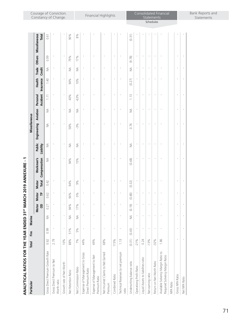| -<br>-<br>-<br>-<br>-<br>- |
|----------------------------|
|                            |
| $\overline{1}$             |
| i                          |
|                            |
|                            |
|                            |
|                            |
|                            |
|                            |
|                            |
| l                          |
|                            |
|                            |
|                            |
|                            |
|                            |
|                            |
| :<br>:                     |
|                            |
|                            |
|                            |
|                            |
|                            |

| ANALYTICAL RATIOS FOR THE YEAR EN                                    |        |        |            |                           |        |                | DED 31 <sup>5T</sup> MARCH 2019 ANNEXURE - 1 |                     |               |            |                      |                     |            |        |                                     |
|----------------------------------------------------------------------|--------|--------|------------|---------------------------|--------|----------------|----------------------------------------------|---------------------|---------------|------------|----------------------|---------------------|------------|--------|-------------------------------------|
| Particular                                                           | Total  | Fire   | Marine     |                           |        |                |                                              |                     | Miscellaneous |            |                      |                     |            |        |                                     |
|                                                                      |        |        |            | Motor Motor<br>$\epsilon$ | Ê      | Total<br>Motor | Workmen's<br>Compensation                    | Public<br>Liability | Engineering   | Aviation   | Accident<br>Personal | Health<br>Insurance | Credit     |        | Trade Others Miscellaneous<br>Total |
| Gross Direct Premium Growth Rate                                     | 0.62   | 0.99   | $\lessgtr$ | 0.27                      | 0.62   | 0.42           | $\leq$                                       | $\leq$              | $\leqq$       | $\lessgtr$ | 1.11                 | 1.40                | $\lessgtr$ | 0.99   | 0.61                                |
| Gross Direct Premium to Net<br>Worth ratio                           | 2.79   |        |            |                           |        |                |                                              |                     |               |            |                      |                     |            |        |                                     |
| Growth rate of Net Worth                                             | 10%    | t      |            |                           | ×      | t              |                                              | ×                   | t             | ×          | t                    | t                   |            |        |                                     |
| Net Retention Ratio                                                  | 88%    | 51%    | ₹          | 94%                       | 94%    | 94%            | 94%                                          | $\lessgtr$          | 58%           | $\leq$     | 40%                  | 94%                 | ₹          | 79%    | 90%                                 |
| Net Commission Ratio                                                 | 7%     | 5%     | ₹          | 17%                       | $\%0$  | 9%             | 15%                                          | $\lessgtr$          | $-3%$         | $\leq$     | $-63%$               | 10%                 | $\lessgtr$ | 17%    | 8%                                  |
| Expense of Management to Gross<br>Direct Premium Ratio               | 44 %   |        |            |                           |        |                |                                              |                     |               |            |                      |                     |            |        |                                     |
| Expense of Management to Net<br>Premium Ratio                        | 49%    |        |            |                           |        |                |                                              |                     |               |            |                      |                     |            |        |                                     |
| Net Incurred Claims to Net Earned<br>Premium                         | 68%    |        |            |                           |        |                |                                              |                     |               |            |                      |                     |            |        |                                     |
| Combined Ratio                                                       | 115%   |        | f,         | ł                         | ı      | ı              | f,                                           |                     | ı             | í,         | í,                   | ı                   | ł          |        |                                     |
| Technical Reserves to net premium<br>ratio                           | 1.13   |        | ï          | ï                         |        |                |                                              |                     |               |            |                      |                     |            |        |                                     |
| Underwriting balance ratio                                           | (0.31) | (0.43) | $\lessgtr$ | (0.19)                    | (0.48) | (0.32)         | (0.48)                                       | $\lessgtr$          | 0.76          | $\lessgtr$ | 1.13                 | (0.27)              | $\lessgtr$ | (9.78) | (0.31)                              |
| Operationg Profit Ratio                                              | $-21%$ |        |            |                           |        |                |                                              |                     |               |            |                      |                     |            |        |                                     |
| Liquid Assets to liabilities ratio                                   | 0.24   |        |            | $\,$                      | ×      | $\,$           | ×                                            |                     |               | ×          |                      |                     | $\,$       | L.     |                                     |
| Net earning ratio                                                    | $-13%$ |        |            |                           |        |                |                                              |                     |               |            |                      |                     |            |        |                                     |
| Return on Net Worth Ratio                                            | $-32%$ |        |            |                           |        |                |                                              |                     |               |            |                      |                     |            |        |                                     |
| Available Solvency Margin Ratio to<br>Required Solvency Margin Ratio | 1.86   |        |            |                           |        |                |                                              |                     |               |            |                      |                     |            |        |                                     |
| NPA Ratio                                                            |        |        |            |                           |        |                |                                              |                     |               |            |                      |                     |            |        |                                     |
| Gross NPA Ratio                                                      |        |        |            |                           |        |                |                                              |                     |               |            |                      |                     |            |        |                                     |
| Net NPA Ratio                                                        |        |        |            |                           |        |                |                                              |                     |               |            |                      |                     |            |        |                                     |
|                                                                      |        |        |            |                           |        |                |                                              |                     |               |            |                      |                     |            |        |                                     |

Consolidated Financial Statements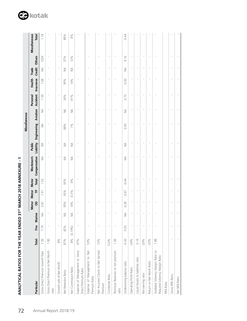|                                              | Motor<br>8  | 0.81<br>₹                        |                                            | ı                        | 93%<br>$\leq$       | NIA 160/             |
|----------------------------------------------|-------------|----------------------------------|--------------------------------------------|--------------------------|---------------------|----------------------|
|                                              | Fire Marine |                                  |                                            |                          |                     |                      |
|                                              |             | 7.79                             |                                            |                          | 42%                 | 20/2 / (0 10 0/2)    |
|                                              | Total       | 1.26                             | 1.90                                       | 8%                       | 87%                 |                      |
| ANALYTICAL RATIOS FOR THE YEAR ENDED 315T MA | Particular  | Gross Direct Premium Growth Rate | Gross Direct Premium to Net Worth<br>ratio | Growth rate of Net Worth | Net Retention Ratio | Not Commiccion Patio |
| 72                                           | Annual      |                                  | Report 2018-1                              |                          |                     |                      |

| l              |
|----------------|
| l<br>I         |
|                |
|                |
|                |
| ֠              |
|                |
|                |
|                |
|                |
|                |
|                |
|                |
| ׇׅ֘֝           |
|                |
| l              |
|                |
|                |
|                |
| ׇ֠             |
|                |
|                |
| l              |
| i              |
|                |
|                |
| i              |
| ١              |
|                |
| I<br>i         |
| I              |
| $\overline{1}$ |
| ı<br>ı         |
|                |
|                |
|                |
|                |
|                |
|                |
|                |
|                |
| I              |
|                |
|                |
|                |
|                |
| ١              |
| I              |
|                |
| ֚              |
| ׇ֚֘            |
|                |
|                |
|                |
|                |
|                |
|                |
|                |
| I<br>ׇ֠        |
|                |
|                |
|                |
|                |
|                |

|                                                                      |         |                |                                  |                                |                   |                |                           |                     |                                         | Miscellaneous                    |          |         |                                  |               |                               |
|----------------------------------------------------------------------|---------|----------------|----------------------------------|--------------------------------|-------------------|----------------|---------------------------|---------------------|-----------------------------------------|----------------------------------|----------|---------|----------------------------------|---------------|-------------------------------|
| Particular                                                           | Total   | <u>ire</u>     | Marine                           | <b>Motor</b><br>$\overline{a}$ | <b>Motor</b><br>È | Total<br>Motor | Compensation<br>Workmen's | Liability<br>Public | Engineering Aviation Accident Insurance |                                  | Personal | Health  | Credit<br>Trade                  | <b>Others</b> | <b>Miscellaneous</b><br>Total |
| Gross Direct Premium Growth Rate                                     | 1.26    | 7.79           | $\lessgtr$                       | 0.81                           | 1.41              | 1.02           | $\frac{1}{2}$             | $\lessgtr$          | $\stackrel{\triangleleft}{\geq}$        | $\lessgtr$                       | 1.59     | 1.68    | $\stackrel{\triangleleft}{\geq}$ | 1034          | 1.18                          |
| Gross Direct Premium to Net Worth<br>ratio                           | 1.90    |                |                                  |                                |                   |                |                           |                     |                                         |                                  |          |         |                                  |               |                               |
| Growth rate of Net Worth                                             | 8%      |                |                                  |                                |                   |                |                           |                     |                                         |                                  |          |         |                                  |               |                               |
| Net Retention Ratio                                                  | 87%     | 42%            | $\stackrel{\triangleleft}{\geq}$ | 93%                            | 93%               | 93%            | $\leq$                    | $\lessgtr$          | 88%                                     | $\lessgtr$                       | 36%      | 95%     | $\stackrel{\triangleleft}{\geq}$ | 37%           | 89%                           |
| Net Commission Ratio                                                 | 8%      | 19%<br>$\circ$ | $\stackrel{\triangleleft}{\geq}$ | 16%                            | $-0.3\%$          | 9%             | $\lessgtr$                | $\lessgtr$          | 1%                                      | $\lessgtr$                       | $-91%$   | 14%     | $\stackrel{\triangleleft}{\geq}$ | 12%           | 8%                            |
| Expense of Management to Gross<br>Direct Premium Ratio               | 47%     |                |                                  |                                |                   |                |                           |                     |                                         |                                  |          |         |                                  |               |                               |
| Expense of Management to Net<br>Premium Ratio                        | 53%     |                |                                  |                                |                   |                |                           |                     |                                         |                                  |          |         |                                  |               |                               |
| Net Incurred Claims to Net Earned<br>Premium                         | 72%     |                |                                  |                                |                   |                |                           |                     |                                         |                                  |          |         |                                  |               |                               |
| Combined Ratio                                                       | 122%    |                |                                  |                                |                   |                |                           |                     |                                         |                                  |          |         |                                  |               |                               |
| Technical Reserves to net premium<br>ratio                           | 1.00    |                |                                  |                                |                   |                |                           |                     |                                         |                                  |          |         |                                  |               |                               |
| Underwriting balance ratio                                           | $-0.43$ | 0.05           | $\stackrel{\triangleleft}{\geq}$ | $-0.30$                        | $-0.67$           | $-0.44$        | $\lessgtr$                | $\leq$              | 0.95                                    | $\stackrel{\triangleleft}{\geq}$ | 0.75     | $-0.50$ | $\leq$                           | 6.16          | $-0.44$                       |
| Operating Profit Ratio                                               | $-34%$  |                | $\,$                             | $\,$                           | $\,$              | $\,$           |                           | ï                   |                                         | $\,$                             |          |         | ×,                               |               |                               |
| Liquid Assets to liabilities ratio                                   | 0.14    |                |                                  |                                |                   |                |                           |                     |                                         |                                  |          |         |                                  |               |                               |
| Net earning ratio                                                    | $-20%$  |                |                                  |                                |                   |                |                           |                     |                                         |                                  |          |         |                                  |               |                               |
| Return on Net Worth Ratio                                            | $-33%$  |                |                                  |                                |                   |                |                           |                     |                                         |                                  |          |         |                                  |               |                               |
| Available Solvency Margin Ratio to<br>Required Solvency Margin Ratio | 1.88    |                |                                  |                                |                   |                |                           |                     |                                         |                                  |          |         |                                  |               |                               |
| <b>NPA Ratio</b>                                                     |         |                |                                  |                                |                   |                |                           |                     |                                         |                                  |          |         |                                  |               |                               |
| Gross NPA Ratio                                                      | $\,$    |                |                                  |                                |                   |                |                           |                     |                                         |                                  |          |         |                                  |               |                               |
| Net NPA Ratio                                                        |         |                |                                  |                                |                   |                |                           |                     |                                         |                                  |          |         |                                  |               |                               |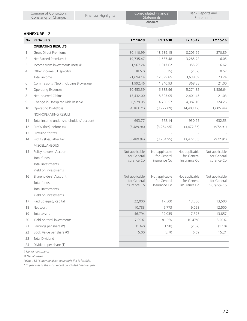| Courage of Conviction. |
|------------------------|
| Constancy of Change.   |

Consolidated Financial

**Schedules** 

### **Annexure – 2**

|                | <b>No</b> Particulars                    | FY 18-19                    | FY 17-18                    | FY 16-17                    | FY 15-16                    |
|----------------|------------------------------------------|-----------------------------|-----------------------------|-----------------------------|-----------------------------|
|                | <b>OPERATING RESULTS</b>                 |                             |                             |                             |                             |
| 1              | <b>Gross Direct Premiums</b>             | 30,110.99                   | 18,539.15                   | 8,205.29                    | 370.89                      |
| $\overline{2}$ | Net Earned Premium #                     | 19,735.47                   | 11,587.48                   | 3,285.72                    | 6.05                        |
| 3              | Income from investments (net) @          | 1,967.24                    | 1,017.62                    | 355.29                      | 16.62                       |
| 4              | Other income (Pl. specify)               | (8.57)                      | (5.25)                      | (2.32)                      | 0.57                        |
| 5              | Total income                             | 21,694.14                   | 12,599.85                   | 3,638.69                    | 23.24                       |
| 6              | Commissions (Net) (Including Brokerage   | 1,992.46                    | 1,340.93                    | 368.55                      | 21.00                       |
| 7              | <b>Operating Expenses</b>                | 10,453.39                   | 6,882.96                    | 5,271.82                    | 1,586.64                    |
| 8              | Net Incurred Claims                      | 13,432.00                   | 8,303.05                    | 2,401.45                    | 21.03                       |
| 9              | Change in Unexpired Risk Reserve         | 6,979.05                    | 4,706.57                    | 4,387.10                    | 324.26                      |
| 10             | Operating Profit/loss                    | (4, 183.71)                 | (3,927.09)                  | (4,403.12)                  | (1,605.44)                  |
|                | NON-OPERATING RESULT                     |                             |                             |                             |                             |
| 11             | Total income under shareholders' account | 693.77                      | 672.14                      | 930.75                      | 632.53                      |
| 12             | Profit/ (loss) before tax                | (3,489.94)                  | (3,254.95)                  | (3,472.36)                  | (972.91)                    |
| 13             | Provision for tax                        |                             |                             |                             |                             |
| 14             | Profit / (loss) after tax                | (3,489.94)                  | (3,254.95)                  | (3,472.36)                  | (972.91)                    |
|                | MISCELLANEOUS                            |                             |                             |                             |                             |
| 15             | Policy holders' Account:                 | Not applicable              | Not applicable              | Not applicable              | Not applicable              |
|                | Total funds                              | for General<br>insurance Co | for General<br>insurance Co | for General<br>Insurance Co | for General<br>Insurance Co |
|                | Total Investments                        |                             |                             |                             |                             |
|                | Yield on investments                     |                             |                             |                             |                             |
| 16             | Shareholders' Account:                   | Not applicable              | Not applicable              | Not applicable              | Not applicable              |
|                | Total funds                              | for General<br>insurance Co | for General<br>Insurance Co | for General<br>Insurance Co | for General<br>Insurance Co |
|                | Total Investments                        |                             |                             |                             |                             |
|                | Yield on investments                     |                             |                             |                             |                             |
| 17             | Paid up equity capital                   | 22,000                      | 17,500                      | 13,500                      | 13,500                      |
| 18             | Net worth                                | 10,783                      | 9,773                       | 9,028                       | 12,500                      |
| 19             | Total assets                             | 46,794                      | 29,035                      | 17,375                      | 13,857                      |
| 20             | Yield on total investments               | 7.99%                       | 8.19%                       | 10.47%                      | 8.20%                       |
| 21             | Earnings per share $(\overline{\tau})$   | (1.62)                      | (1.90)                      | (2.57)                      | (1.18)                      |
| 22             | Book Value per share $( ₹)$              | 5.00                        | 5.70                        | 6.69                        | 15.21                       |
| 23             | <b>Total Dividend</b>                    |                             |                             |                             |                             |
| 24             | Dividend per share $(₹)$                 |                             |                             |                             |                             |

*# Net of reinsurance*

*@ Net of losses*

*Points 15&16 may be given separately, if it is feasible.*

*\*1st year means the most recent concluded financial year.*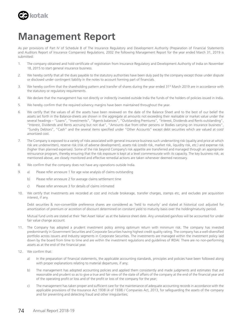

## **Management Report**

As per provisions of Part IV of Schedule B of The Insurance Regulatory and Development Authority (Preparation of Financial Statements and Auditors Report of Insurance Companies) Regulations, 2002 the following Management Report for the year ended March 31, 2019 is submitted:

- 1. The company obtained and hold certificate of registration from Insurance Regulatory and Development Authority of India on November 18, 2015 to start general insurance business.
- 2. We hereby certify that all the dues payable to the statutory authorities have been duly paid by the company except those under dispute or disclosed under contingent liability in the notes to account forming part of financials.
- 3. We hereby confirm that the shareholding pattern and transfer of shares during the year ended 31<sup>st</sup> March 2019 are in accordance with the statutory or regulatory requirements.
- 4. We declare that the management has not directly or indirectly invested outside India the funds of the holders of policies issued in India.
- 5. We hereby confirm that the required solvency margins have been maintained throughout the year.
- 6. We certify that the values of all the assets have been reviewed on the date of the Balance Sheet and to the best of our belief the assets set forth in the Balance-sheets are shown in the aggregate at amounts not exceeding their realisable or market value under the several headings – "Loans", "Investments", "Agents balances", "Outstanding Premiums", "Interest, Dividends and Rents outstanding", "Interest, Dividends and Rents accruing but not due", "Amounts due from other persons or Bodies carrying on insurance business", "Sundry Debtors", "Cash" and the several items specified under "Other Accounts" except debt securities which are valued at cost/ amortized cost.
- 7. The Company is exposed to a variety of risks associated with general insurance business such underwriting risk (quality and price at which risk are underwritten), reserve risk (risk of adverse development), assets risk (credit risk, market risk, liquidity risk, etc.) and expense risk (higher than planned expenses). Some of the risk beyond Company's risk appetite are transferred and managed through an appropriate reinsurance program, thereby ensuring that the risk exposure is kept at a level commensurate with its capacity. The key business risk, as mentioned above, are closely monitored and effective remedial actions are taken whenever deemed necessary.
- 8. We confirm that the company does not have any operations outside India.
- 9. a) Please refer annexure 1 for age wise analysis of claims outstanding
	- b) Please refer annexure 2 for average claims settlement time
	- c) Please refer annexure 3 for details of claims intimated
- 10. We certify that Investments are recorded at cost and include brokerage, transfer charges, stamps etc, and excludes pre acquisition interest, if any.

Debt securities & non-convertible preference shares are considered as 'held to maturity' and stated at historical cost adjusted for amortization of premium or accretion of discount determined on constant yield to maturity basis over the holding/maturity period.

Mutual fund units are stated at their 'Net Asset Value' as at the balance sheet date. Any unrealized gain/loss will be accounted for under fair value change account.

- 11. The Company has adopted a prudent investment policy aiming optimum return with minimum risk. The company has invested predominantly in Government Securities and Corporate Securities having highest credit quality rating. The company has a well-diversified portfolio across issuers and Industry segments in Corporate Securities. The investments are managed within the investment policy laid down by the board from time to time and are within the investment regulations and guidelines of IRDAI. There are no non-performing assets as at the end of the financial year.
- 12. We confirm that:
	- a) In the preparation of financial statements, the applicable accounting standards, principles and policies have been followed along with proper explanations relating to material departures, if any;
	- b) The management has adopted accounting policies and applied them consistently and made judgments and estimates that are reasonable and prudent so as to give a true and fair view of the state of affairs of the company at the end of the financial year and of the operating profit or loss and of the profit or loss of the company for the year;
	- c) The management has taken proper and sufficient care for the maintenance of adequate accounting records in accordance with the applicable provisions of the Insurance Act 1938 (4 of 1938) / Companies Act, 2013, for safeguarding the assets of the company and for preventing and detecting fraud and other irregularities;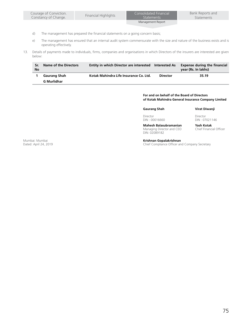- d) The management has prepared the financial statements on a going concern basis;
- e) The management has ensured that an internal audit system commensurate with the size and nature of the business exists and is operating effectively.
- 13. Details of payments made to individuals, firms, companies and organisations in which Directors of the insurers are interested are given below:

| Sr.<br>No | Name of the Directors | Entity in which Director are interested | <b>Interested As</b> | <b>Expense during the financial</b><br>year (Rs. In lakhs) |
|-----------|-----------------------|-----------------------------------------|----------------------|------------------------------------------------------------|
|           | Gaurang Shah          | Kotak Mahindra Life Insurance Co. Ltd.  | <b>Director</b>      | 35.19                                                      |
|           | G Murlidhar           |                                         |                      |                                                            |

**For and on behalf of the Board of Directors of Kotak Mahindra General Insurance Company Limited**

#### **Gaurang Shah**

#### **Virat Diwanji**

Director DIN : 00016660 Director DIN : 07021146 **Yash Kotak**

Chief Financial Officer

**Mahesh Balasubramanian** Managing Director and CEO DIN: 02089182

Mumbai: Mumbai Dated: April 24, 2019 **Krishnan Gopalakrishnan** Chief Compliance Officer and Company Secretary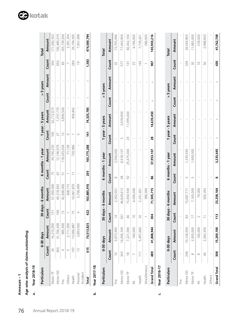|               | Age wise analysis of claims outstanding: |                       |                             |                          |                    |                          |                   |                  |                  |                |                |                          |             |
|---------------|------------------------------------------|-----------------------|-----------------------------|--------------------------|--------------------|--------------------------|-------------------|------------------|------------------|----------------|----------------|--------------------------|-------------|
| $\dot{\bf e}$ | Year 2018-19                             |                       |                             |                          |                    |                          |                   |                  |                  |                |                |                          |             |
|               | Particulars                              |                       | $0-30$ days                 |                          | 30 days - 6 months |                          | 6 months - 1 year |                  | 1 year - 5 years |                | > 5 years      |                          | Total       |
|               |                                          | Count                 | Amount                      | Count                    | Amount             | Count                    | Amount            | Count            | Amount           | Count          | Amount         | Count                    | Amount      |
|               | Motor <sub>TP</sub>                      | $\approx$             | 16,210,000                  | 131                      | 57,300,000         | 75                       | 34,760,250        | 100              | 62,772,673       |                |                | 340                      | 171,042,923 |
|               | Motor OD                                 | 360                   | ,706,438<br>$\overline{31}$ | 196                      | 49,318,832         | 67                       | 12,196,979        | 27               | 7,257,770        |                |                | 650                      | 100,480,019 |
|               | Fire                                     | 4                     | 985,500                     | $\frac{1}{2}$            | 42,838,000         | 51                       | 118,025,934       | $\frac{1}{2}$    | 3,890,500        |                |                | 83                       | 165,739,934 |
|               | Others                                   | $\mathsf{L}\cap$      | ,711,500<br>2,              | $\overline{\phantom{0}}$ | 608,715            | $\overline{\phantom{0}}$ | 71,139            | $\circ$          |                  | t              | $\,$           | $\overline{ }$           | 3,391,354   |
|               | Health                                   | 197                   | ,006,887<br>15,             | 75                       | 10,061,870         | $\equiv$                 | 720,966           |                  | 404,842          |                |                | 284                      | 26,194,565  |
|               | Accident<br>Personal                     | $\frac{1}{2}$         | 3,893,500                   | 4                        | 3,758,499          |                          |                   | $\circ$          |                  |                |                | $\frac{0}{1}$            | 7,651,999   |
|               | Total                                    | 615                   | 70,513,825                  | 422                      | 163,885,916        | 205                      | 165,775,268       | 141              | 74,325,785       | $\blacksquare$ | $\blacksquare$ | 1,383                    | 474,500,794 |
| ف             | Year 2017-18                             |                       |                             |                          |                    |                          |                   |                  |                  |                |                |                          |             |
|               | Particulars                              |                       | $0-30$ days                 |                          | 30 days - 6 months |                          | 6 months - 1 year |                  | 1 year - 5 years |                | > 5 years      |                          | Total       |
|               |                                          | Count                 | Amount                      | Count                    | Amount             | Count                    | Amount            | Count            | Amount           | Count          | Amount         | Count                    | Amount      |
|               | Fire                                     | $\supseteq$           | 3,945<br>9,87               | $\overline{4}$           | 2,362,001          | $\infty$                 | 3,560,000         | $\,$             |                  |                |                | 32                       | 15,795,946  |
|               | Motor OD                                 | 343                   | 6,339<br>19,056             | 201                      | 46,829,613         | 28                       | 8,918,107         | $\mathsf{L}\cap$ | 2,639,850        |                |                | 577                      | 77,443,909  |
|               | Motor <sub>TP</sub>                      | $\overset{\infty}{=}$ | 1,000<br>7,22               | $\overline{40}$          | 15,650,500         | SO                       | 25,475,000        | 23               | 11,995,600       | ı              |                | 131                      | 60,342,100  |
|               | $\mathbb A$                              | $\overline{ }$        | 160,000                     | $\frac{6}{2}$            | 4,036,000          |                          |                   |                  |                  |                |                | 23                       | 4,196,000   |
|               | Health                                   | $\overline{11}$       | 5,497,660                   | 32                       | 2,241,601          |                          | t,                | $\mathfrak{g}$   | ï                |                |                | 143                      | 7,739,261   |
|               | Miscellaneous                            | $\,$                  |                             | $\overline{\phantom{0}}$ | 386,000            |                          |                   |                  |                  |                |                | $\overline{\phantom{0}}$ | 386,000     |
|               | <b>Grand Total</b>                       | 489                   | 8,944<br>41,80              | 304                      | 71,505,715         | 86                       | 37,953,107        | 28               | 14,635,450       | ٠              |                | 507                      | 165,903,216 |
| ن             | Year 2016-17                             |                       |                             |                          |                    |                          |                   |                  |                  |                |                |                          |             |
|               | Particulars                              |                       | 0-30 days                   |                          | 30 days - 6 months |                          | 6 months - 1 year |                  | 1 year - 5 years |                | > 5 years      |                          | Total       |
|               |                                          | Count                 | İ<br>Amo                    | Count                    | Amount             | Count                    | Amount            | Count            | Amount           | Count          | Amount         | Count                    | Amount      |
|               | Fire                                     |                       |                             |                          |                    |                          |                   |                  |                  |                |                |                          |             |
|               | Motor OD                                 | 248                   | 6,650<br>10,12              | 83                       | 15,087,771         | m                        | 1,335,445         | $\mathbf{I}$     | $\mathbf{I}$     | $\,$           | $\mathbf{I}$   | 334                      | 26,549,865  |
|               | Motor TP                                 | $\infty$              | 0,000<br>2,92               | $\overline{1}$           | 7,165,000          | $\Box$                   | 1,900,000         |                  |                  |                |                | $_{\odot}$               | 11,985,000  |
|               | $\mathbb{A}$                             | $\infty$              | 160,000                     |                          | 79,000             |                          |                   |                  |                  |                |                | $\frac{1}{2}$            | 239,000     |

Read and the contraction of the contraction of the contraction of the contraction of the contraction of the con Others - - - - - - - - - - - - **Grand Total 308 15,269,100 113 23,258,164 8 3,235,445 - - - - 430 41,762,708**

926,393  $\overline{\phantom{a}}$ 23,258,164

 $\overline{\phantom{0}}$  $\bar{t}$ 

2,062,450

 $\overline{4}$  $\bar{1}$ 

 $\bar{1}$ 3,235,445

 $\bar{1}$  $\infty$ 

 $113$ 

15,269,100

308

**Grand Total** Others Health

 $\bar{1}$ 

41,762,708

430

 $\blacksquare$ 

 $\bar{1}$ 

ï

2,988,843

56  $\bar{1}$ 

 $\bar{1}$  $\mathbf{r}$ 

 $\bar{1}$  $\bar{1}$  $\blacksquare$ 

 $\bar{1}$  $\bar{1}$ 

 $\bar{1}$  $\bar{1}$  $\bar{1}$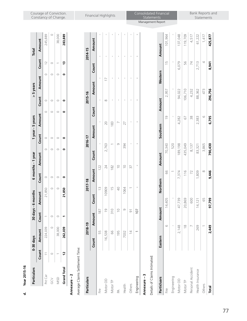| Particulars        |                 | $0-30$ days  |       | 30 days - 6 months |       | 6 months - 1 year |       | 1 year - 5 years | $>$ 5 years  |       | Total   |
|--------------------|-----------------|--------------|-------|--------------------|-------|-------------------|-------|------------------|--------------|-------|---------|
|                    |                 | Count Amount | Count | Amount             | Count | <b>Amount</b>     | Count | Amount           | Count Amount | Count | Amount  |
| avt Car            |                 | 224,039      |       | 21,850             |       |                   |       |                  |              |       | 245,889 |
| SO<br>G            |                 | $\breve{ }$  |       |                    |       |                   |       |                  |              |       |         |
| NISD               |                 | 38,000       |       |                    |       |                   |       |                  |              |       | 38,000  |
| <b>Grand Total</b> | $\overline{12}$ | 262,039      |       | 21,850             |       |                   |       |                  |              |       | 283,889 |

## Annexure-2 **Annexure – 2**

Average Claims Settlement Time: Average Claims Settlement Time:

| <b>Particulars</b> | 201            | 8-19           | 2017-18         |               |       | 2016-17      | 2015-16      | 2014-15 |
|--------------------|----------------|----------------|-----------------|---------------|-------|--------------|--------------|---------|
|                    | Count          | Amount Count   |                 | Amount Count  |       | Amount Count | Amount Count | Amount  |
| Fire               | 55             | 187            | $\frac{1}{3}$   | 122           |       |              |              |         |
| Motor OD           | 16,538         | $\overline{0}$ | 10909           | 24            | 2,763 | 20           | $\infty$     |         |
| Motor TP           | 66             | 310            | $\frac{1}{2}$   | 182           |       | 183          |              |         |
| $\mathbb{R}$       | 195            | $\supseteq$    | $\overline{40}$ | $\supseteq$   | 9     |              |              |         |
| Health             | 7032           | 9              | 1064            | $\frac{1}{2}$ | 394   | 27           |              |         |
| Others             | $\overline{a}$ | $\overline{5}$ |                 | 37            |       |              |              |         |
| Engineering        |                | 107            |                 |               |       |              |              |         |

# ∢

Details of Claims Intimated: Details of Claims Intimated:

| Particluars       | aster | Amount                  | Northern       | Amount       | Southern       | Amount  | Western       | Amount  |
|-------------------|-------|-------------------------|----------------|--------------|----------------|---------|---------------|---------|
| Fire<br>-         |       | 14,405<br>LΟ            |                | 70,340<br>66 | $\overline{0}$ | 2,957   | $\frac{5}{1}$ | 101,964 |
| ingineering       |       |                         |                | 520          |                |         |               |         |
| Vlotor OD         |       | 47,739<br>2,148         | 7,374          | 189,198      | 4,282          | 94,022  | 6,079         | 137,048 |
| Vlotor TP         |       | 20,869<br>$\frac{8}{1}$ | 116            | 435,049      | 67             | 106,710 | 56            | 119,709 |
| Personal Accident |       | 600                     | $\overline{z}$ | 8,137        | 38             | 4,232   | 74            | 4,517   |
| Health Insurance  |       | 14, 121<br>269          | 1,809          | 83,321       | 2,383          | 88,362  | 2,713         | 61,222  |
| Others            |       | 65                      |                | 3,865<br>∞   | $\circ$        | 473     |               | 1,417   |
| Total             |       | 97,799<br>2,449         | 9,446          | 790,430      | 6,795          | 296,756 | 8,941         | 425,877 |